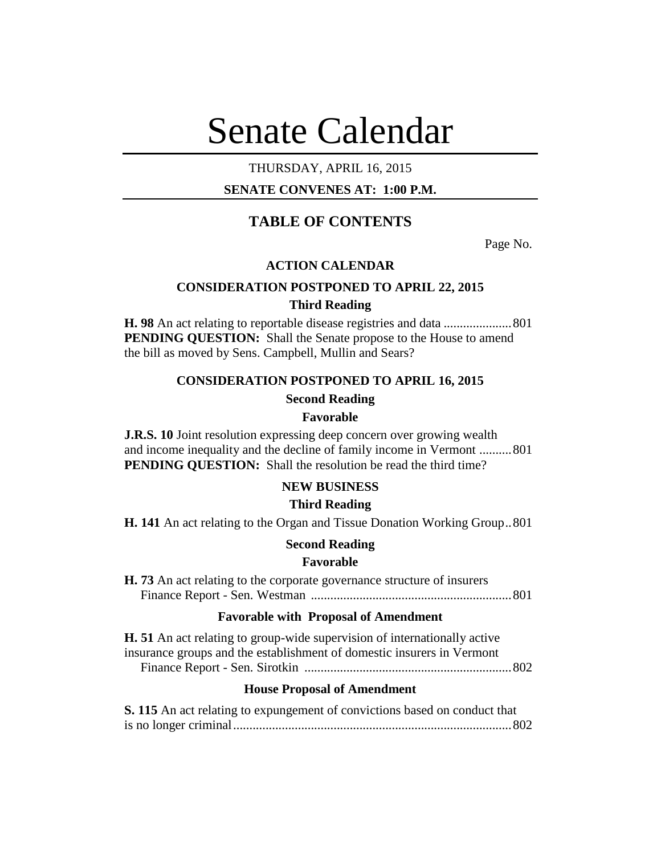# Senate Calendar

## THURSDAY, APRIL 16, 2015

## **SENATE CONVENES AT: 1:00 P.M.**

# **TABLE OF CONTENTS**

Page No.

## **ACTION CALENDAR**

## **CONSIDERATION POSTPONED TO APRIL 22, 2015 Third Reading**

**H. 98** An act relating to reportable disease registries and data .....................801 **PENDING QUESTION:** Shall the Senate propose to the House to amend the bill as moved by Sens. Campbell, Mullin and Sears?

## **CONSIDERATION POSTPONED TO APRIL 16, 2015**

## **Second Reading**

#### **Favorable**

**J.R.S. 10** Joint resolution expressing deep concern over growing wealth and income inequality and the decline of family income in Vermont ..........801 **PENDING QUESTION:** Shall the resolution be read the third time?

## **NEW BUSINESS**

#### **Third Reading**

**H. 141** An act relating to the Organ and Tissue Donation Working Group..801

#### **Second Reading**

#### **Favorable**

| <b>H.</b> 73 An act relating to the corporate governance structure of insurers |  |
|--------------------------------------------------------------------------------|--|
|                                                                                |  |

#### **Favorable with Proposal of Amendment**

**H. 51** An act relating to group-wide supervision of internationally active insurance groups and the establishment of domestic insurers in Vermont Finance Report - Sen. Sirotkin ................................................................802

#### **House Proposal of Amendment**

| S. 115 An act relating to expungement of convictions based on conduct that |  |
|----------------------------------------------------------------------------|--|
|                                                                            |  |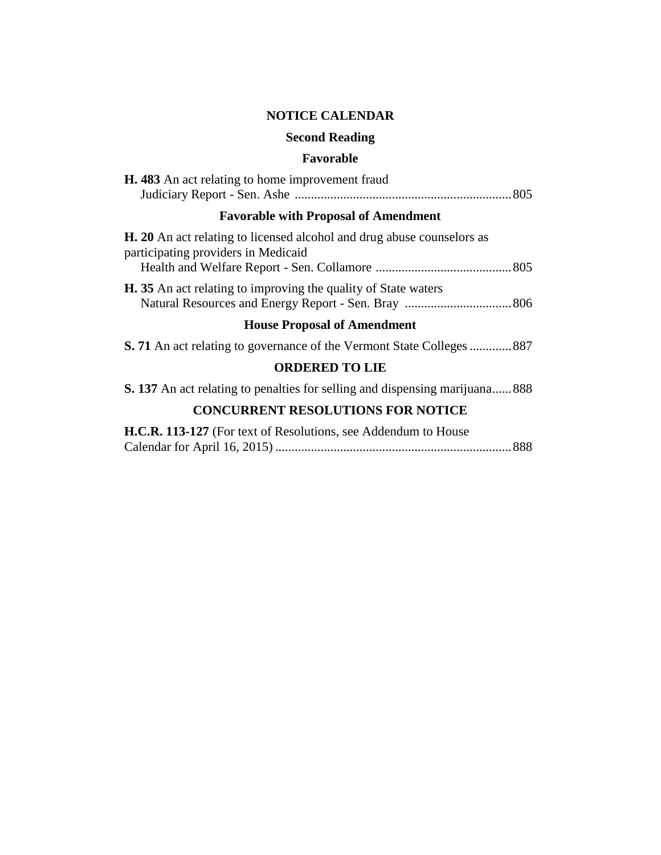## **NOTICE CALENDAR**

## **Second Reading**

## **Favorable**

| <b>H.</b> 483 An act relating to home improvement fraud |  |
|---------------------------------------------------------|--|
|                                                         |  |

# **Favorable with Proposal of Amendment**

| <b>H.</b> 20 An act relating to licensed alcohol and drug abuse counselors as |  |
|-------------------------------------------------------------------------------|--|
| participating providers in Medicaid                                           |  |
|                                                                               |  |
| <b>H.</b> 35 An act relating to improving the quality of State waters         |  |
|                                                                               |  |

## **House Proposal of Amendment**

|  |  |  | S. 71 An act relating to governance of the Vermont State Colleges  887 |  |
|--|--|--|------------------------------------------------------------------------|--|
|--|--|--|------------------------------------------------------------------------|--|

# **ORDERED TO LIE**

**S. 137** An act relating to penalties for selling and dispensing marijuana......888

# **CONCURRENT RESOLUTIONS FOR NOTICE**

| H.C.R. 113-127 (For text of Resolutions, see Addendum to House |  |
|----------------------------------------------------------------|--|
|                                                                |  |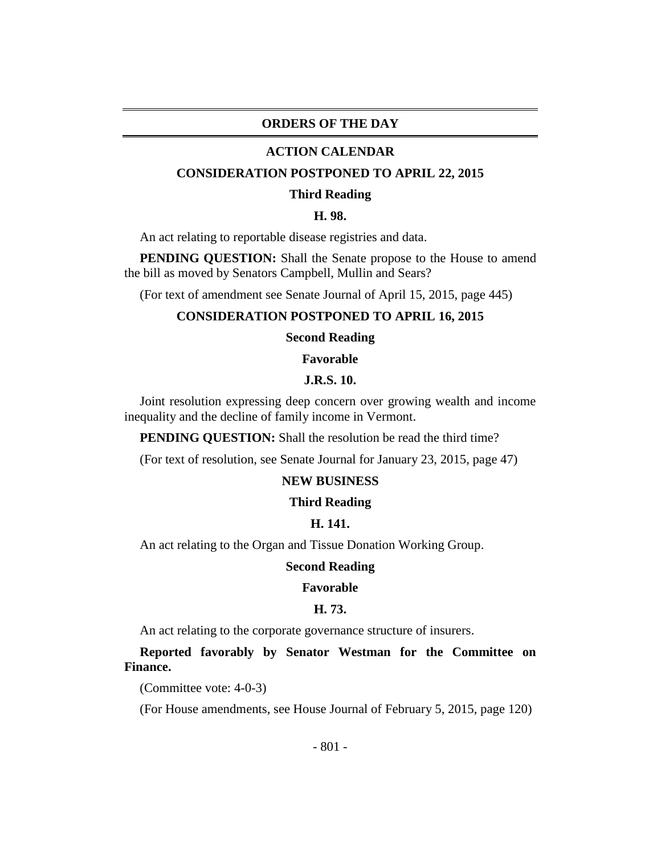## **ORDERS OF THE DAY**

#### **ACTION CALENDAR**

#### **CONSIDERATION POSTPONED TO APRIL 22, 2015**

#### **Third Reading**

## **H. 98.**

An act relating to reportable disease registries and data.

**PENDING QUESTION:** Shall the Senate propose to the House to amend the bill as moved by Senators Campbell, Mullin and Sears?

(For text of amendment see Senate Journal of April 15, 2015, page 445)

#### **CONSIDERATION POSTPONED TO APRIL 16, 2015**

#### **Second Reading**

**Favorable**

#### **J.R.S. 10.**

Joint resolution expressing deep concern over growing wealth and income inequality and the decline of family income in Vermont.

**PENDING QUESTION:** Shall the resolution be read the third time?

(For text of resolution, see Senate Journal for January 23, 2015, page 47)

## **NEW BUSINESS**

#### **Third Reading**

## **H. 141.**

An act relating to the Organ and Tissue Donation Working Group.

#### **Second Reading**

#### **Favorable**

#### **H. 73.**

An act relating to the corporate governance structure of insurers.

**Reported favorably by Senator Westman for the Committee on Finance.**

(Committee vote: 4-0-3)

(For House amendments, see House Journal of February 5, 2015, page 120)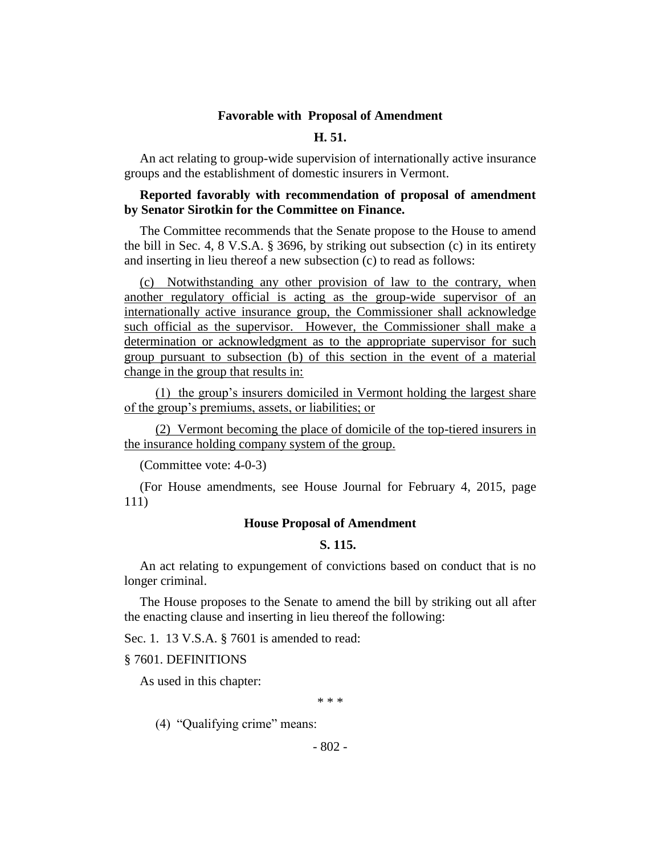#### **Favorable with Proposal of Amendment**

## **H. 51.**

An act relating to group-wide supervision of internationally active insurance groups and the establishment of domestic insurers in Vermont.

## **Reported favorably with recommendation of proposal of amendment by Senator Sirotkin for the Committee on Finance.**

The Committee recommends that the Senate propose to the House to amend the bill in Sec. 4, 8 V.S.A. § 3696, by striking out subsection (c) in its entirety and inserting in lieu thereof a new subsection (c) to read as follows:

(c) Notwithstanding any other provision of law to the contrary, when another regulatory official is acting as the group-wide supervisor of an internationally active insurance group, the Commissioner shall acknowledge such official as the supervisor. However, the Commissioner shall make a determination or acknowledgment as to the appropriate supervisor for such group pursuant to subsection (b) of this section in the event of a material change in the group that results in:

(1) the group's insurers domiciled in Vermont holding the largest share of the group's premiums, assets, or liabilities; or

(2) Vermont becoming the place of domicile of the top-tiered insurers in the insurance holding company system of the group.

(Committee vote: 4-0-3)

(For House amendments, see House Journal for February 4, 2015, page 111)

#### **House Proposal of Amendment**

## **S. 115.**

An act relating to expungement of convictions based on conduct that is no longer criminal.

The House proposes to the Senate to amend the bill by striking out all after the enacting clause and inserting in lieu thereof the following:

Sec. 1. 13 V.S.A. § 7601 is amended to read:

#### § 7601. DEFINITIONS

As used in this chapter:

\* \* \*

(4) "Qualifying crime" means:

- 802 -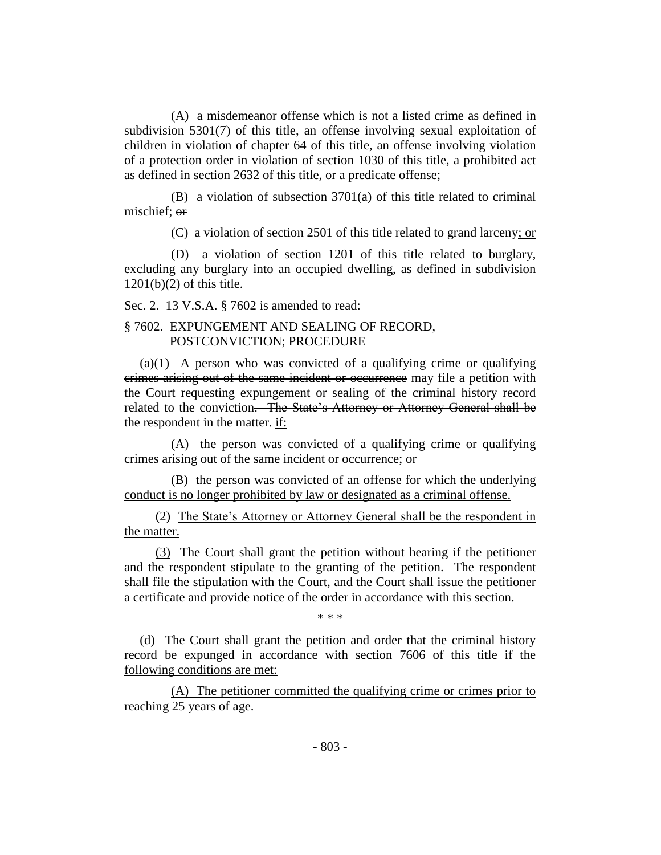(A) a misdemeanor offense which is not a listed crime as defined in subdivision 5301(7) of this title, an offense involving sexual exploitation of children in violation of chapter 64 of this title, an offense involving violation of a protection order in violation of section 1030 of this title, a prohibited act as defined in section 2632 of this title, or a predicate offense;

(B) a violation of subsection 3701(a) of this title related to criminal mischief: or

(C) a violation of section 2501 of this title related to grand larceny; or

(D) a violation of section 1201 of this title related to burglary, excluding any burglary into an occupied dwelling, as defined in subdivision  $1201(b)(2)$  of this title.

Sec. 2. 13 V.S.A. § 7602 is amended to read:

## § 7602. EXPUNGEMENT AND SEALING OF RECORD, POSTCONVICTION; PROCEDURE

 $(a)(1)$  A person who was convicted of a qualifying crime or qualifying crimes arising out of the same incident or occurrence may file a petition with the Court requesting expungement or sealing of the criminal history record related to the conviction. The State's Attorney or Attorney General shall be the respondent in the matter. if:

(A) the person was convicted of a qualifying crime or qualifying crimes arising out of the same incident or occurrence; or

(B) the person was convicted of an offense for which the underlying conduct is no longer prohibited by law or designated as a criminal offense.

(2) The State's Attorney or Attorney General shall be the respondent in the matter.

(3) The Court shall grant the petition without hearing if the petitioner and the respondent stipulate to the granting of the petition. The respondent shall file the stipulation with the Court, and the Court shall issue the petitioner a certificate and provide notice of the order in accordance with this section.

\* \* \*

(d) The Court shall grant the petition and order that the criminal history record be expunged in accordance with section 7606 of this title if the following conditions are met:

(A) The petitioner committed the qualifying crime or crimes prior to reaching 25 years of age.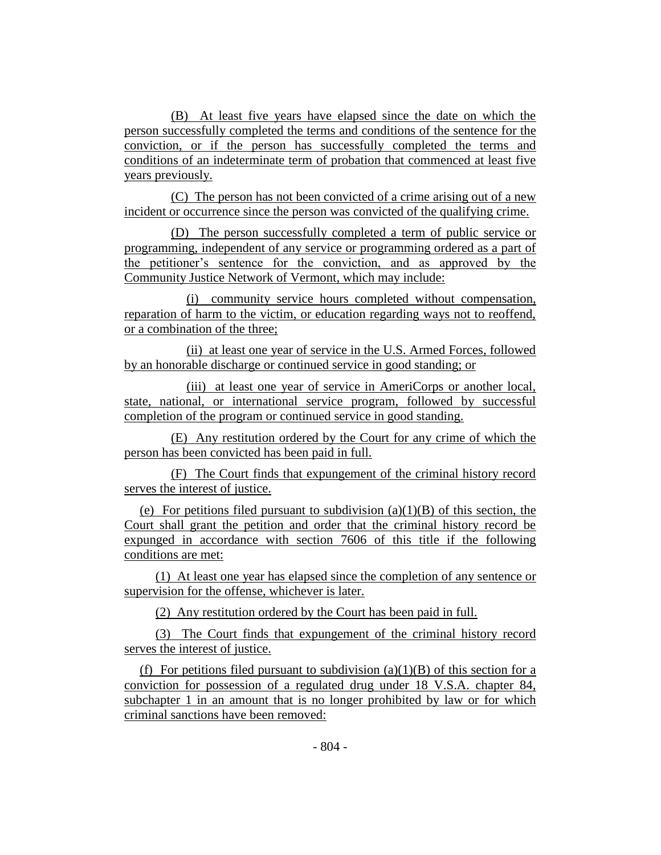(B) At least five years have elapsed since the date on which the person successfully completed the terms and conditions of the sentence for the conviction, or if the person has successfully completed the terms and conditions of an indeterminate term of probation that commenced at least five years previously.

(C) The person has not been convicted of a crime arising out of a new incident or occurrence since the person was convicted of the qualifying crime.

(D) The person successfully completed a term of public service or programming, independent of any service or programming ordered as a part of the petitioner's sentence for the conviction, and as approved by the Community Justice Network of Vermont, which may include:

(i) community service hours completed without compensation, reparation of harm to the victim, or education regarding ways not to reoffend, or a combination of the three;

(ii) at least one year of service in the U.S. Armed Forces, followed by an honorable discharge or continued service in good standing; or

(iii) at least one year of service in AmeriCorps or another local, state, national, or international service program, followed by successful completion of the program or continued service in good standing.

(E) Any restitution ordered by the Court for any crime of which the person has been convicted has been paid in full.

(F) The Court finds that expungement of the criminal history record serves the interest of justice.

(e) For petitions filed pursuant to subdivision  $(a)(1)(B)$  of this section, the Court shall grant the petition and order that the criminal history record be expunged in accordance with section 7606 of this title if the following conditions are met:

(1) At least one year has elapsed since the completion of any sentence or supervision for the offense, whichever is later.

(2) Any restitution ordered by the Court has been paid in full.

(3) The Court finds that expungement of the criminal history record serves the interest of justice.

(f) For petitions filed pursuant to subdivision  $(a)(1)(B)$  of this section for a conviction for possession of a regulated drug under 18 V.S.A. chapter 84, subchapter 1 in an amount that is no longer prohibited by law or for which criminal sanctions have been removed: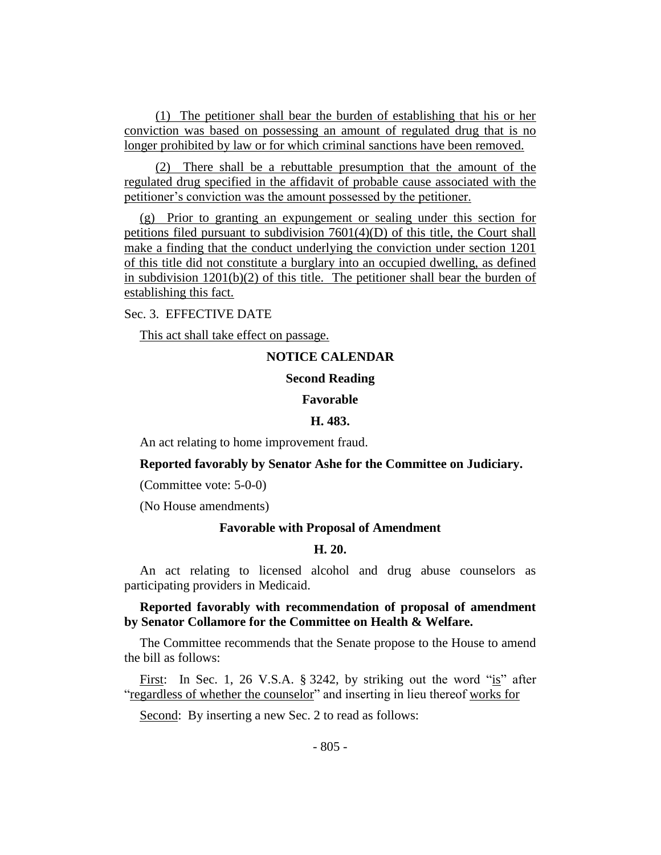(1) The petitioner shall bear the burden of establishing that his or her conviction was based on possessing an amount of regulated drug that is no longer prohibited by law or for which criminal sanctions have been removed.

(2) There shall be a rebuttable presumption that the amount of the regulated drug specified in the affidavit of probable cause associated with the petitioner's conviction was the amount possessed by the petitioner.

(g) Prior to granting an expungement or sealing under this section for petitions filed pursuant to subdivision 7601(4)(D) of this title, the Court shall make a finding that the conduct underlying the conviction under section 1201 of this title did not constitute a burglary into an occupied dwelling, as defined in subdivision  $1201(b)(2)$  of this title. The petitioner shall bear the burden of establishing this fact.

Sec. 3. EFFECTIVE DATE

This act shall take effect on passage.

## **NOTICE CALENDAR**

#### **Second Reading**

#### **Favorable**

#### **H. 483.**

An act relating to home improvement fraud.

#### **Reported favorably by Senator Ashe for the Committee on Judiciary.**

(Committee vote: 5-0-0)

(No House amendments)

#### **Favorable with Proposal of Amendment**

#### **H. 20.**

An act relating to licensed alcohol and drug abuse counselors as participating providers in Medicaid.

## **Reported favorably with recommendation of proposal of amendment by Senator Collamore for the Committee on Health & Welfare.**

The Committee recommends that the Senate propose to the House to amend the bill as follows:

First: In Sec. 1, 26 V.S.A. § 3242, by striking out the word "is" after "regardless of whether the counselor" and inserting in lieu thereof works for

Second: By inserting a new Sec. 2 to read as follows: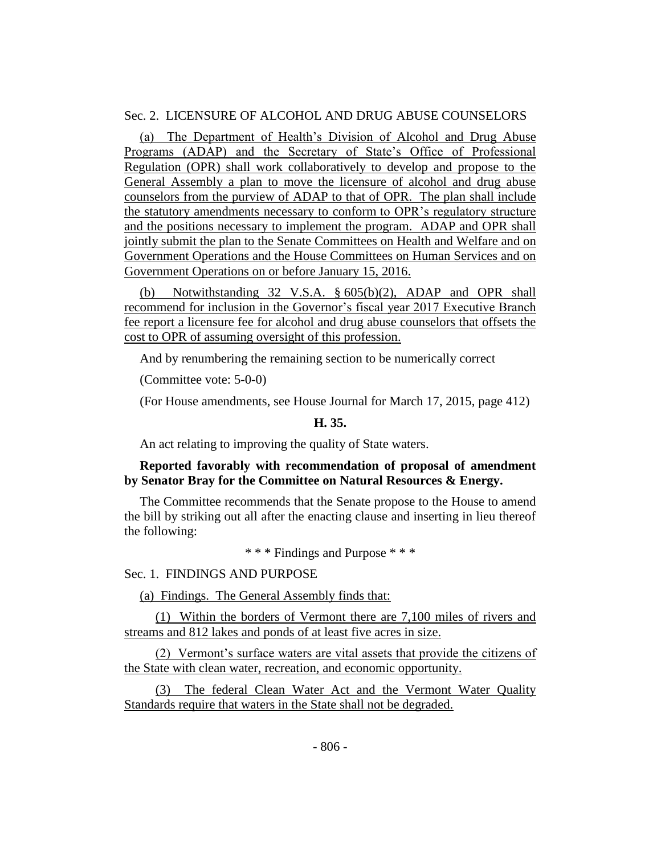## Sec. 2. LICENSURE OF ALCOHOL AND DRUG ABUSE COUNSELORS

(a) The Department of Health's Division of Alcohol and Drug Abuse Programs (ADAP) and the Secretary of State's Office of Professional Regulation (OPR) shall work collaboratively to develop and propose to the General Assembly a plan to move the licensure of alcohol and drug abuse counselors from the purview of ADAP to that of OPR. The plan shall include the statutory amendments necessary to conform to OPR's regulatory structure and the positions necessary to implement the program. ADAP and OPR shall jointly submit the plan to the Senate Committees on Health and Welfare and on Government Operations and the House Committees on Human Services and on Government Operations on or before January 15, 2016.

(b) Notwithstanding 32 V.S.A. § 605(b)(2), ADAP and OPR shall recommend for inclusion in the Governor's fiscal year 2017 Executive Branch fee report a licensure fee for alcohol and drug abuse counselors that offsets the cost to OPR of assuming oversight of this profession.

And by renumbering the remaining section to be numerically correct

(Committee vote: 5-0-0)

(For House amendments, see House Journal for March 17, 2015, page 412)

## **H. 35.**

An act relating to improving the quality of State waters.

## **Reported favorably with recommendation of proposal of amendment by Senator Bray for the Committee on Natural Resources & Energy.**

The Committee recommends that the Senate propose to the House to amend the bill by striking out all after the enacting clause and inserting in lieu thereof the following:

\* \* \* Findings and Purpose \* \* \*

Sec. 1. FINDINGS AND PURPOSE

(a) Findings. The General Assembly finds that:

(1) Within the borders of Vermont there are 7,100 miles of rivers and streams and 812 lakes and ponds of at least five acres in size.

(2) Vermont's surface waters are vital assets that provide the citizens of the State with clean water, recreation, and economic opportunity.

(3) The federal Clean Water Act and the Vermont Water Quality Standards require that waters in the State shall not be degraded.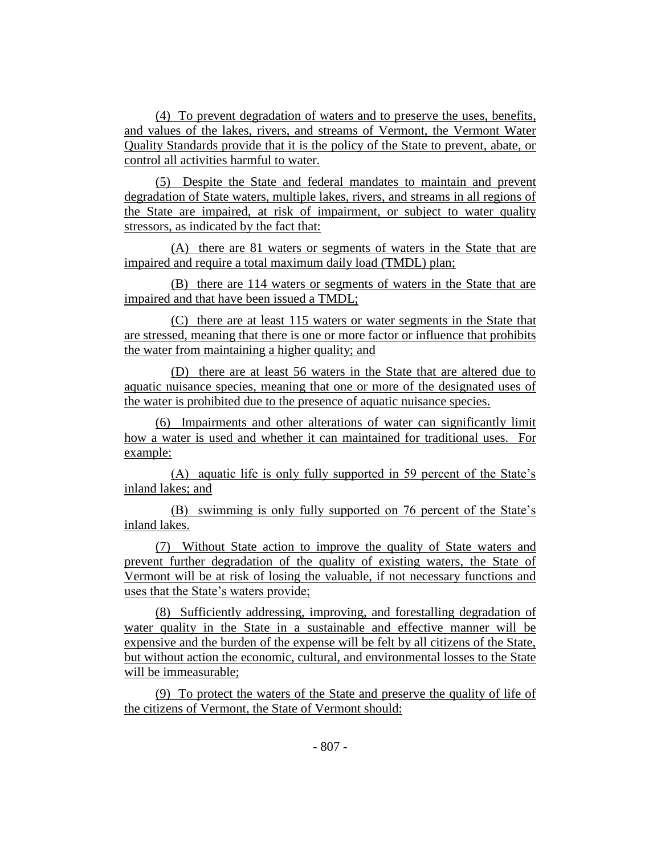(4) To prevent degradation of waters and to preserve the uses, benefits, and values of the lakes, rivers, and streams of Vermont, the Vermont Water Quality Standards provide that it is the policy of the State to prevent, abate, or control all activities harmful to water.

(5) Despite the State and federal mandates to maintain and prevent degradation of State waters, multiple lakes, rivers, and streams in all regions of the State are impaired, at risk of impairment, or subject to water quality stressors, as indicated by the fact that:

(A) there are 81 waters or segments of waters in the State that are impaired and require a total maximum daily load (TMDL) plan;

(B) there are 114 waters or segments of waters in the State that are impaired and that have been issued a TMDL;

(C) there are at least 115 waters or water segments in the State that are stressed, meaning that there is one or more factor or influence that prohibits the water from maintaining a higher quality; and

(D) there are at least 56 waters in the State that are altered due to aquatic nuisance species, meaning that one or more of the designated uses of the water is prohibited due to the presence of aquatic nuisance species.

(6) Impairments and other alterations of water can significantly limit how a water is used and whether it can maintained for traditional uses. For example:

(A) aquatic life is only fully supported in 59 percent of the State's inland lakes; and

(B) swimming is only fully supported on 76 percent of the State's inland lakes.

(7) Without State action to improve the quality of State waters and prevent further degradation of the quality of existing waters, the State of Vermont will be at risk of losing the valuable, if not necessary functions and uses that the State's waters provide;

(8) Sufficiently addressing, improving, and forestalling degradation of water quality in the State in a sustainable and effective manner will be expensive and the burden of the expense will be felt by all citizens of the State, but without action the economic, cultural, and environmental losses to the State will be immeasurable;

(9) To protect the waters of the State and preserve the quality of life of the citizens of Vermont, the State of Vermont should: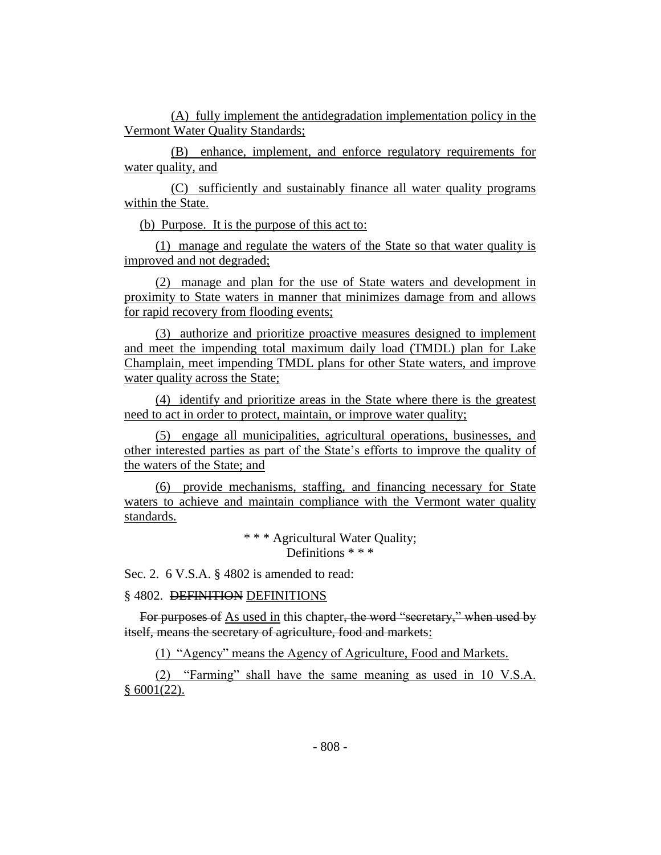(A) fully implement the antidegradation implementation policy in the Vermont Water Quality Standards;

(B) enhance, implement, and enforce regulatory requirements for water quality, and

(C) sufficiently and sustainably finance all water quality programs within the State.

(b) Purpose. It is the purpose of this act to:

(1) manage and regulate the waters of the State so that water quality is improved and not degraded;

(2) manage and plan for the use of State waters and development in proximity to State waters in manner that minimizes damage from and allows for rapid recovery from flooding events;

(3) authorize and prioritize proactive measures designed to implement and meet the impending total maximum daily load (TMDL) plan for Lake Champlain, meet impending TMDL plans for other State waters, and improve water quality across the State;

(4) identify and prioritize areas in the State where there is the greatest need to act in order to protect, maintain, or improve water quality;

(5) engage all municipalities, agricultural operations, businesses, and other interested parties as part of the State's efforts to improve the quality of the waters of the State; and

(6) provide mechanisms, staffing, and financing necessary for State waters to achieve and maintain compliance with the Vermont water quality standards.

> \* \* \* Agricultural Water Quality; Definitions \* \* \*

Sec. 2. 6 V.S.A. § 4802 is amended to read:

## § 4802. DEFINITION DEFINITIONS

For purposes of As used in this chapter, the word "secretary," when used by itself, means the secretary of agriculture, food and markets:

(1) "Agency" means the Agency of Agriculture, Food and Markets.

(2) "Farming" shall have the same meaning as used in 10 V.S.A.  $§ 6001(22)$ .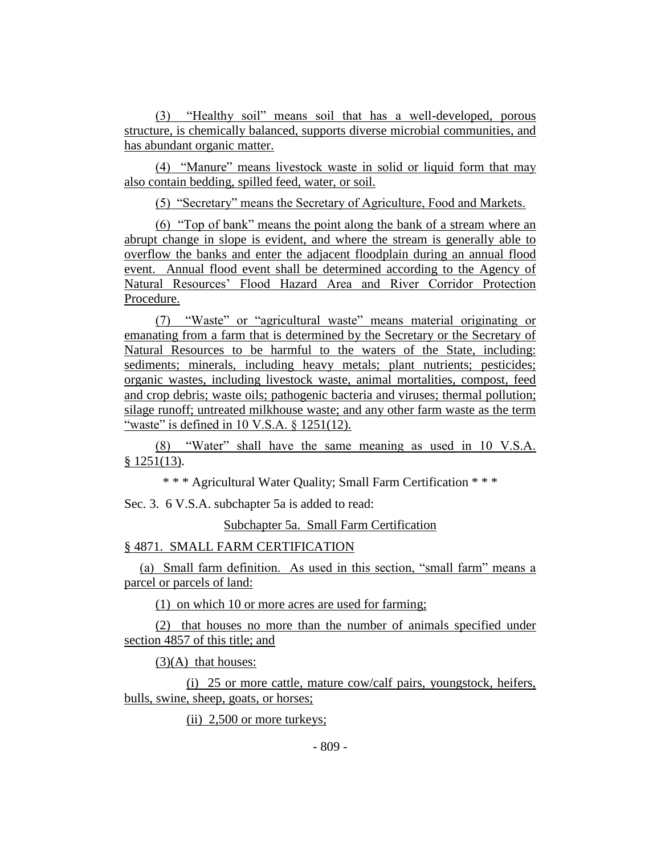(3) "Healthy soil" means soil that has a well-developed, porous structure, is chemically balanced, supports diverse microbial communities, and has abundant organic matter.

(4) "Manure" means livestock waste in solid or liquid form that may also contain bedding, spilled feed, water, or soil.

(5) "Secretary" means the Secretary of Agriculture, Food and Markets.

(6) "Top of bank" means the point along the bank of a stream where an abrupt change in slope is evident, and where the stream is generally able to overflow the banks and enter the adjacent floodplain during an annual flood event. Annual flood event shall be determined according to the Agency of Natural Resources' Flood Hazard Area and River Corridor Protection Procedure.

(7) "Waste" or "agricultural waste" means material originating or emanating from a farm that is determined by the Secretary or the Secretary of Natural Resources to be harmful to the waters of the State, including: sediments; minerals, including heavy metals; plant nutrients; pesticides; organic wastes, including livestock waste, animal mortalities, compost, feed and crop debris; waste oils; pathogenic bacteria and viruses; thermal pollution; silage runoff; untreated milkhouse waste; and any other farm waste as the term "waste" is defined in 10 V.S.A. § 1251(12).

(8) "Water" shall have the same meaning as used in 10 V.S.A. § 1251(13).

\* \* \* Agricultural Water Quality; Small Farm Certification \* \* \*

Sec. 3. 6 V.S.A. subchapter 5a is added to read:

Subchapter 5a. Small Farm Certification

## § 4871. SMALL FARM CERTIFICATION

(a) Small farm definition. As used in this section, "small farm" means a parcel or parcels of land:

(1) on which 10 or more acres are used for farming;

(2) that houses no more than the number of animals specified under section 4857 of this title; and

 $(3)(A)$  that houses:

(i) 25 or more cattle, mature cow/calf pairs, youngstock, heifers, bulls, swine, sheep, goats, or horses;

(ii) 2,500 or more turkeys;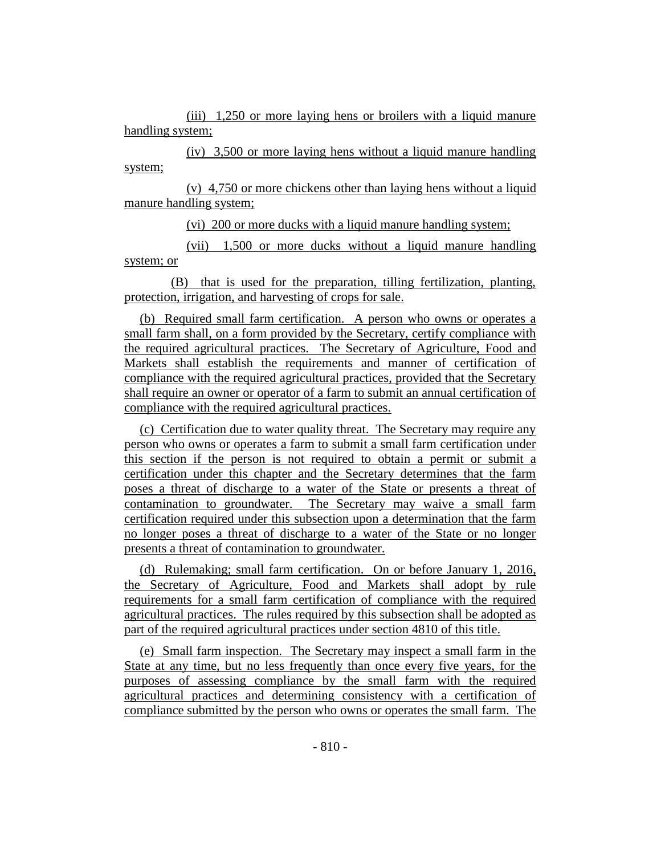(iii) 1,250 or more laying hens or broilers with a liquid manure handling system;

(iv) 3,500 or more laying hens without a liquid manure handling system;

(v) 4,750 or more chickens other than laying hens without a liquid manure handling system;

(vi) 200 or more ducks with a liquid manure handling system;

(vii) 1,500 or more ducks without a liquid manure handling system; or

(B) that is used for the preparation, tilling fertilization, planting, protection, irrigation, and harvesting of crops for sale.

(b) Required small farm certification. A person who owns or operates a small farm shall, on a form provided by the Secretary, certify compliance with the required agricultural practices. The Secretary of Agriculture, Food and Markets shall establish the requirements and manner of certification of compliance with the required agricultural practices, provided that the Secretary shall require an owner or operator of a farm to submit an annual certification of compliance with the required agricultural practices.

(c) Certification due to water quality threat. The Secretary may require any person who owns or operates a farm to submit a small farm certification under this section if the person is not required to obtain a permit or submit a certification under this chapter and the Secretary determines that the farm poses a threat of discharge to a water of the State or presents a threat of contamination to groundwater. The Secretary may waive a small farm certification required under this subsection upon a determination that the farm no longer poses a threat of discharge to a water of the State or no longer presents a threat of contamination to groundwater.

(d) Rulemaking; small farm certification. On or before January 1, 2016, the Secretary of Agriculture, Food and Markets shall adopt by rule requirements for a small farm certification of compliance with the required agricultural practices. The rules required by this subsection shall be adopted as part of the required agricultural practices under section 4810 of this title.

(e) Small farm inspection. The Secretary may inspect a small farm in the State at any time, but no less frequently than once every five years, for the purposes of assessing compliance by the small farm with the required agricultural practices and determining consistency with a certification of compliance submitted by the person who owns or operates the small farm. The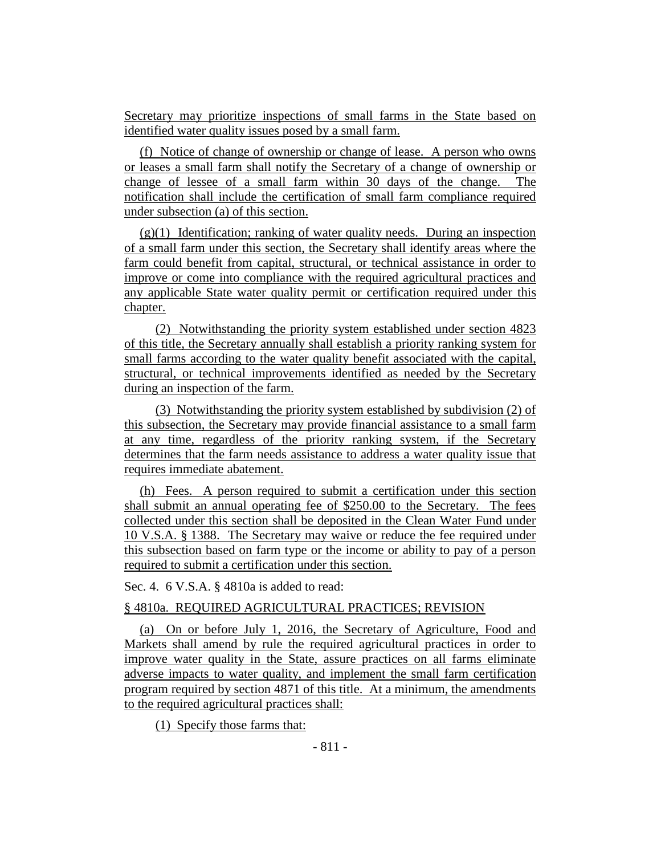Secretary may prioritize inspections of small farms in the State based on identified water quality issues posed by a small farm.

(f) Notice of change of ownership or change of lease. A person who owns or leases a small farm shall notify the Secretary of a change of ownership or change of lessee of a small farm within 30 days of the change. The notification shall include the certification of small farm compliance required under subsection (a) of this section.

 $(g)(1)$  Identification; ranking of water quality needs. During an inspection of a small farm under this section, the Secretary shall identify areas where the farm could benefit from capital, structural, or technical assistance in order to improve or come into compliance with the required agricultural practices and any applicable State water quality permit or certification required under this chapter.

(2) Notwithstanding the priority system established under section 4823 of this title, the Secretary annually shall establish a priority ranking system for small farms according to the water quality benefit associated with the capital, structural, or technical improvements identified as needed by the Secretary during an inspection of the farm.

(3) Notwithstanding the priority system established by subdivision (2) of this subsection, the Secretary may provide financial assistance to a small farm at any time, regardless of the priority ranking system, if the Secretary determines that the farm needs assistance to address a water quality issue that requires immediate abatement.

(h) Fees. A person required to submit a certification under this section shall submit an annual operating fee of \$250.00 to the Secretary. The fees collected under this section shall be deposited in the Clean Water Fund under 10 V.S.A. § 1388. The Secretary may waive or reduce the fee required under this subsection based on farm type or the income or ability to pay of a person required to submit a certification under this section.

Sec. 4. 6 V.S.A. § 4810a is added to read:

## § 4810a. REQUIRED AGRICULTURAL PRACTICES; REVISION

(a) On or before July 1, 2016, the Secretary of Agriculture, Food and Markets shall amend by rule the required agricultural practices in order to improve water quality in the State, assure practices on all farms eliminate adverse impacts to water quality, and implement the small farm certification program required by section 4871 of this title. At a minimum, the amendments to the required agricultural practices shall:

(1) Specify those farms that: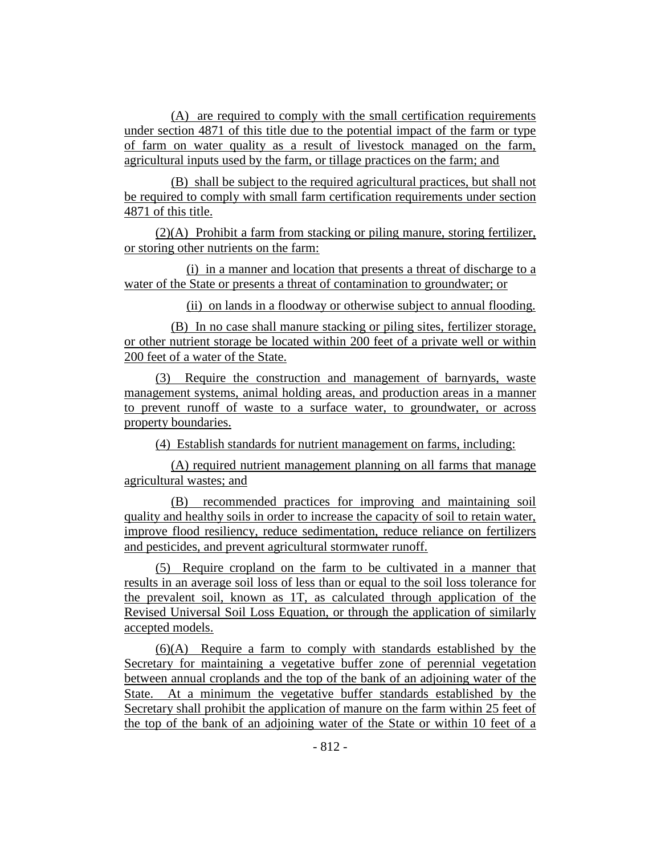(A) are required to comply with the small certification requirements under section 4871 of this title due to the potential impact of the farm or type of farm on water quality as a result of livestock managed on the farm, agricultural inputs used by the farm, or tillage practices on the farm; and

(B) shall be subject to the required agricultural practices, but shall not be required to comply with small farm certification requirements under section 4871 of this title.

(2)(A) Prohibit a farm from stacking or piling manure, storing fertilizer, or storing other nutrients on the farm:

(i) in a manner and location that presents a threat of discharge to a water of the State or presents a threat of contamination to groundwater; or

(ii) on lands in a floodway or otherwise subject to annual flooding.

(B) In no case shall manure stacking or piling sites, fertilizer storage, or other nutrient storage be located within 200 feet of a private well or within 200 feet of a water of the State.

(3) Require the construction and management of barnyards, waste management systems, animal holding areas, and production areas in a manner to prevent runoff of waste to a surface water, to groundwater, or across property boundaries.

(4) Establish standards for nutrient management on farms, including:

(A) required nutrient management planning on all farms that manage agricultural wastes; and

(B) recommended practices for improving and maintaining soil quality and healthy soils in order to increase the capacity of soil to retain water, improve flood resiliency, reduce sedimentation, reduce reliance on fertilizers and pesticides, and prevent agricultural stormwater runoff.

(5) Require cropland on the farm to be cultivated in a manner that results in an average soil loss of less than or equal to the soil loss tolerance for the prevalent soil, known as 1T, as calculated through application of the Revised Universal Soil Loss Equation, or through the application of similarly accepted models.

(6)(A) Require a farm to comply with standards established by the Secretary for maintaining a vegetative buffer zone of perennial vegetation between annual croplands and the top of the bank of an adjoining water of the State. At a minimum the vegetative buffer standards established by the Secretary shall prohibit the application of manure on the farm within 25 feet of the top of the bank of an adjoining water of the State or within 10 feet of a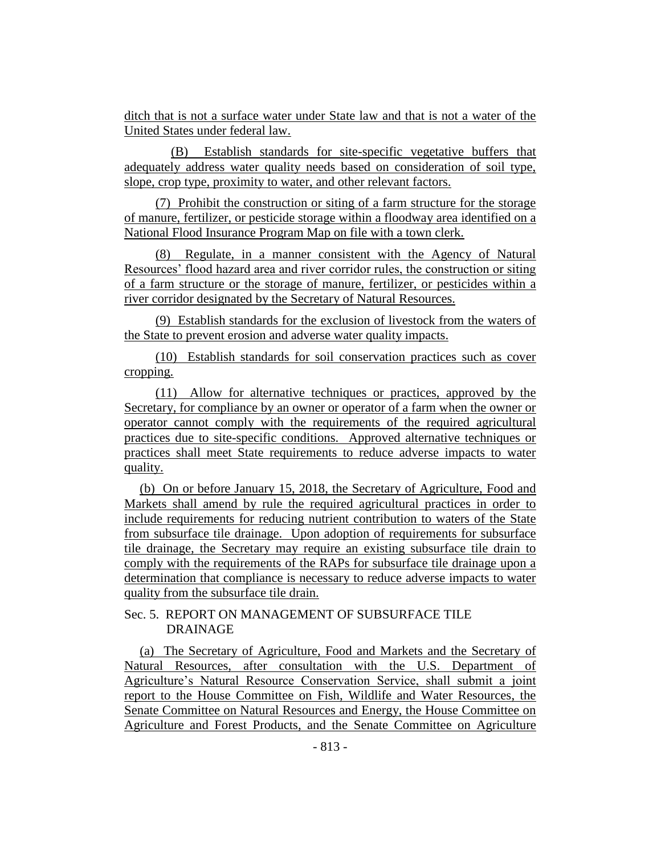ditch that is not a surface water under State law and that is not a water of the United States under federal law.

(B) Establish standards for site-specific vegetative buffers that adequately address water quality needs based on consideration of soil type, slope, crop type, proximity to water, and other relevant factors.

(7) Prohibit the construction or siting of a farm structure for the storage of manure, fertilizer, or pesticide storage within a floodway area identified on a National Flood Insurance Program Map on file with a town clerk.

(8) Regulate, in a manner consistent with the Agency of Natural Resources' flood hazard area and river corridor rules, the construction or siting of a farm structure or the storage of manure, fertilizer, or pesticides within a river corridor designated by the Secretary of Natural Resources.

(9) Establish standards for the exclusion of livestock from the waters of the State to prevent erosion and adverse water quality impacts.

(10) Establish standards for soil conservation practices such as cover cropping.

(11) Allow for alternative techniques or practices, approved by the Secretary, for compliance by an owner or operator of a farm when the owner or operator cannot comply with the requirements of the required agricultural practices due to site-specific conditions. Approved alternative techniques or practices shall meet State requirements to reduce adverse impacts to water quality.

(b) On or before January 15, 2018, the Secretary of Agriculture, Food and Markets shall amend by rule the required agricultural practices in order to include requirements for reducing nutrient contribution to waters of the State from subsurface tile drainage. Upon adoption of requirements for subsurface tile drainage, the Secretary may require an existing subsurface tile drain to comply with the requirements of the RAPs for subsurface tile drainage upon a determination that compliance is necessary to reduce adverse impacts to water quality from the subsurface tile drain.

## Sec. 5. REPORT ON MANAGEMENT OF SUBSURFACE TILE DRAINAGE

(a) The Secretary of Agriculture, Food and Markets and the Secretary of Natural Resources, after consultation with the U.S. Department of Agriculture's Natural Resource Conservation Service, shall submit a joint report to the House Committee on Fish, Wildlife and Water Resources, the Senate Committee on Natural Resources and Energy, the House Committee on Agriculture and Forest Products, and the Senate Committee on Agriculture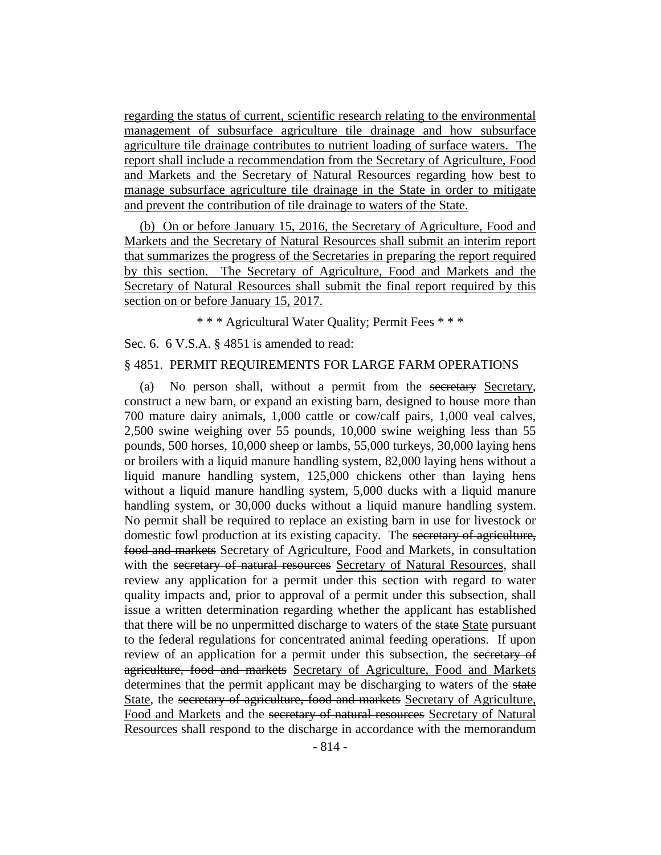regarding the status of current, scientific research relating to the environmental management of subsurface agriculture tile drainage and how subsurface agriculture tile drainage contributes to nutrient loading of surface waters. The report shall include a recommendation from the Secretary of Agriculture, Food and Markets and the Secretary of Natural Resources regarding how best to manage subsurface agriculture tile drainage in the State in order to mitigate and prevent the contribution of tile drainage to waters of the State.

(b) On or before January 15, 2016, the Secretary of Agriculture, Food and Markets and the Secretary of Natural Resources shall submit an interim report that summarizes the progress of the Secretaries in preparing the report required by this section. The Secretary of Agriculture, Food and Markets and the Secretary of Natural Resources shall submit the final report required by this section on or before January 15, 2017.

\* \* \* Agricultural Water Quality; Permit Fees \* \* \*

Sec. 6. 6 V.S.A. § 4851 is amended to read:

#### § 4851. PERMIT REQUIREMENTS FOR LARGE FARM OPERATIONS

(a) No person shall, without a permit from the secretary Secretary, construct a new barn, or expand an existing barn, designed to house more than 700 mature dairy animals, 1,000 cattle or cow/calf pairs, 1,000 veal calves, 2,500 swine weighing over 55 pounds, 10,000 swine weighing less than 55 pounds, 500 horses, 10,000 sheep or lambs, 55,000 turkeys, 30,000 laying hens or broilers with a liquid manure handling system, 82,000 laying hens without a liquid manure handling system, 125,000 chickens other than laying hens without a liquid manure handling system, 5,000 ducks with a liquid manure handling system, or 30,000 ducks without a liquid manure handling system. No permit shall be required to replace an existing barn in use for livestock or domestic fowl production at its existing capacity. The secretary of agriculture, food and markets Secretary of Agriculture, Food and Markets, in consultation with the secretary of natural resources Secretary of Natural Resources, shall review any application for a permit under this section with regard to water quality impacts and, prior to approval of a permit under this subsection, shall issue a written determination regarding whether the applicant has established that there will be no unpermitted discharge to waters of the state State pursuant to the federal regulations for concentrated animal feeding operations. If upon review of an application for a permit under this subsection, the secretary of agriculture, food and markets Secretary of Agriculture, Food and Markets determines that the permit applicant may be discharging to waters of the state State, the secretary of agriculture, food and markets Secretary of Agriculture, Food and Markets and the secretary of natural resources Secretary of Natural Resources shall respond to the discharge in accordance with the memorandum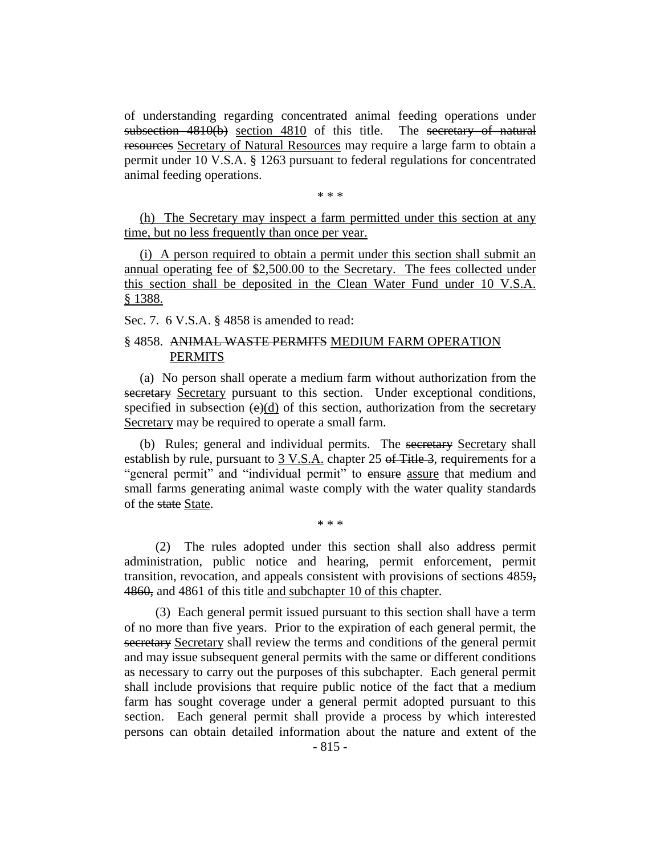of understanding regarding concentrated animal feeding operations under subsection 4810(b) section 4810 of this title. The secretary of natural resources Secretary of Natural Resources may require a large farm to obtain a permit under 10 V.S.A. § 1263 pursuant to federal regulations for concentrated animal feeding operations.

\* \* \*

(h) The Secretary may inspect a farm permitted under this section at any time, but no less frequently than once per year.

(i) A person required to obtain a permit under this section shall submit an annual operating fee of \$2,500.00 to the Secretary. The fees collected under this section shall be deposited in the Clean Water Fund under 10 V.S.A. § 1388.

Sec. 7. 6 V.S.A. § 4858 is amended to read:

## § 4858. ANIMAL WASTE PERMITS MEDIUM FARM OPERATION PERMITS

(a) No person shall operate a medium farm without authorization from the secretary Secretary pursuant to this section. Under exceptional conditions, specified in subsection  $(\Theta)(d)$  of this section, authorization from the secretary Secretary may be required to operate a small farm.

(b) Rules; general and individual permits. The secretary Secretary shall establish by rule, pursuant to 3 V.S.A. chapter 25 of Title 3, requirements for a "general permit" and "individual permit" to ensure assure that medium and small farms generating animal waste comply with the water quality standards of the state State.

\* \* \*

(2) The rules adopted under this section shall also address permit administration, public notice and hearing, permit enforcement, permit transition, revocation, and appeals consistent with provisions of sections 4859, 4860, and 4861 of this title and subchapter 10 of this chapter.

(3) Each general permit issued pursuant to this section shall have a term of no more than five years. Prior to the expiration of each general permit, the secretary Secretary shall review the terms and conditions of the general permit and may issue subsequent general permits with the same or different conditions as necessary to carry out the purposes of this subchapter. Each general permit shall include provisions that require public notice of the fact that a medium farm has sought coverage under a general permit adopted pursuant to this section. Each general permit shall provide a process by which interested persons can obtain detailed information about the nature and extent of the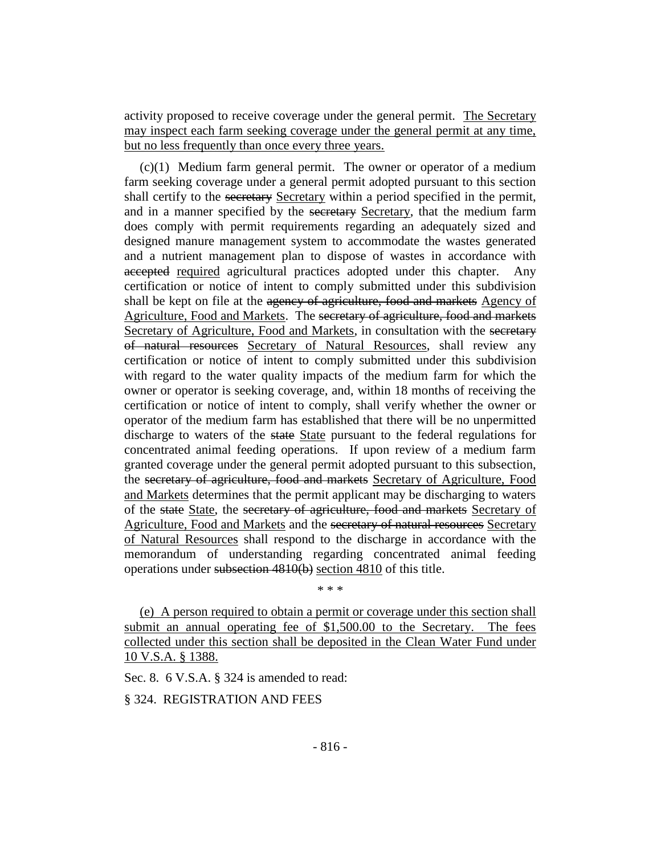activity proposed to receive coverage under the general permit. The Secretary may inspect each farm seeking coverage under the general permit at any time, but no less frequently than once every three years.

(c)(1) Medium farm general permit. The owner or operator of a medium farm seeking coverage under a general permit adopted pursuant to this section shall certify to the secretary Secretary within a period specified in the permit, and in a manner specified by the secretary Secretary, that the medium farm does comply with permit requirements regarding an adequately sized and designed manure management system to accommodate the wastes generated and a nutrient management plan to dispose of wastes in accordance with accepted required agricultural practices adopted under this chapter. Any certification or notice of intent to comply submitted under this subdivision shall be kept on file at the agency of agriculture, food and markets Agency of Agriculture, Food and Markets. The secretary of agriculture, food and markets Secretary of Agriculture, Food and Markets, in consultation with the secretary of natural resources Secretary of Natural Resources, shall review any certification or notice of intent to comply submitted under this subdivision with regard to the water quality impacts of the medium farm for which the owner or operator is seeking coverage, and, within 18 months of receiving the certification or notice of intent to comply, shall verify whether the owner or operator of the medium farm has established that there will be no unpermitted discharge to waters of the state State pursuant to the federal regulations for concentrated animal feeding operations. If upon review of a medium farm granted coverage under the general permit adopted pursuant to this subsection, the secretary of agriculture, food and markets Secretary of Agriculture, Food and Markets determines that the permit applicant may be discharging to waters of the state State, the secretary of agriculture, food and markets Secretary of Agriculture, Food and Markets and the secretary of natural resources Secretary of Natural Resources shall respond to the discharge in accordance with the memorandum of understanding regarding concentrated animal feeding operations under subsection 4810(b) section 4810 of this title.

\* \* \*

(e) A person required to obtain a permit or coverage under this section shall submit an annual operating fee of \$1,500.00 to the Secretary. The fees collected under this section shall be deposited in the Clean Water Fund under 10 V.S.A. § 1388.

Sec. 8. 6 V.S.A. § 324 is amended to read:

§ 324. REGISTRATION AND FEES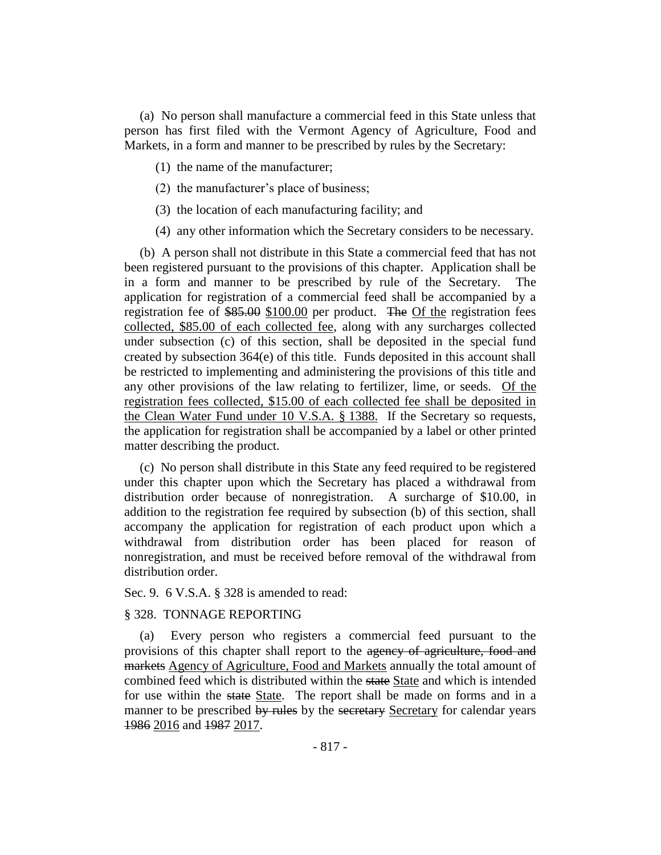(a) No person shall manufacture a commercial feed in this State unless that person has first filed with the Vermont Agency of Agriculture, Food and Markets, in a form and manner to be prescribed by rules by the Secretary:

(1) the name of the manufacturer;

- (2) the manufacturer's place of business;
- (3) the location of each manufacturing facility; and
- (4) any other information which the Secretary considers to be necessary.

(b) A person shall not distribute in this State a commercial feed that has not been registered pursuant to the provisions of this chapter. Application shall be in a form and manner to be prescribed by rule of the Secretary. The application for registration of a commercial feed shall be accompanied by a registration fee of \$85.00 \$100.00 per product. The Of the registration fees collected, \$85.00 of each collected fee, along with any surcharges collected under subsection (c) of this section, shall be deposited in the special fund created by subsection  $364(e)$  of this title. Funds deposited in this account shall be restricted to implementing and administering the provisions of this title and any other provisions of the law relating to fertilizer, lime, or seeds. Of the registration fees collected, \$15.00 of each collected fee shall be deposited in the Clean Water Fund under 10 V.S.A. § 1388. If the Secretary so requests, the application for registration shall be accompanied by a label or other printed matter describing the product.

(c) No person shall distribute in this State any feed required to be registered under this chapter upon which the Secretary has placed a withdrawal from distribution order because of nonregistration. A surcharge of \$10.00, in addition to the registration fee required by subsection (b) of this section, shall accompany the application for registration of each product upon which a withdrawal from distribution order has been placed for reason of nonregistration, and must be received before removal of the withdrawal from distribution order.

Sec. 9. 6 V.S.A. § 328 is amended to read:

## § 328. TONNAGE REPORTING

(a) Every person who registers a commercial feed pursuant to the provisions of this chapter shall report to the agency of agriculture, food and markets Agency of Agriculture, Food and Markets annually the total amount of combined feed which is distributed within the state State and which is intended for use within the state State. The report shall be made on forms and in a manner to be prescribed by rules by the secretary Secretary for calendar years 1986 2016 and 1987 2017.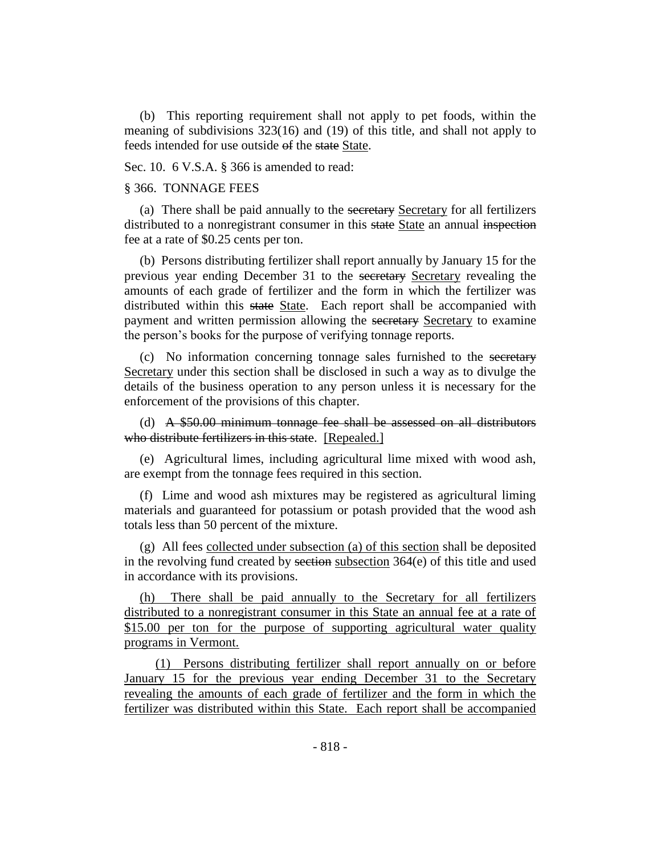(b) This reporting requirement shall not apply to pet foods, within the meaning of subdivisions 323(16) and (19) of this title, and shall not apply to feeds intended for use outside of the state State.

Sec. 10. 6 V.S.A. § 366 is amended to read:

#### § 366. TONNAGE FEES

(a) There shall be paid annually to the secretary Secretary for all fertilizers distributed to a nonregistrant consumer in this state State an annual inspection fee at a rate of \$0.25 cents per ton.

(b) Persons distributing fertilizer shall report annually by January 15 for the previous year ending December 31 to the secretary Secretary revealing the amounts of each grade of fertilizer and the form in which the fertilizer was distributed within this state State. Each report shall be accompanied with payment and written permission allowing the secretary Secretary to examine the person's books for the purpose of verifying tonnage reports.

(c) No information concerning tonnage sales furnished to the secretary Secretary under this section shall be disclosed in such a way as to divulge the details of the business operation to any person unless it is necessary for the enforcement of the provisions of this chapter.

(d) A \$50.00 minimum tonnage fee shall be assessed on all distributors who distribute fertilizers in this state. [Repealed.]

(e) Agricultural limes, including agricultural lime mixed with wood ash, are exempt from the tonnage fees required in this section.

(f) Lime and wood ash mixtures may be registered as agricultural liming materials and guaranteed for potassium or potash provided that the wood ash totals less than 50 percent of the mixture.

(g) All fees collected under subsection (a) of this section shall be deposited in the revolving fund created by section subsection  $364(e)$  of this title and used in accordance with its provisions.

(h) There shall be paid annually to the Secretary for all fertilizers distributed to a nonregistrant consumer in this State an annual fee at a rate of \$15.00 per ton for the purpose of supporting agricultural water quality programs in Vermont.

(1) Persons distributing fertilizer shall report annually on or before January 15 for the previous year ending December 31 to the Secretary revealing the amounts of each grade of fertilizer and the form in which the fertilizer was distributed within this State. Each report shall be accompanied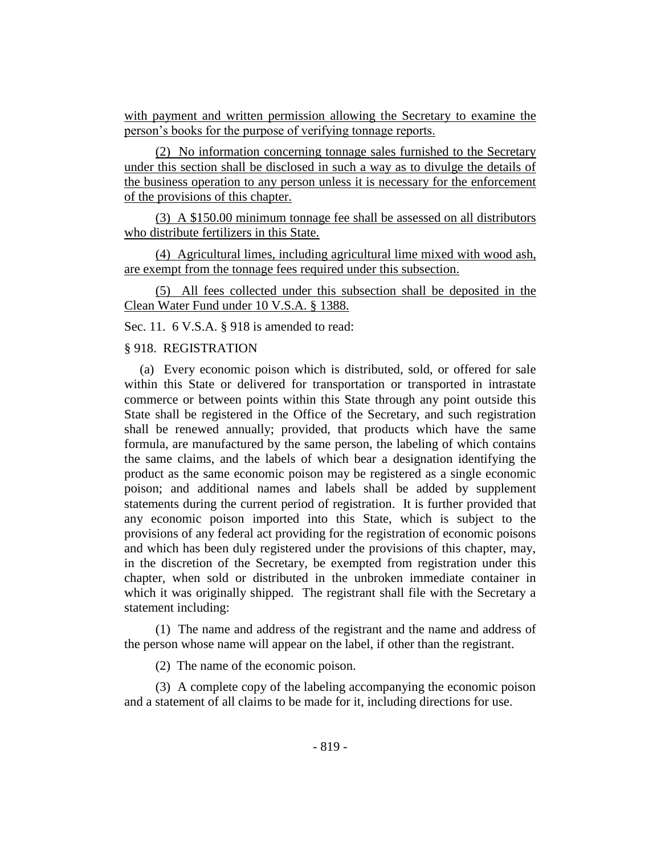with payment and written permission allowing the Secretary to examine the person's books for the purpose of verifying tonnage reports.

(2) No information concerning tonnage sales furnished to the Secretary under this section shall be disclosed in such a way as to divulge the details of the business operation to any person unless it is necessary for the enforcement of the provisions of this chapter.

(3) A \$150.00 minimum tonnage fee shall be assessed on all distributors who distribute fertilizers in this State.

(4) Agricultural limes, including agricultural lime mixed with wood ash, are exempt from the tonnage fees required under this subsection.

(5) All fees collected under this subsection shall be deposited in the Clean Water Fund under 10 V.S.A. § 1388.

Sec. 11. 6 V.S.A. § 918 is amended to read:

#### § 918. REGISTRATION

(a) Every economic poison which is distributed, sold, or offered for sale within this State or delivered for transportation or transported in intrastate commerce or between points within this State through any point outside this State shall be registered in the Office of the Secretary, and such registration shall be renewed annually; provided, that products which have the same formula, are manufactured by the same person, the labeling of which contains the same claims, and the labels of which bear a designation identifying the product as the same economic poison may be registered as a single economic poison; and additional names and labels shall be added by supplement statements during the current period of registration. It is further provided that any economic poison imported into this State, which is subject to the provisions of any federal act providing for the registration of economic poisons and which has been duly registered under the provisions of this chapter, may, in the discretion of the Secretary, be exempted from registration under this chapter, when sold or distributed in the unbroken immediate container in which it was originally shipped. The registrant shall file with the Secretary a statement including:

(1) The name and address of the registrant and the name and address of the person whose name will appear on the label, if other than the registrant.

(2) The name of the economic poison.

(3) A complete copy of the labeling accompanying the economic poison and a statement of all claims to be made for it, including directions for use.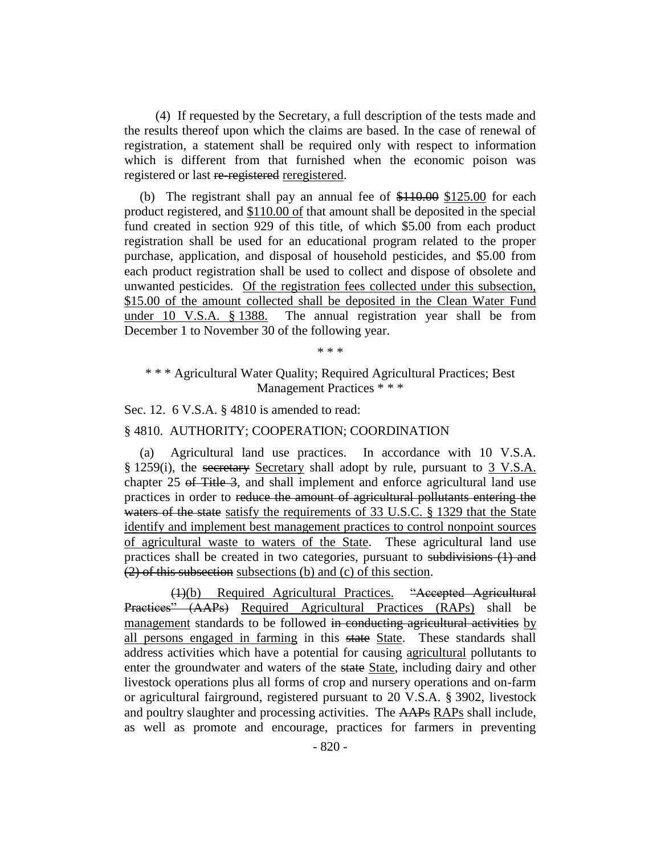(4) If requested by the Secretary, a full description of the tests made and the results thereof upon which the claims are based. In the case of renewal of registration, a statement shall be required only with respect to information which is different from that furnished when the economic poison was registered or last re-registered reregistered.

(b) The registrant shall pay an annual fee of  $$110.00$  \$125.00 for each product registered, and \$110.00 of that amount shall be deposited in the special fund created in section 929 of this title, of which \$5.00 from each product registration shall be used for an educational program related to the proper purchase, application, and disposal of household pesticides, and \$5.00 from each product registration shall be used to collect and dispose of obsolete and unwanted pesticides. Of the registration fees collected under this subsection, \$15.00 of the amount collected shall be deposited in the Clean Water Fund under 10 V.S.A. § 1388. The annual registration year shall be from December 1 to November 30 of the following year.

\* \* \*

\* \* \* Agricultural Water Quality; Required Agricultural Practices; Best Management Practices \* \* \*

Sec. 12. 6 V.S.A. § 4810 is amended to read:

§ 4810. AUTHORITY; COOPERATION; COORDINATION

(a) Agricultural land use practices. In accordance with 10 V.S.A. § 1259(i), the secretary Secretary shall adopt by rule, pursuant to 3 V.S.A. chapter 25 of Title 3, and shall implement and enforce agricultural land use practices in order to reduce the amount of agricultural pollutants entering the waters of the state satisfy the requirements of 33 U.S.C. § 1329 that the State identify and implement best management practices to control nonpoint sources of agricultural waste to waters of the State. These agricultural land use practices shall be created in two categories, pursuant to subdivisions (1) and (2) of this subsection subsections (b) and (c) of this section.

(1)(b) Required Agricultural Practices. "Accepted Agricultural Practices" (AAPs) Required Agricultural Practices (RAPs) shall be management standards to be followed in conducting agricultural activities by all persons engaged in farming in this state State. These standards shall address activities which have a potential for causing agricultural pollutants to enter the groundwater and waters of the state State, including dairy and other livestock operations plus all forms of crop and nursery operations and on-farm or agricultural fairground, registered pursuant to 20 V.S.A. § 3902, livestock and poultry slaughter and processing activities. The AAPs RAPs shall include, as well as promote and encourage, practices for farmers in preventing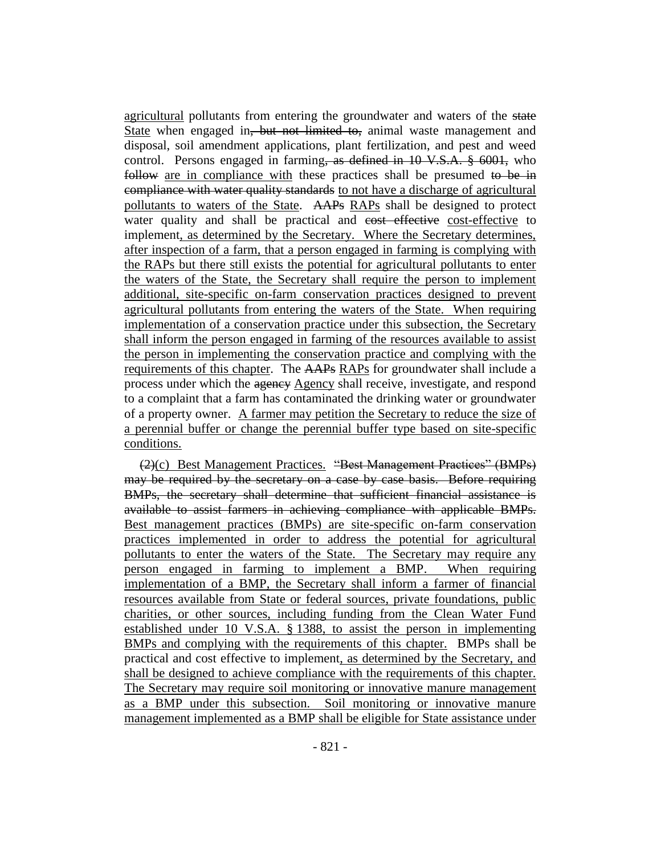agricultural pollutants from entering the groundwater and waters of the state State when engaged in<del>, but not limited to,</del> animal waste management and disposal, soil amendment applications, plant fertilization, and pest and weed control. Persons engaged in farming, as defined in 10 V.S.A. § 6001, who follow are in compliance with these practices shall be presumed to be in compliance with water quality standards to not have a discharge of agricultural pollutants to waters of the State. AAPs RAPs shall be designed to protect water quality and shall be practical and cost effective cost-effective to implement, as determined by the Secretary. Where the Secretary determines, after inspection of a farm, that a person engaged in farming is complying with the RAPs but there still exists the potential for agricultural pollutants to enter the waters of the State, the Secretary shall require the person to implement additional, site-specific on-farm conservation practices designed to prevent agricultural pollutants from entering the waters of the State. When requiring implementation of a conservation practice under this subsection, the Secretary shall inform the person engaged in farming of the resources available to assist the person in implementing the conservation practice and complying with the requirements of this chapter. The AAPs RAPs for groundwater shall include a process under which the agency Agency shall receive, investigate, and respond to a complaint that a farm has contaminated the drinking water or groundwater of a property owner. A farmer may petition the Secretary to reduce the size of a perennial buffer or change the perennial buffer type based on site-specific conditions.

(2)(c) Best Management Practices. "Best Management Practices" (BMPs) may be required by the secretary on a case by case basis. Before requiring BMPs, the secretary shall determine that sufficient financial assistance is available to assist farmers in achieving compliance with applicable BMPs. Best management practices (BMPs) are site-specific on-farm conservation practices implemented in order to address the potential for agricultural pollutants to enter the waters of the State. The Secretary may require any person engaged in farming to implement a BMP. When requiring implementation of a BMP, the Secretary shall inform a farmer of financial resources available from State or federal sources, private foundations, public charities, or other sources, including funding from the Clean Water Fund established under 10 V.S.A. § 1388, to assist the person in implementing BMPs and complying with the requirements of this chapter. BMPs shall be practical and cost effective to implement, as determined by the Secretary, and shall be designed to achieve compliance with the requirements of this chapter. The Secretary may require soil monitoring or innovative manure management as a BMP under this subsection. Soil monitoring or innovative manure management implemented as a BMP shall be eligible for State assistance under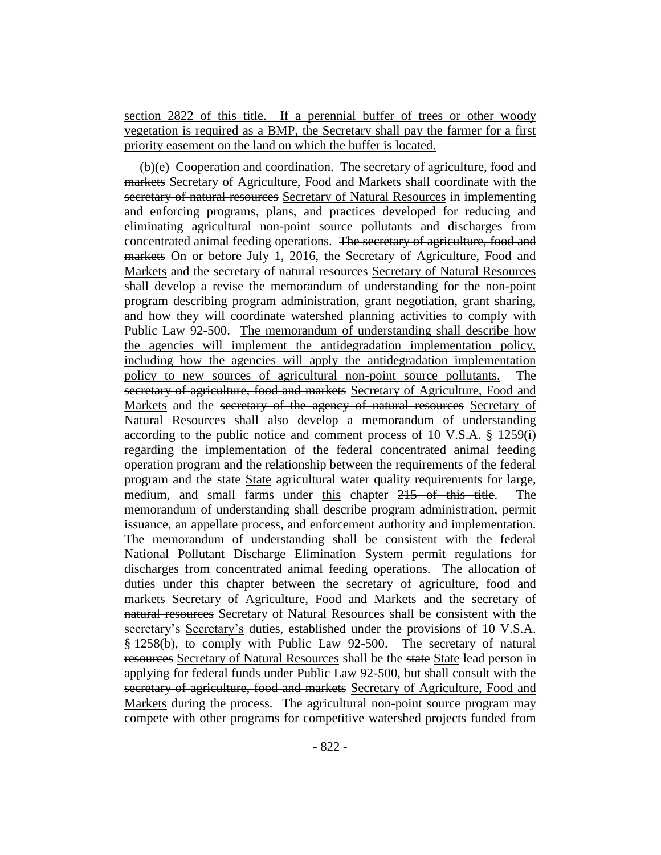section 2822 of this title. If a perennial buffer of trees or other woody vegetation is required as a BMP, the Secretary shall pay the farmer for a first priority easement on the land on which the buffer is located.

(b)(e) Cooperation and coordination. The secretary of agriculture, food and markets Secretary of Agriculture, Food and Markets shall coordinate with the secretary of natural resources Secretary of Natural Resources in implementing and enforcing programs, plans, and practices developed for reducing and eliminating agricultural non-point source pollutants and discharges from concentrated animal feeding operations. The secretary of agriculture, food and markets On or before July 1, 2016, the Secretary of Agriculture, Food and Markets and the secretary of natural resources Secretary of Natural Resources shall develop a revise the memorandum of understanding for the non-point program describing program administration, grant negotiation, grant sharing, and how they will coordinate watershed planning activities to comply with Public Law 92-500. The memorandum of understanding shall describe how the agencies will implement the antidegradation implementation policy, including how the agencies will apply the antidegradation implementation policy to new sources of agricultural non-point source pollutants. The secretary of agriculture, food and markets Secretary of Agriculture, Food and Markets and the secretary of the agency of natural resources Secretary of Natural Resources shall also develop a memorandum of understanding according to the public notice and comment process of 10 V.S.A. § 1259(i) regarding the implementation of the federal concentrated animal feeding operation program and the relationship between the requirements of the federal program and the state State agricultural water quality requirements for large, medium, and small farms under this chapter 215 of this title. The memorandum of understanding shall describe program administration, permit issuance, an appellate process, and enforcement authority and implementation. The memorandum of understanding shall be consistent with the federal National Pollutant Discharge Elimination System permit regulations for discharges from concentrated animal feeding operations. The allocation of duties under this chapter between the secretary of agriculture, food and markets Secretary of Agriculture, Food and Markets and the secretary of natural resources Secretary of Natural Resources shall be consistent with the secretary's Secretary's duties, established under the provisions of 10 V.S.A. § 1258(b), to comply with Public Law 92-500. The secretary of natural resources Secretary of Natural Resources shall be the state State lead person in applying for federal funds under Public Law 92-500, but shall consult with the secretary of agriculture, food and markets Secretary of Agriculture, Food and Markets during the process. The agricultural non-point source program may compete with other programs for competitive watershed projects funded from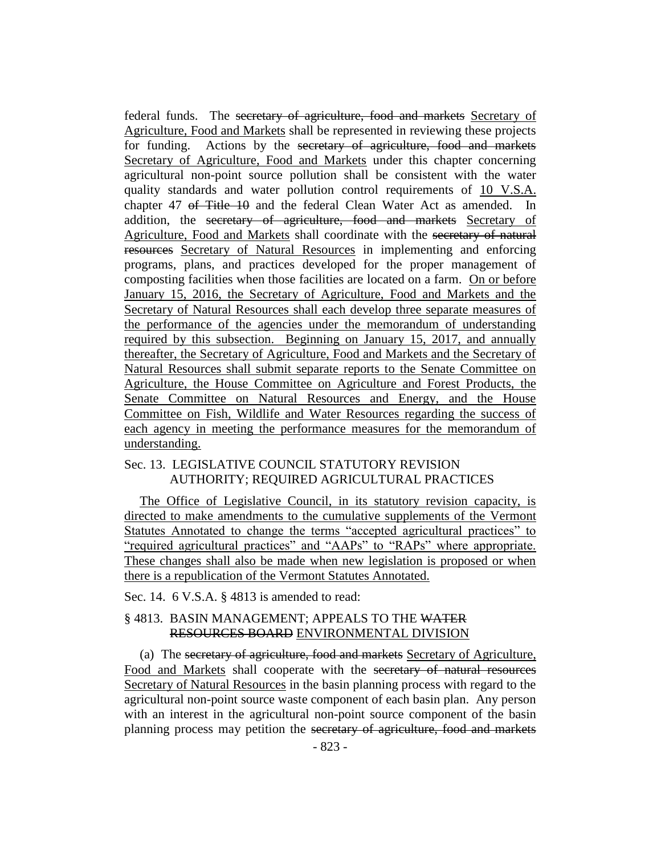federal funds. The secretary of agriculture, food and markets Secretary of Agriculture, Food and Markets shall be represented in reviewing these projects for funding. Actions by the secretary of agriculture, food and markets Secretary of Agriculture, Food and Markets under this chapter concerning agricultural non-point source pollution shall be consistent with the water quality standards and water pollution control requirements of 10 V.S.A. chapter 47 <del>of Title 10</del> and the federal Clean Water Act as amended. In addition, the secretary of agriculture, food and markets Secretary of Agriculture, Food and Markets shall coordinate with the secretary of natural resources Secretary of Natural Resources in implementing and enforcing programs, plans, and practices developed for the proper management of composting facilities when those facilities are located on a farm. On or before January 15, 2016, the Secretary of Agriculture, Food and Markets and the Secretary of Natural Resources shall each develop three separate measures of the performance of the agencies under the memorandum of understanding required by this subsection. Beginning on January 15, 2017, and annually thereafter, the Secretary of Agriculture, Food and Markets and the Secretary of Natural Resources shall submit separate reports to the Senate Committee on Agriculture, the House Committee on Agriculture and Forest Products, the Senate Committee on Natural Resources and Energy, and the House Committee on Fish, Wildlife and Water Resources regarding the success of each agency in meeting the performance measures for the memorandum of understanding.

## Sec. 13. LEGISLATIVE COUNCIL STATUTORY REVISION AUTHORITY; REQUIRED AGRICULTURAL PRACTICES

The Office of Legislative Council, in its statutory revision capacity, is directed to make amendments to the cumulative supplements of the Vermont Statutes Annotated to change the terms "accepted agricultural practices" to "required agricultural practices" and "AAPs" to "RAPs" where appropriate. These changes shall also be made when new legislation is proposed or when there is a republication of the Vermont Statutes Annotated.

Sec. 14. 6 V.S.A. § 4813 is amended to read:

## § 4813. BASIN MANAGEMENT; APPEALS TO THE WATER RESOURCES BOARD ENVIRONMENTAL DIVISION

(a) The secretary of agriculture, food and markets Secretary of Agriculture, Food and Markets shall cooperate with the secretary of natural resources Secretary of Natural Resources in the basin planning process with regard to the agricultural non-point source waste component of each basin plan. Any person with an interest in the agricultural non-point source component of the basin planning process may petition the secretary of agriculture, food and markets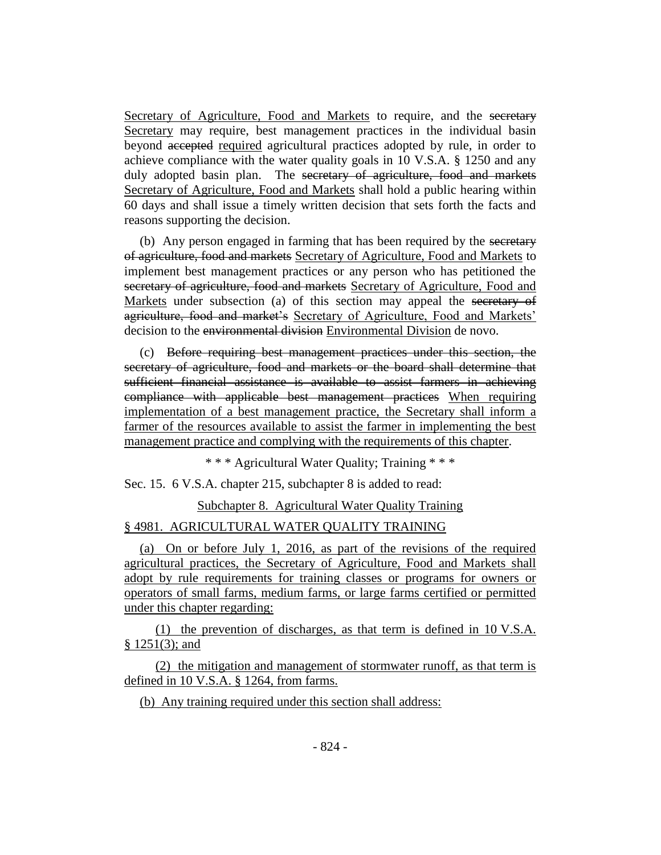Secretary of Agriculture, Food and Markets to require, and the secretary Secretary may require, best management practices in the individual basin beyond accepted required agricultural practices adopted by rule, in order to achieve compliance with the water quality goals in 10 V.S.A. § 1250 and any duly adopted basin plan. The secretary of agriculture, food and markets Secretary of Agriculture, Food and Markets shall hold a public hearing within 60 days and shall issue a timely written decision that sets forth the facts and reasons supporting the decision.

(b) Any person engaged in farming that has been required by the secretary of agriculture, food and markets Secretary of Agriculture, Food and Markets to implement best management practices or any person who has petitioned the secretary of agriculture, food and markets Secretary of Agriculture, Food and Markets under subsection (a) of this section may appeal the secretary of agriculture, food and market's Secretary of Agriculture, Food and Markets' decision to the environmental division Environmental Division de novo.

(c) Before requiring best management practices under this section, the secretary of agriculture, food and markets or the board shall determine that sufficient financial assistance is available to assist farmers in achieving compliance with applicable best management practices When requiring implementation of a best management practice, the Secretary shall inform a farmer of the resources available to assist the farmer in implementing the best management practice and complying with the requirements of this chapter.

\* \* \* Agricultural Water Quality; Training \* \* \*

Sec. 15. 6 V.S.A. chapter 215, subchapter 8 is added to read:

Subchapter 8. Agricultural Water Quality Training

#### § 4981. AGRICULTURAL WATER QUALITY TRAINING

(a) On or before July 1, 2016, as part of the revisions of the required agricultural practices, the Secretary of Agriculture, Food and Markets shall adopt by rule requirements for training classes or programs for owners or operators of small farms, medium farms, or large farms certified or permitted under this chapter regarding:

(1) the prevention of discharges, as that term is defined in 10 V.S.A. § 1251(3); and

(2) the mitigation and management of stormwater runoff, as that term is defined in 10 V.S.A. § 1264, from farms.

(b) Any training required under this section shall address: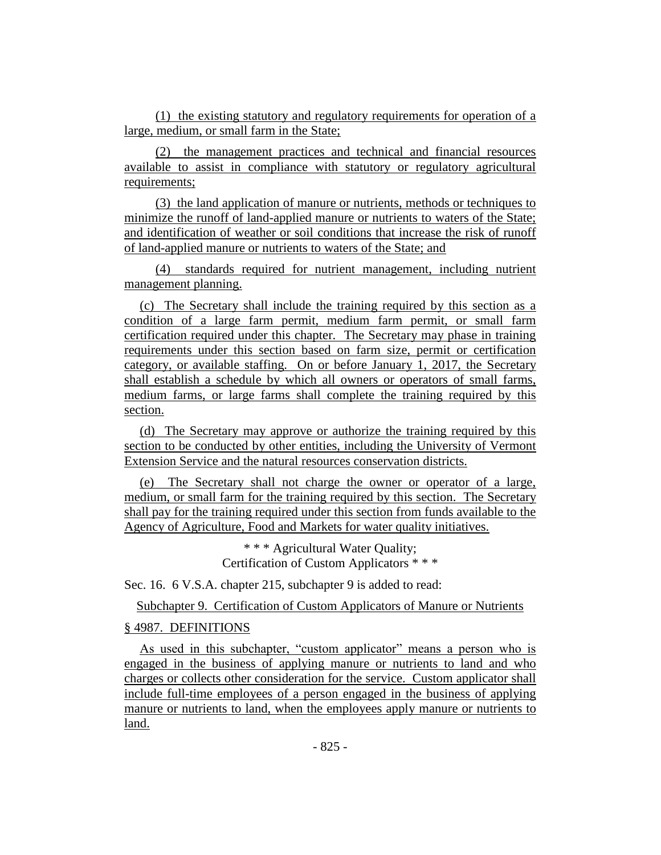(1) the existing statutory and regulatory requirements for operation of a large, medium, or small farm in the State;

(2) the management practices and technical and financial resources available to assist in compliance with statutory or regulatory agricultural requirements;

(3) the land application of manure or nutrients, methods or techniques to minimize the runoff of land-applied manure or nutrients to waters of the State; and identification of weather or soil conditions that increase the risk of runoff of land-applied manure or nutrients to waters of the State; and

(4) standards required for nutrient management, including nutrient management planning.

(c) The Secretary shall include the training required by this section as a condition of a large farm permit, medium farm permit, or small farm certification required under this chapter. The Secretary may phase in training requirements under this section based on farm size, permit or certification category, or available staffing. On or before January 1, 2017, the Secretary shall establish a schedule by which all owners or operators of small farms, medium farms, or large farms shall complete the training required by this section.

(d) The Secretary may approve or authorize the training required by this section to be conducted by other entities, including the University of Vermont Extension Service and the natural resources conservation districts.

(e) The Secretary shall not charge the owner or operator of a large, medium, or small farm for the training required by this section. The Secretary shall pay for the training required under this section from funds available to the Agency of Agriculture, Food and Markets for water quality initiatives.

> \* \* \* Agricultural Water Quality; Certification of Custom Applicators \* \* \*

Sec. 16. 6 V.S.A. chapter 215, subchapter 9 is added to read:

Subchapter 9. Certification of Custom Applicators of Manure or Nutrients

## § 4987. DEFINITIONS

As used in this subchapter, "custom applicator" means a person who is engaged in the business of applying manure or nutrients to land and who charges or collects other consideration for the service. Custom applicator shall include full-time employees of a person engaged in the business of applying manure or nutrients to land, when the employees apply manure or nutrients to land.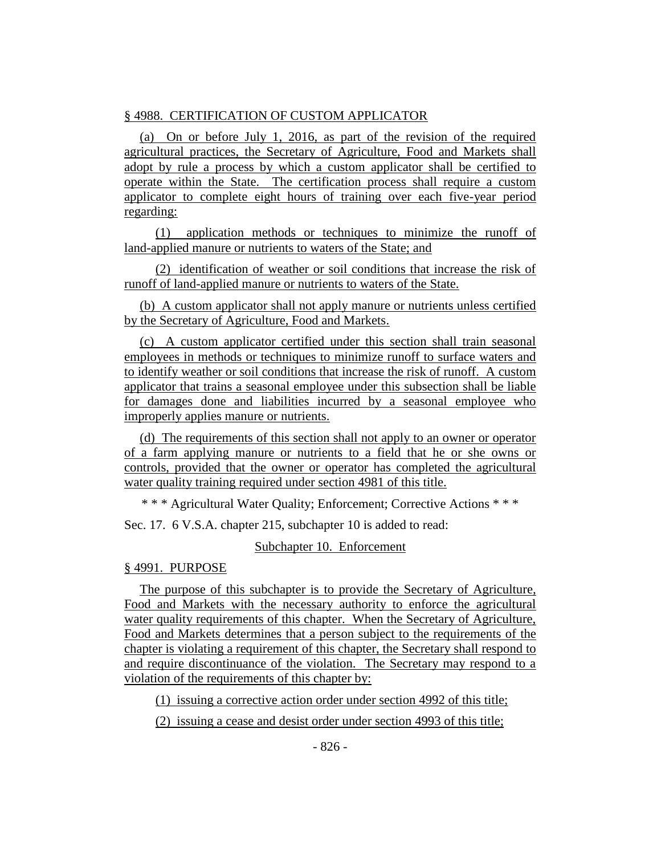## § 4988. CERTIFICATION OF CUSTOM APPLICATOR

(a) On or before July 1, 2016, as part of the revision of the required agricultural practices, the Secretary of Agriculture, Food and Markets shall adopt by rule a process by which a custom applicator shall be certified to operate within the State. The certification process shall require a custom applicator to complete eight hours of training over each five-year period regarding:

(1) application methods or techniques to minimize the runoff of land-applied manure or nutrients to waters of the State; and

(2) identification of weather or soil conditions that increase the risk of runoff of land-applied manure or nutrients to waters of the State.

(b) A custom applicator shall not apply manure or nutrients unless certified by the Secretary of Agriculture, Food and Markets.

(c) A custom applicator certified under this section shall train seasonal employees in methods or techniques to minimize runoff to surface waters and to identify weather or soil conditions that increase the risk of runoff. A custom applicator that trains a seasonal employee under this subsection shall be liable for damages done and liabilities incurred by a seasonal employee who improperly applies manure or nutrients.

(d) The requirements of this section shall not apply to an owner or operator of a farm applying manure or nutrients to a field that he or she owns or controls, provided that the owner or operator has completed the agricultural water quality training required under section 4981 of this title.

\* \* \* Agricultural Water Quality; Enforcement; Corrective Actions \* \* \*

Sec. 17. 6 V.S.A. chapter 215, subchapter 10 is added to read:

## Subchapter 10. Enforcement

## § 4991. PURPOSE

The purpose of this subchapter is to provide the Secretary of Agriculture, Food and Markets with the necessary authority to enforce the agricultural water quality requirements of this chapter. When the Secretary of Agriculture, Food and Markets determines that a person subject to the requirements of the chapter is violating a requirement of this chapter, the Secretary shall respond to and require discontinuance of the violation. The Secretary may respond to a violation of the requirements of this chapter by:

(1) issuing a corrective action order under section 4992 of this title;

(2) issuing a cease and desist order under section 4993 of this title;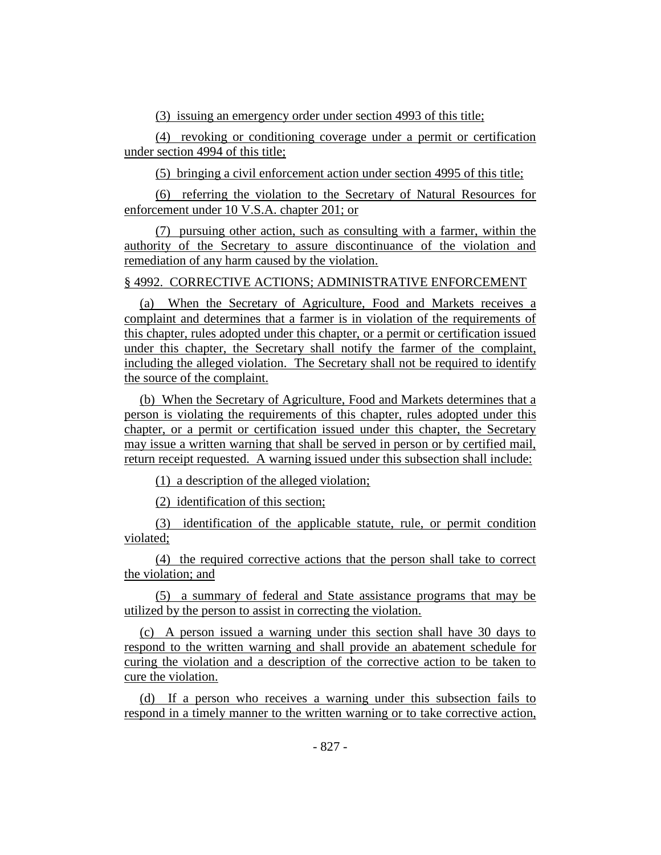(3) issuing an emergency order under section 4993 of this title;

(4) revoking or conditioning coverage under a permit or certification under section 4994 of this title;

(5) bringing a civil enforcement action under section 4995 of this title;

(6) referring the violation to the Secretary of Natural Resources for enforcement under 10 V.S.A. chapter 201; or

(7) pursuing other action, such as consulting with a farmer, within the authority of the Secretary to assure discontinuance of the violation and remediation of any harm caused by the violation.

## § 4992. CORRECTIVE ACTIONS; ADMINISTRATIVE ENFORCEMENT

(a) When the Secretary of Agriculture, Food and Markets receives a complaint and determines that a farmer is in violation of the requirements of this chapter, rules adopted under this chapter, or a permit or certification issued under this chapter, the Secretary shall notify the farmer of the complaint, including the alleged violation. The Secretary shall not be required to identify the source of the complaint.

(b) When the Secretary of Agriculture, Food and Markets determines that a person is violating the requirements of this chapter, rules adopted under this chapter, or a permit or certification issued under this chapter, the Secretary may issue a written warning that shall be served in person or by certified mail, return receipt requested. A warning issued under this subsection shall include:

(1) a description of the alleged violation;

(2) identification of this section;

(3) identification of the applicable statute, rule, or permit condition violated;

(4) the required corrective actions that the person shall take to correct the violation; and

(5) a summary of federal and State assistance programs that may be utilized by the person to assist in correcting the violation.

(c) A person issued a warning under this section shall have 30 days to respond to the written warning and shall provide an abatement schedule for curing the violation and a description of the corrective action to be taken to cure the violation.

(d) If a person who receives a warning under this subsection fails to respond in a timely manner to the written warning or to take corrective action,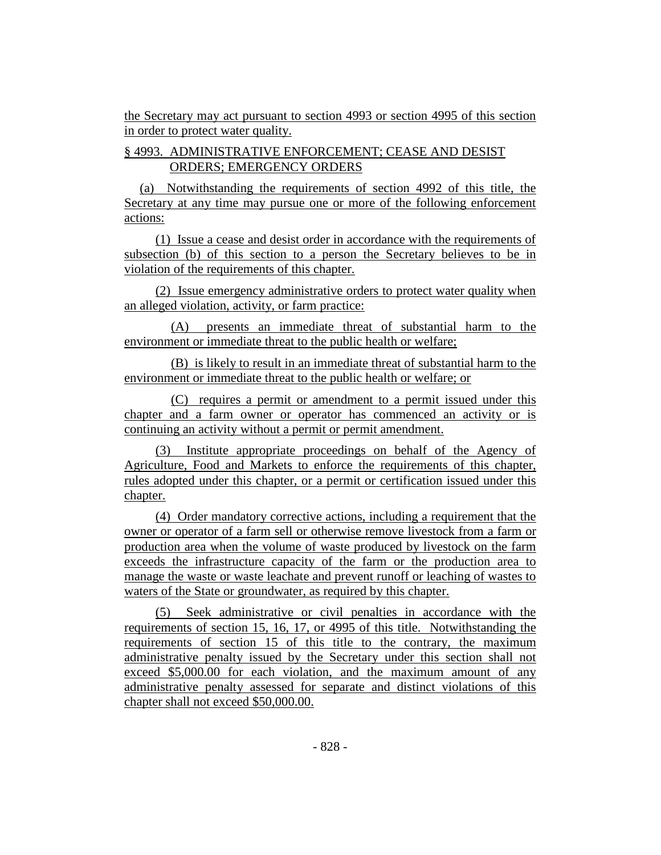the Secretary may act pursuant to section 4993 or section 4995 of this section in order to protect water quality.

## § 4993. ADMINISTRATIVE ENFORCEMENT; CEASE AND DESIST ORDERS; EMERGENCY ORDERS

(a) Notwithstanding the requirements of section 4992 of this title, the Secretary at any time may pursue one or more of the following enforcement actions:

(1) Issue a cease and desist order in accordance with the requirements of subsection (b) of this section to a person the Secretary believes to be in violation of the requirements of this chapter.

(2) Issue emergency administrative orders to protect water quality when an alleged violation, activity, or farm practice:

(A) presents an immediate threat of substantial harm to the environment or immediate threat to the public health or welfare;

(B) is likely to result in an immediate threat of substantial harm to the environment or immediate threat to the public health or welfare; or

(C) requires a permit or amendment to a permit issued under this chapter and a farm owner or operator has commenced an activity or is continuing an activity without a permit or permit amendment.

(3) Institute appropriate proceedings on behalf of the Agency of Agriculture, Food and Markets to enforce the requirements of this chapter, rules adopted under this chapter, or a permit or certification issued under this chapter.

(4) Order mandatory corrective actions, including a requirement that the owner or operator of a farm sell or otherwise remove livestock from a farm or production area when the volume of waste produced by livestock on the farm exceeds the infrastructure capacity of the farm or the production area to manage the waste or waste leachate and prevent runoff or leaching of wastes to waters of the State or groundwater, as required by this chapter.

(5) Seek administrative or civil penalties in accordance with the requirements of section 15, 16, 17, or 4995 of this title. Notwithstanding the requirements of section 15 of this title to the contrary, the maximum administrative penalty issued by the Secretary under this section shall not exceed \$5,000.00 for each violation, and the maximum amount of any administrative penalty assessed for separate and distinct violations of this chapter shall not exceed \$50,000.00.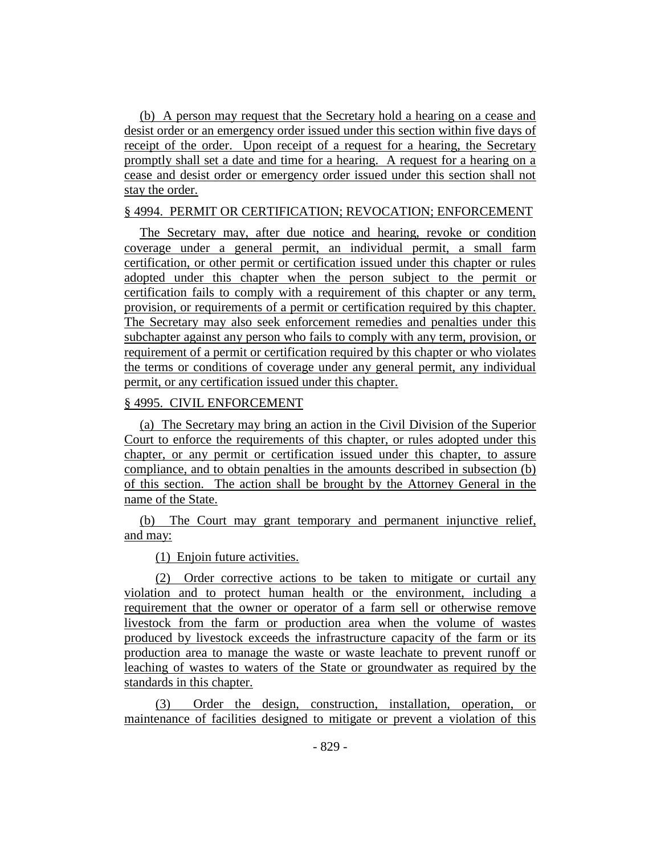(b) A person may request that the Secretary hold a hearing on a cease and desist order or an emergency order issued under this section within five days of receipt of the order. Upon receipt of a request for a hearing, the Secretary promptly shall set a date and time for a hearing. A request for a hearing on a cease and desist order or emergency order issued under this section shall not stay the order.

## § 4994. PERMIT OR CERTIFICATION; REVOCATION; ENFORCEMENT

The Secretary may, after due notice and hearing, revoke or condition coverage under a general permit, an individual permit, a small farm certification, or other permit or certification issued under this chapter or rules adopted under this chapter when the person subject to the permit or certification fails to comply with a requirement of this chapter or any term, provision, or requirements of a permit or certification required by this chapter. The Secretary may also seek enforcement remedies and penalties under this subchapter against any person who fails to comply with any term, provision, or requirement of a permit or certification required by this chapter or who violates the terms or conditions of coverage under any general permit, any individual permit, or any certification issued under this chapter.

## § 4995. CIVIL ENFORCEMENT

(a) The Secretary may bring an action in the Civil Division of the Superior Court to enforce the requirements of this chapter, or rules adopted under this chapter, or any permit or certification issued under this chapter, to assure compliance, and to obtain penalties in the amounts described in subsection (b) of this section. The action shall be brought by the Attorney General in the name of the State.

(b) The Court may grant temporary and permanent injunctive relief, and may:

(1) Enjoin future activities.

(2) Order corrective actions to be taken to mitigate or curtail any violation and to protect human health or the environment, including a requirement that the owner or operator of a farm sell or otherwise remove livestock from the farm or production area when the volume of wastes produced by livestock exceeds the infrastructure capacity of the farm or its production area to manage the waste or waste leachate to prevent runoff or leaching of wastes to waters of the State or groundwater as required by the standards in this chapter.

(3) Order the design, construction, installation, operation, or maintenance of facilities designed to mitigate or prevent a violation of this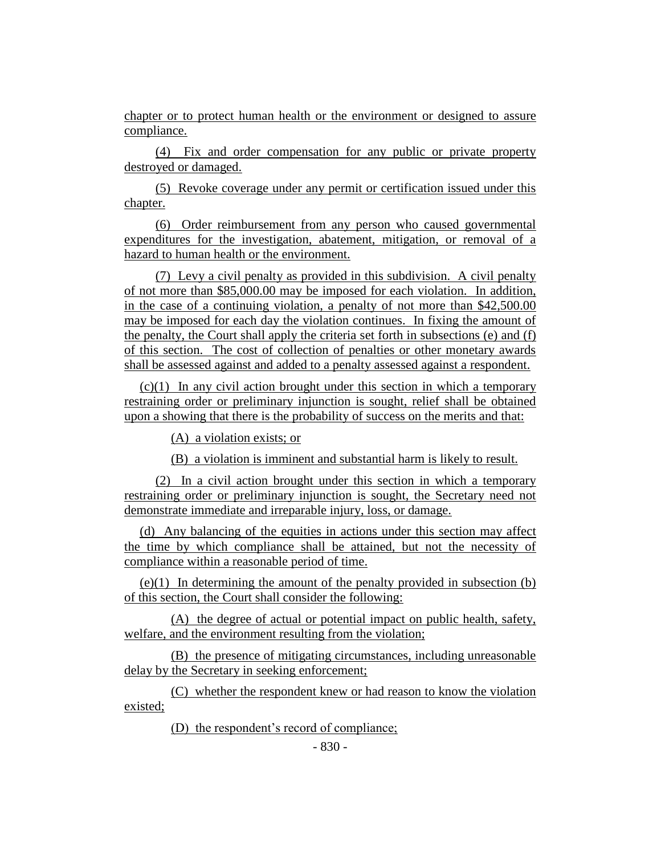chapter or to protect human health or the environment or designed to assure compliance.

(4) Fix and order compensation for any public or private property destroyed or damaged.

(5) Revoke coverage under any permit or certification issued under this chapter.

(6) Order reimbursement from any person who caused governmental expenditures for the investigation, abatement, mitigation, or removal of a hazard to human health or the environment.

(7) Levy a civil penalty as provided in this subdivision. A civil penalty of not more than \$85,000.00 may be imposed for each violation. In addition, in the case of a continuing violation, a penalty of not more than \$42,500.00 may be imposed for each day the violation continues. In fixing the amount of the penalty, the Court shall apply the criteria set forth in subsections (e) and (f) of this section. The cost of collection of penalties or other monetary awards shall be assessed against and added to a penalty assessed against a respondent.

(c)(1) In any civil action brought under this section in which a temporary restraining order or preliminary injunction is sought, relief shall be obtained upon a showing that there is the probability of success on the merits and that:

(A) a violation exists; or

(B) a violation is imminent and substantial harm is likely to result.

(2) In a civil action brought under this section in which a temporary restraining order or preliminary injunction is sought, the Secretary need not demonstrate immediate and irreparable injury, loss, or damage.

(d) Any balancing of the equities in actions under this section may affect the time by which compliance shall be attained, but not the necessity of compliance within a reasonable period of time.

(e)(1) In determining the amount of the penalty provided in subsection (b) of this section, the Court shall consider the following:

(A) the degree of actual or potential impact on public health, safety, welfare, and the environment resulting from the violation;

(B) the presence of mitigating circumstances, including unreasonable delay by the Secretary in seeking enforcement;

(C) whether the respondent knew or had reason to know the violation existed;

(D) the respondent's record of compliance;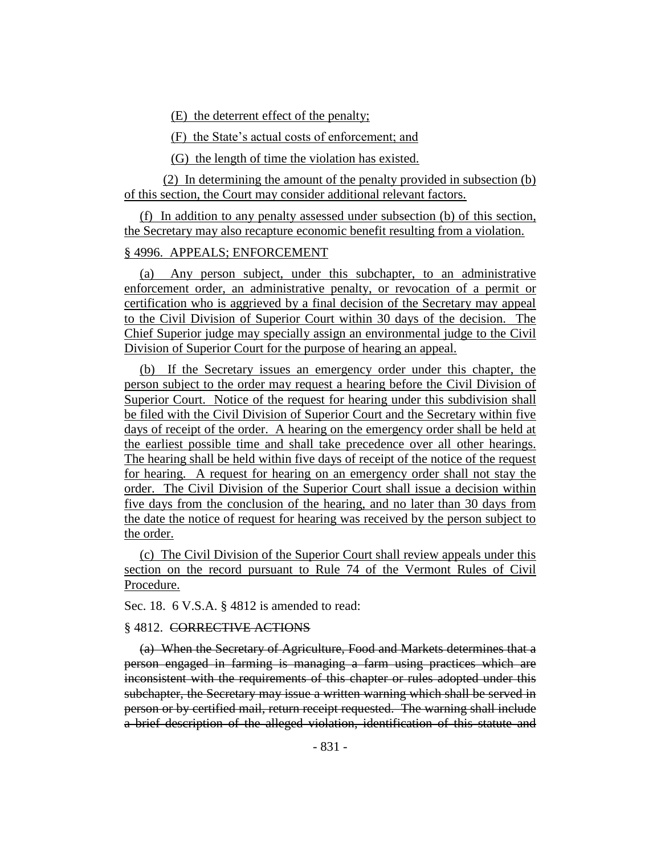(E) the deterrent effect of the penalty;

(F) the State's actual costs of enforcement; and

(G) the length of time the violation has existed.

(2) In determining the amount of the penalty provided in subsection (b) of this section, the Court may consider additional relevant factors.

(f) In addition to any penalty assessed under subsection (b) of this section, the Secretary may also recapture economic benefit resulting from a violation.

## § 4996. APPEALS; ENFORCEMENT

(a) Any person subject, under this subchapter, to an administrative enforcement order, an administrative penalty, or revocation of a permit or certification who is aggrieved by a final decision of the Secretary may appeal to the Civil Division of Superior Court within 30 days of the decision. The Chief Superior judge may specially assign an environmental judge to the Civil Division of Superior Court for the purpose of hearing an appeal.

(b) If the Secretary issues an emergency order under this chapter, the person subject to the order may request a hearing before the Civil Division of Superior Court. Notice of the request for hearing under this subdivision shall be filed with the Civil Division of Superior Court and the Secretary within five days of receipt of the order. A hearing on the emergency order shall be held at the earliest possible time and shall take precedence over all other hearings. The hearing shall be held within five days of receipt of the notice of the request for hearing. A request for hearing on an emergency order shall not stay the order. The Civil Division of the Superior Court shall issue a decision within five days from the conclusion of the hearing, and no later than 30 days from the date the notice of request for hearing was received by the person subject to the order.

(c) The Civil Division of the Superior Court shall review appeals under this section on the record pursuant to Rule 74 of the Vermont Rules of Civil Procedure.

Sec. 18. 6 V.S.A. § 4812 is amended to read:

## § 4812. CORRECTIVE ACTIONS

(a) When the Secretary of Agriculture, Food and Markets determines that a person engaged in farming is managing a farm using practices which are inconsistent with the requirements of this chapter or rules adopted under this subchapter, the Secretary may issue a written warning which shall be served in person or by certified mail, return receipt requested. The warning shall include a brief description of the alleged violation, identification of this statute and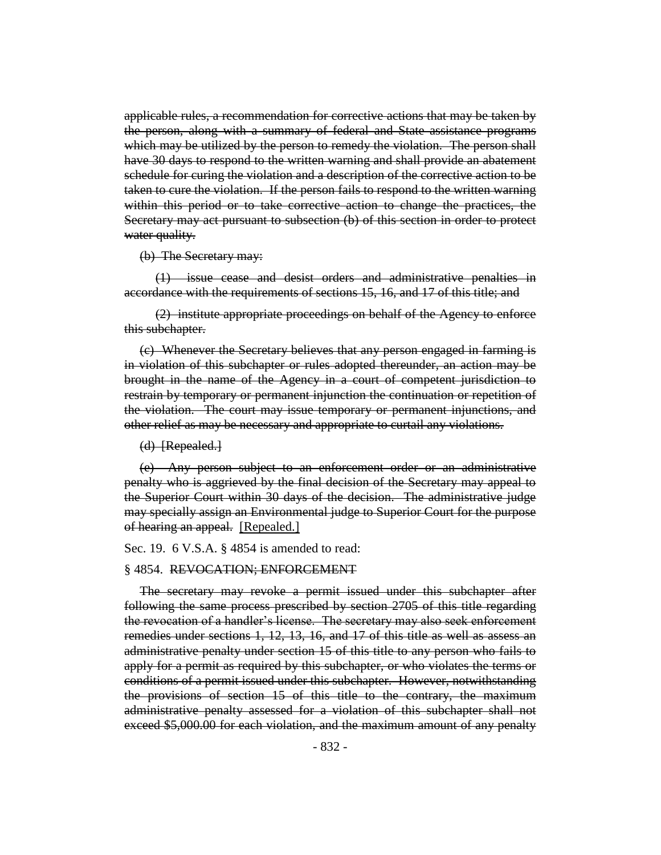applicable rules, a recommendation for corrective actions that may be taken by the person, along with a summary of federal and State assistance programs which may be utilized by the person to remedy the violation. The person shall have 30 days to respond to the written warning and shall provide an abatement schedule for curing the violation and a description of the corrective action to be taken to cure the violation. If the person fails to respond to the written warning within this period or to take corrective action to change the practices, the Secretary may act pursuant to subsection (b) of this section in order to protect water quality.

(b) The Secretary may:

(1) issue cease and desist orders and administrative penalties in accordance with the requirements of sections 15, 16, and 17 of this title; and

(2) institute appropriate proceedings on behalf of the Agency to enforce this subchapter.

(c) Whenever the Secretary believes that any person engaged in farming is in violation of this subchapter or rules adopted thereunder, an action may be brought in the name of the Agency in a court of competent jurisdiction to restrain by temporary or permanent injunction the continuation or repetition of the violation. The court may issue temporary or permanent injunctions, and other relief as may be necessary and appropriate to curtail any violations.

(d) [Repealed.]

(e) Any person subject to an enforcement order or an administrative penalty who is aggrieved by the final decision of the Secretary may appeal to the Superior Court within 30 days of the decision. The administrative judge may specially assign an Environmental judge to Superior Court for the purpose of hearing an appeal. [Repealed.]

Sec. 19. 6 V.S.A. § 4854 is amended to read:

#### § 4854. REVOCATION; ENFORCEMENT

The secretary may revoke a permit issued under this subchapter after following the same process prescribed by section 2705 of this title regarding the revocation of a handler's license. The secretary may also seek enforcement remedies under sections 1, 12, 13, 16, and 17 of this title as well as assess an administrative penalty under section 15 of this title to any person who fails to apply for a permit as required by this subchapter, or who violates the terms or conditions of a permit issued under this subchapter. However, notwithstanding the provisions of section 15 of this title to the contrary, the maximum administrative penalty assessed for a violation of this subchapter shall not exceed \$5,000.00 for each violation, and the maximum amount of any penalty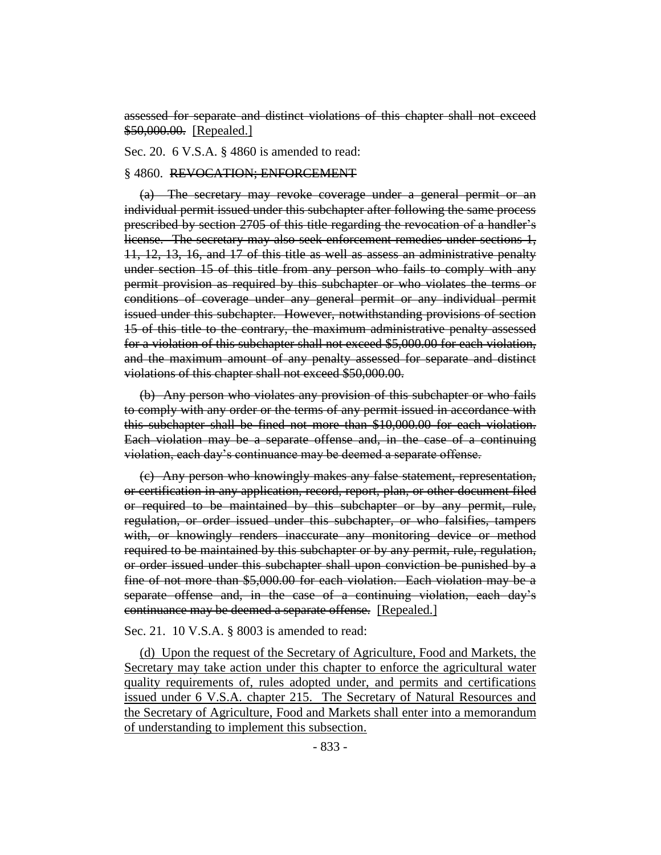assessed for separate and distinct violations of this chapter shall not exceed \$50,000.00. [Repealed.]

Sec. 20. 6 V.S.A. § 4860 is amended to read:

#### § 4860. REVOCATION; ENFORCEMENT

(a) The secretary may revoke coverage under a general permit or an individual permit issued under this subchapter after following the same process prescribed by section 2705 of this title regarding the revocation of a handler's license. The secretary may also seek enforcement remedies under sections 1, 11, 12, 13, 16, and 17 of this title as well as assess an administrative penalty under section 15 of this title from any person who fails to comply with any permit provision as required by this subchapter or who violates the terms or conditions of coverage under any general permit or any individual permit issued under this subchapter. However, notwithstanding provisions of section 15 of this title to the contrary, the maximum administrative penalty assessed for a violation of this subchapter shall not exceed \$5,000.00 for each violation, and the maximum amount of any penalty assessed for separate and distinct violations of this chapter shall not exceed \$50,000.00.

(b) Any person who violates any provision of this subchapter or who fails to comply with any order or the terms of any permit issued in accordance with this subchapter shall be fined not more than \$10,000.00 for each violation. Each violation may be a separate offense and, in the case of a continuing violation, each day's continuance may be deemed a separate offense.

(c) Any person who knowingly makes any false statement, representation, or certification in any application, record, report, plan, or other document filed or required to be maintained by this subchapter or by any permit, rule, regulation, or order issued under this subchapter, or who falsifies, tampers with, or knowingly renders inaccurate any monitoring device or method required to be maintained by this subchapter or by any permit, rule, regulation, or order issued under this subchapter shall upon conviction be punished by a fine of not more than \$5,000.00 for each violation. Each violation may be a separate offense and, in the case of a continuing violation, each day's continuance may be deemed a separate offense. [Repealed.]

#### Sec. 21. 10 V.S.A. § 8003 is amended to read:

(d) Upon the request of the Secretary of Agriculture, Food and Markets, the Secretary may take action under this chapter to enforce the agricultural water quality requirements of, rules adopted under, and permits and certifications issued under 6 V.S.A. chapter 215. The Secretary of Natural Resources and the Secretary of Agriculture, Food and Markets shall enter into a memorandum of understanding to implement this subsection.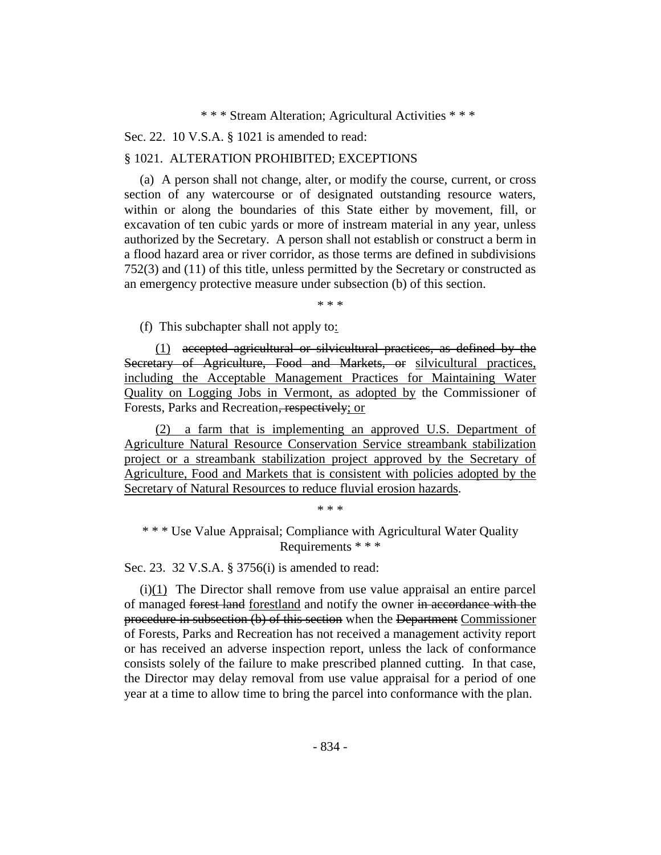\* \* \* Stream Alteration; Agricultural Activities \* \* \*

Sec. 22. 10 V.S.A. § 1021 is amended to read:

#### § 1021. ALTERATION PROHIBITED; EXCEPTIONS

(a) A person shall not change, alter, or modify the course, current, or cross section of any watercourse or of designated outstanding resource waters, within or along the boundaries of this State either by movement, fill, or excavation of ten cubic yards or more of instream material in any year, unless authorized by the Secretary. A person shall not establish or construct a berm in a flood hazard area or river corridor, as those terms are defined in subdivisions 752(3) and (11) of this title, unless permitted by the Secretary or constructed as an emergency protective measure under subsection (b) of this section.

\* \* \*

(f) This subchapter shall not apply to:

(1) accepted agricultural or silvicultural practices, as defined by the Secretary of Agriculture, Food and Markets, or silvicultural practices, including the Acceptable Management Practices for Maintaining Water Quality on Logging Jobs in Vermont, as adopted by the Commissioner of Forests, Parks and Recreation, respectively; or

(2) a farm that is implementing an approved U.S. Department of Agriculture Natural Resource Conservation Service streambank stabilization project or a streambank stabilization project approved by the Secretary of Agriculture, Food and Markets that is consistent with policies adopted by the Secretary of Natural Resources to reduce fluvial erosion hazards.

\* \* \*

\* \* \* Use Value Appraisal; Compliance with Agricultural Water Quality Requirements \* \* \*

Sec. 23. 32 V.S.A. § 3756(i) is amended to read:

(i)(1) The Director shall remove from use value appraisal an entire parcel of managed forest land forestland and notify the owner in accordance with the procedure in subsection (b) of this section when the Department Commissioner of Forests, Parks and Recreation has not received a management activity report or has received an adverse inspection report, unless the lack of conformance consists solely of the failure to make prescribed planned cutting. In that case, the Director may delay removal from use value appraisal for a period of one year at a time to allow time to bring the parcel into conformance with the plan.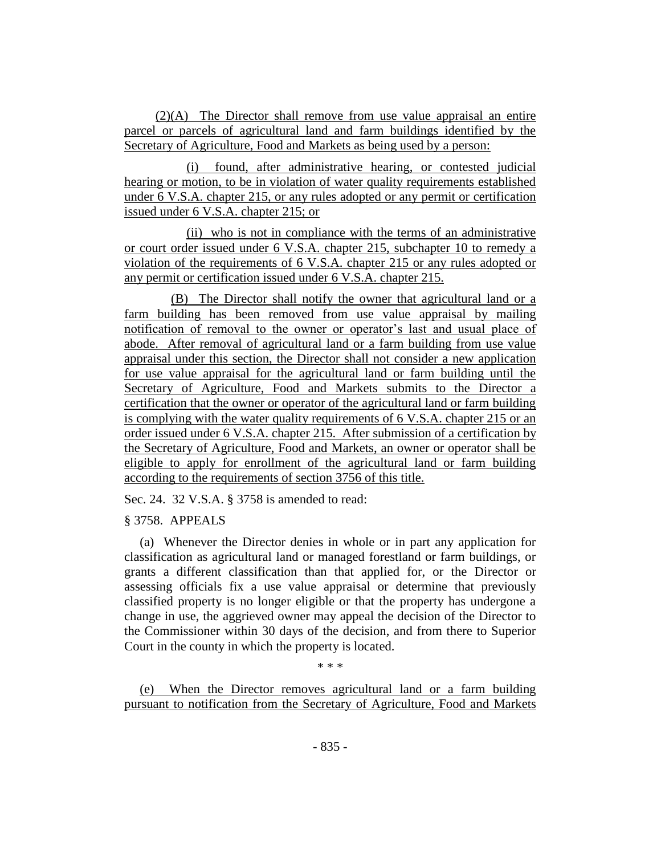(2)(A) The Director shall remove from use value appraisal an entire parcel or parcels of agricultural land and farm buildings identified by the Secretary of Agriculture, Food and Markets as being used by a person:

(i) found, after administrative hearing, or contested judicial hearing or motion, to be in violation of water quality requirements established under 6 V.S.A. chapter 215, or any rules adopted or any permit or certification issued under 6 V.S.A. chapter 215; or

(ii) who is not in compliance with the terms of an administrative or court order issued under 6 V.S.A. chapter 215, subchapter 10 to remedy a violation of the requirements of 6 V.S.A. chapter 215 or any rules adopted or any permit or certification issued under 6 V.S.A. chapter 215.

(B) The Director shall notify the owner that agricultural land or a farm building has been removed from use value appraisal by mailing notification of removal to the owner or operator's last and usual place of abode. After removal of agricultural land or a farm building from use value appraisal under this section, the Director shall not consider a new application for use value appraisal for the agricultural land or farm building until the Secretary of Agriculture, Food and Markets submits to the Director a certification that the owner or operator of the agricultural land or farm building is complying with the water quality requirements of 6 V.S.A. chapter 215 or an order issued under 6 V.S.A. chapter 215. After submission of a certification by the Secretary of Agriculture, Food and Markets, an owner or operator shall be eligible to apply for enrollment of the agricultural land or farm building according to the requirements of section 3756 of this title.

Sec. 24. 32 V.S.A. § 3758 is amended to read:

§ 3758. APPEALS

(a) Whenever the Director denies in whole or in part any application for classification as agricultural land or managed forestland or farm buildings, or grants a different classification than that applied for, or the Director or assessing officials fix a use value appraisal or determine that previously classified property is no longer eligible or that the property has undergone a change in use, the aggrieved owner may appeal the decision of the Director to the Commissioner within 30 days of the decision, and from there to Superior Court in the county in which the property is located.

\* \* \*

(e) When the Director removes agricultural land or a farm building pursuant to notification from the Secretary of Agriculture, Food and Markets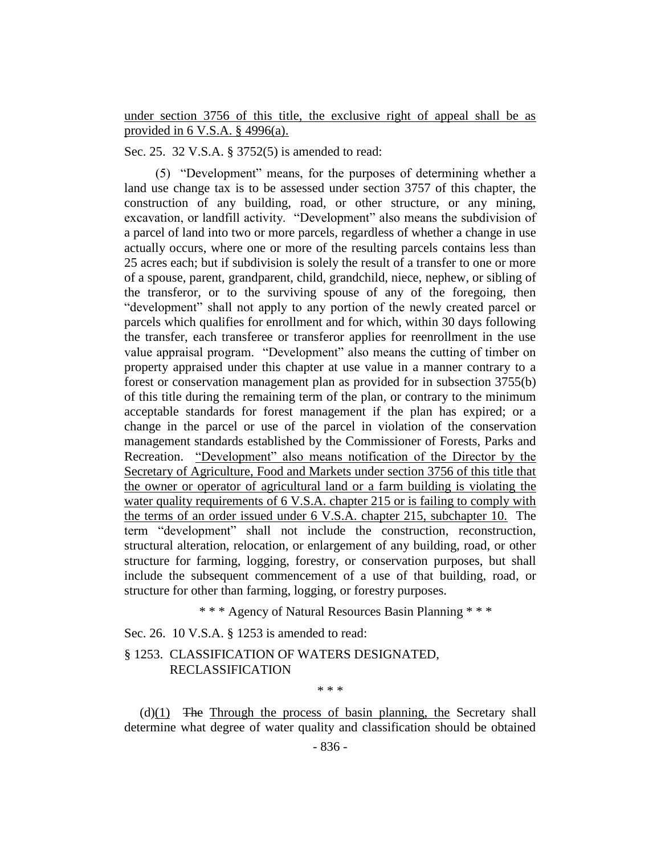under section 3756 of this title, the exclusive right of appeal shall be as provided in 6 V.S.A. § 4996(a).

Sec. 25. 32 V.S.A. § 3752(5) is amended to read:

(5) "Development" means, for the purposes of determining whether a land use change tax is to be assessed under section 3757 of this chapter, the construction of any building, road, or other structure, or any mining, excavation, or landfill activity. "Development" also means the subdivision of a parcel of land into two or more parcels, regardless of whether a change in use actually occurs, where one or more of the resulting parcels contains less than 25 acres each; but if subdivision is solely the result of a transfer to one or more of a spouse, parent, grandparent, child, grandchild, niece, nephew, or sibling of the transferor, or to the surviving spouse of any of the foregoing, then "development" shall not apply to any portion of the newly created parcel or parcels which qualifies for enrollment and for which, within 30 days following the transfer, each transferee or transferor applies for reenrollment in the use value appraisal program. "Development" also means the cutting of timber on property appraised under this chapter at use value in a manner contrary to a forest or conservation management plan as provided for in subsection 3755(b) of this title during the remaining term of the plan, or contrary to the minimum acceptable standards for forest management if the plan has expired; or a change in the parcel or use of the parcel in violation of the conservation management standards established by the Commissioner of Forests, Parks and Recreation. "Development" also means notification of the Director by the Secretary of Agriculture, Food and Markets under section 3756 of this title that the owner or operator of agricultural land or a farm building is violating the water quality requirements of 6 V.S.A. chapter 215 or is failing to comply with the terms of an order issued under 6 V.S.A. chapter 215, subchapter 10. The term "development" shall not include the construction, reconstruction, structural alteration, relocation, or enlargement of any building, road, or other structure for farming, logging, forestry, or conservation purposes, but shall include the subsequent commencement of a use of that building, road, or structure for other than farming, logging, or forestry purposes.

\* \* \* Agency of Natural Resources Basin Planning \* \* \*

Sec. 26. 10 V.S.A. § 1253 is amended to read:

## § 1253. CLASSIFICATION OF WATERS DESIGNATED, RECLASSIFICATION

\* \* \*

 $(d)(1)$  The Through the process of basin planning, the Secretary shall determine what degree of water quality and classification should be obtained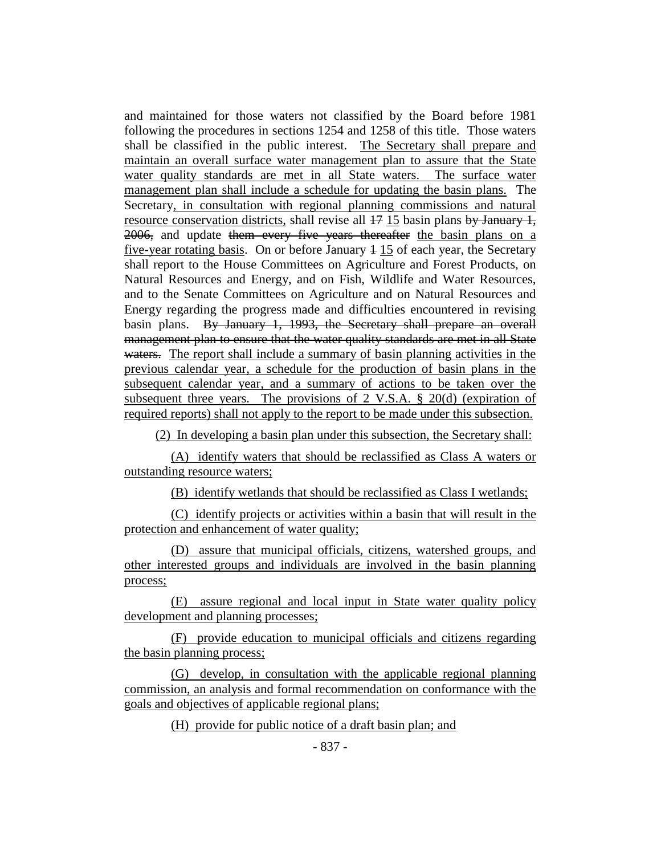and maintained for those waters not classified by the Board before 1981 following the procedures in sections 1254 and 1258 of this title. Those waters shall be classified in the public interest. The Secretary shall prepare and maintain an overall surface water management plan to assure that the State water quality standards are met in all State waters. The surface water management plan shall include a schedule for updating the basin plans. The Secretary, in consultation with regional planning commissions and natural resource conservation districts, shall revise all  $17$  15 basin plans by January 1, 2006, and update them every five years thereafter the basin plans on a five-year rotating basis. On or before January  $4\,15$  of each year, the Secretary shall report to the House Committees on Agriculture and Forest Products, on Natural Resources and Energy, and on Fish, Wildlife and Water Resources, and to the Senate Committees on Agriculture and on Natural Resources and Energy regarding the progress made and difficulties encountered in revising basin plans. By January 1, 1993, the Secretary shall prepare an overall management plan to ensure that the water quality standards are met in all State waters. The report shall include a summary of basin planning activities in the previous calendar year, a schedule for the production of basin plans in the subsequent calendar year, and a summary of actions to be taken over the subsequent three years. The provisions of 2 V.S.A. § 20(d) (expiration of required reports) shall not apply to the report to be made under this subsection.

(2) In developing a basin plan under this subsection, the Secretary shall:

(A) identify waters that should be reclassified as Class A waters or outstanding resource waters;

(B) identify wetlands that should be reclassified as Class I wetlands;

(C) identify projects or activities within a basin that will result in the protection and enhancement of water quality;

(D) assure that municipal officials, citizens, watershed groups, and other interested groups and individuals are involved in the basin planning process;

(E) assure regional and local input in State water quality policy development and planning processes;

(F) provide education to municipal officials and citizens regarding the basin planning process;

(G) develop, in consultation with the applicable regional planning commission, an analysis and formal recommendation on conformance with the goals and objectives of applicable regional plans;

(H) provide for public notice of a draft basin plan; and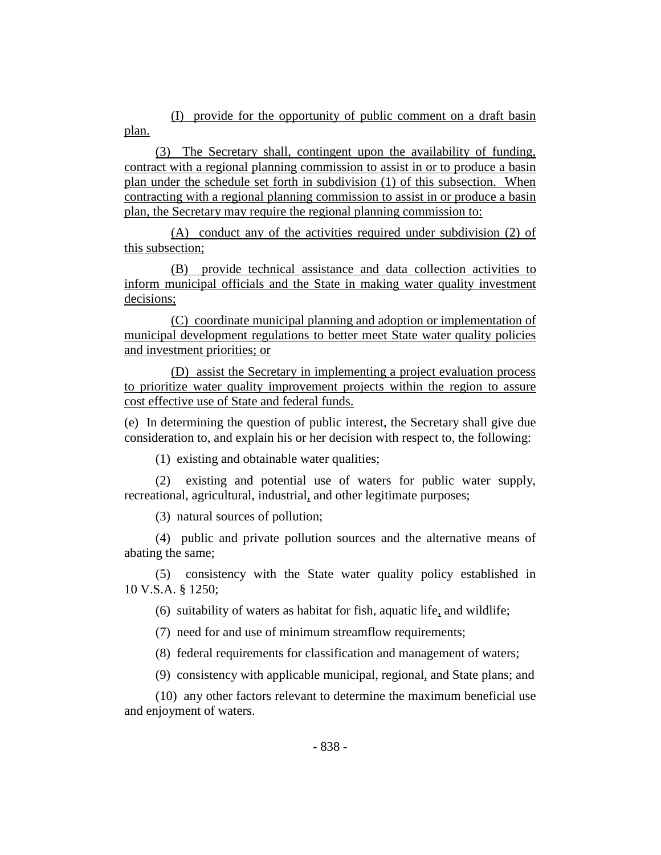(I) provide for the opportunity of public comment on a draft basin plan.

(3) The Secretary shall, contingent upon the availability of funding, contract with a regional planning commission to assist in or to produce a basin plan under the schedule set forth in subdivision (1) of this subsection. When contracting with a regional planning commission to assist in or produce a basin plan, the Secretary may require the regional planning commission to:

(A) conduct any of the activities required under subdivision (2) of this subsection;

(B) provide technical assistance and data collection activities to inform municipal officials and the State in making water quality investment decisions;

(C) coordinate municipal planning and adoption or implementation of municipal development regulations to better meet State water quality policies and investment priorities; or

(D) assist the Secretary in implementing a project evaluation process to prioritize water quality improvement projects within the region to assure cost effective use of State and federal funds.

(e) In determining the question of public interest, the Secretary shall give due consideration to, and explain his or her decision with respect to, the following:

(1) existing and obtainable water qualities;

(2) existing and potential use of waters for public water supply, recreational, agricultural, industrial, and other legitimate purposes;

(3) natural sources of pollution;

(4) public and private pollution sources and the alternative means of abating the same;

(5) consistency with the State water quality policy established in 10 V.S.A. § 1250;

(6) suitability of waters as habitat for fish, aquatic life, and wildlife;

(7) need for and use of minimum streamflow requirements;

(8) federal requirements for classification and management of waters;

(9) consistency with applicable municipal, regional, and State plans; and

(10) any other factors relevant to determine the maximum beneficial use and enjoyment of waters.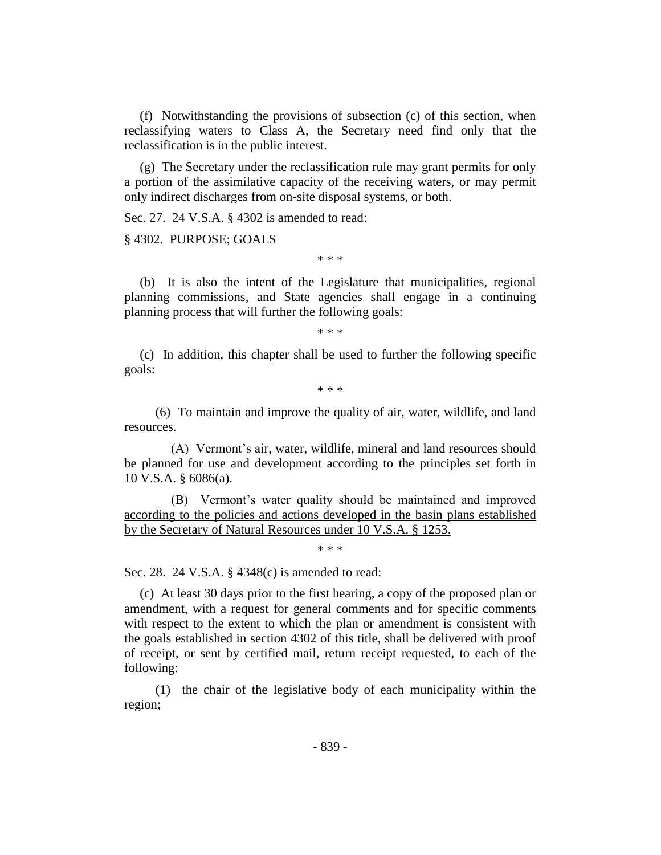(f) Notwithstanding the provisions of subsection (c) of this section, when reclassifying waters to Class A, the Secretary need find only that the reclassification is in the public interest.

(g) The Secretary under the reclassification rule may grant permits for only a portion of the assimilative capacity of the receiving waters, or may permit only indirect discharges from on-site disposal systems, or both.

Sec. 27. 24 V.S.A. § 4302 is amended to read:

§ 4302. PURPOSE; GOALS

\* \* \*

(b) It is also the intent of the Legislature that municipalities, regional planning commissions, and State agencies shall engage in a continuing planning process that will further the following goals:

\* \* \*

(c) In addition, this chapter shall be used to further the following specific goals:

\* \* \*

(6) To maintain and improve the quality of air, water, wildlife, and land resources.

(A) Vermont's air, water, wildlife, mineral and land resources should be planned for use and development according to the principles set forth in 10 V.S.A. § 6086(a).

(B) Vermont's water quality should be maintained and improved according to the policies and actions developed in the basin plans established by the Secretary of Natural Resources under 10 V.S.A. § 1253.

\* \* \*

Sec. 28. 24 V.S.A. § 4348(c) is amended to read:

(c) At least 30 days prior to the first hearing, a copy of the proposed plan or amendment, with a request for general comments and for specific comments with respect to the extent to which the plan or amendment is consistent with the goals established in section 4302 of this title, shall be delivered with proof of receipt, or sent by certified mail, return receipt requested, to each of the following:

(1) the chair of the legislative body of each municipality within the region;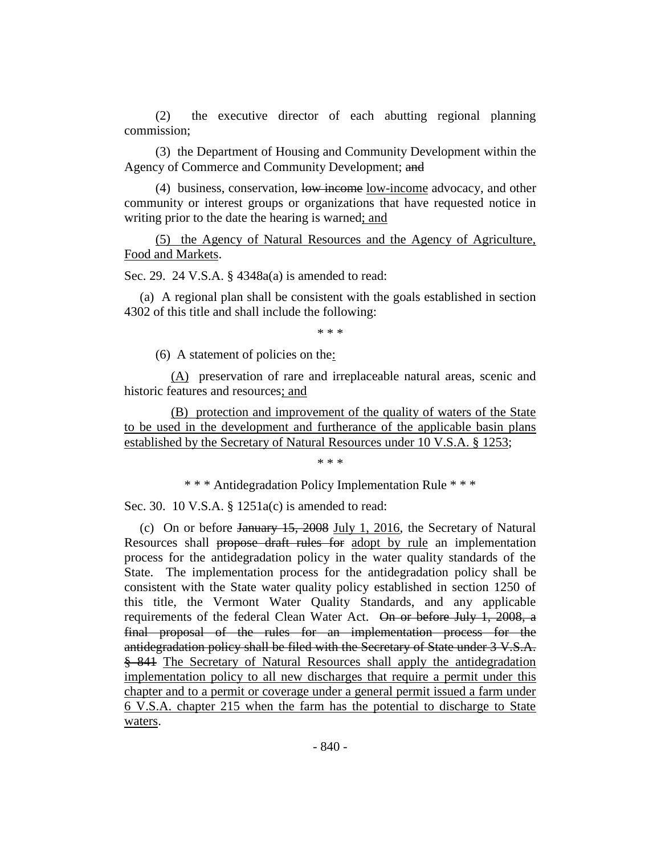(2) the executive director of each abutting regional planning commission;

(3) the Department of Housing and Community Development within the Agency of Commerce and Community Development; and

(4) business, conservation, low income low-income advocacy, and other community or interest groups or organizations that have requested notice in writing prior to the date the hearing is warned; and

(5) the Agency of Natural Resources and the Agency of Agriculture, Food and Markets.

Sec. 29. 24 V.S.A. § 4348a(a) is amended to read:

(a) A regional plan shall be consistent with the goals established in section 4302 of this title and shall include the following:

\* \* \*

(6) A statement of policies on the:

(A) preservation of rare and irreplaceable natural areas, scenic and historic features and resources; and

(B) protection and improvement of the quality of waters of the State to be used in the development and furtherance of the applicable basin plans established by the Secretary of Natural Resources under 10 V.S.A. § 1253;

\* \* \*

\* \* \* Antidegradation Policy Implementation Rule \* \* \*

Sec. 30. 10 V.S.A. § 1251a(c) is amended to read:

(c) On or before January 15, 2008 July 1, 2016, the Secretary of Natural Resources shall propose draft rules for adopt by rule an implementation process for the antidegradation policy in the water quality standards of the State. The implementation process for the antidegradation policy shall be consistent with the State water quality policy established in section 1250 of this title, the Vermont Water Quality Standards, and any applicable requirements of the federal Clean Water Act. On or before July 1, 2008, a final proposal of the rules for an implementation process for the antidegradation policy shall be filed with the Secretary of State under 3 V.S.A. § 841 The Secretary of Natural Resources shall apply the antidegradation implementation policy to all new discharges that require a permit under this chapter and to a permit or coverage under a general permit issued a farm under 6 V.S.A. chapter 215 when the farm has the potential to discharge to State waters.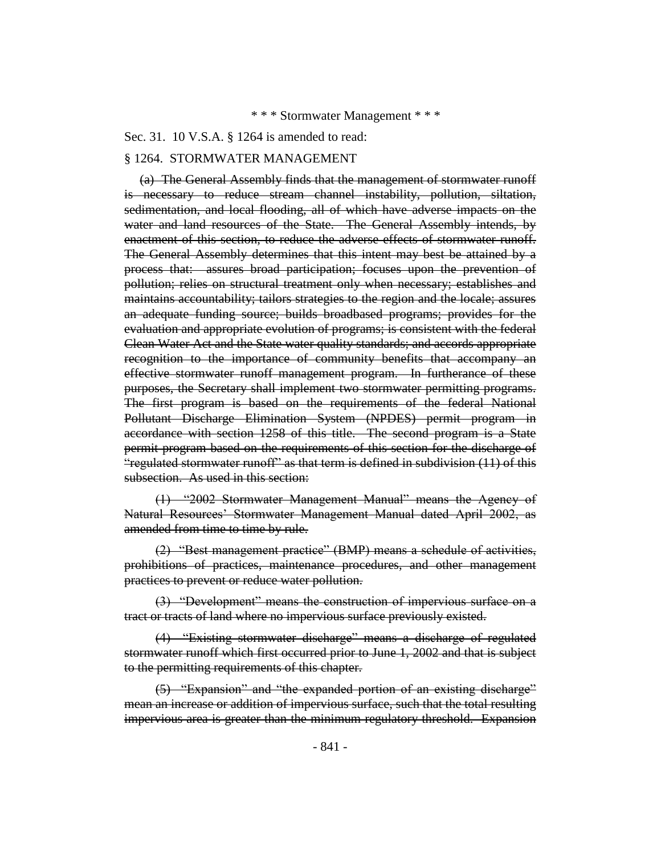#### \* \* \* Stormwater Management \* \* \*

#### Sec. 31. 10 V.S.A. § 1264 is amended to read:

#### § 1264. STORMWATER MANAGEMENT

(a) The General Assembly finds that the management of stormwater runoff is necessary to reduce stream channel instability, pollution, siltation, sedimentation, and local flooding, all of which have adverse impacts on the water and land resources of the State. The General Assembly intends, by enactment of this section, to reduce the adverse effects of stormwater runoff. The General Assembly determines that this intent may best be attained by a process that: assures broad participation; focuses upon the prevention of pollution; relies on structural treatment only when necessary; establishes and maintains accountability; tailors strategies to the region and the locale; assures an adequate funding source; builds broadbased programs; provides for the evaluation and appropriate evolution of programs; is consistent with the federal Clean Water Act and the State water quality standards; and accords appropriate recognition to the importance of community benefits that accompany an effective stormwater runoff management program. In furtherance of these purposes, the Secretary shall implement two stormwater permitting programs. The first program is based on the requirements of the federal National Pollutant Discharge Elimination System (NPDES) permit program in accordance with section 1258 of this title. The second program is a State permit program based on the requirements of this section for the discharge of "regulated stormwater runoff" as that term is defined in subdivision (11) of this subsection. As used in this section:

(1) "2002 Stormwater Management Manual" means the Agency of Natural Resources' Stormwater Management Manual dated April 2002, as amended from time to time by rule.

(2) "Best management practice" (BMP) means a schedule of activities, prohibitions of practices, maintenance procedures, and other management practices to prevent or reduce water pollution.

(3) "Development" means the construction of impervious surface on a tract or tracts of land where no impervious surface previously existed.

(4) "Existing stormwater discharge" means a discharge of regulated stormwater runoff which first occurred prior to June 1, 2002 and that is subject to the permitting requirements of this chapter.

(5) "Expansion" and "the expanded portion of an existing discharge" mean an increase or addition of impervious surface, such that the total resulting impervious area is greater than the minimum regulatory threshold. Expansion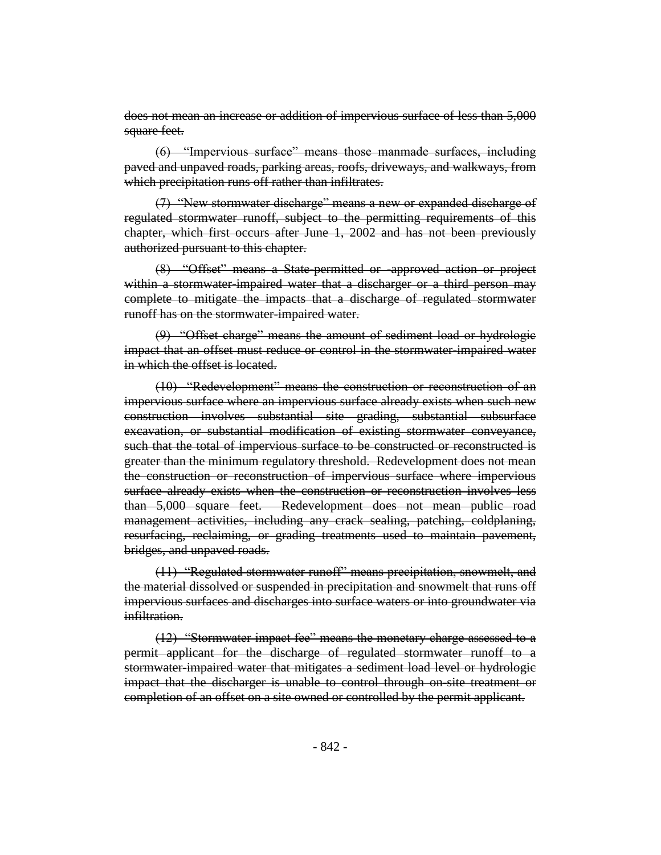does not mean an increase or addition of impervious surface of less than 5,000 square feet.

(6) "Impervious surface" means those manmade surfaces, including paved and unpaved roads, parking areas, roofs, driveways, and walkways, from which precipitation runs off rather than infiltrates.

(7) "New stormwater discharge" means a new or expanded discharge of regulated stormwater runoff, subject to the permitting requirements of this chapter, which first occurs after June 1, 2002 and has not been previously authorized pursuant to this chapter.

(8) "Offset" means a State-permitted or -approved action or project within a stormwater-impaired water that a discharger or a third person may complete to mitigate the impacts that a discharge of regulated stormwater runoff has on the stormwater-impaired water.

(9) "Offset charge" means the amount of sediment load or hydrologic impact that an offset must reduce or control in the stormwater impaired water in which the offset is located.

(10) "Redevelopment" means the construction or reconstruction of an impervious surface where an impervious surface already exists when such new construction involves substantial site grading, substantial subsurface excavation, or substantial modification of existing stormwater conveyance, such that the total of impervious surface to be constructed or reconstructed is greater than the minimum regulatory threshold. Redevelopment does not mean the construction or reconstruction of impervious surface where impervious surface already exists when the construction or reconstruction involves less than 5,000 square feet. Redevelopment does not mean public road management activities, including any crack sealing, patching, coldplaning, resurfacing, reclaiming, or grading treatments used to maintain pavement, bridges, and unpaved roads.

(11) "Regulated stormwater runoff" means precipitation, snowmelt, and the material dissolved or suspended in precipitation and snowmelt that runs off impervious surfaces and discharges into surface waters or into groundwater via infiltration.

(12) "Stormwater impact fee" means the monetary charge assessed to a permit applicant for the discharge of regulated stormwater runoff to a stormwater-impaired water that mitigates a sediment load level or hydrologie impact that the discharger is unable to control through on-site treatment or completion of an offset on a site owned or controlled by the permit applicant.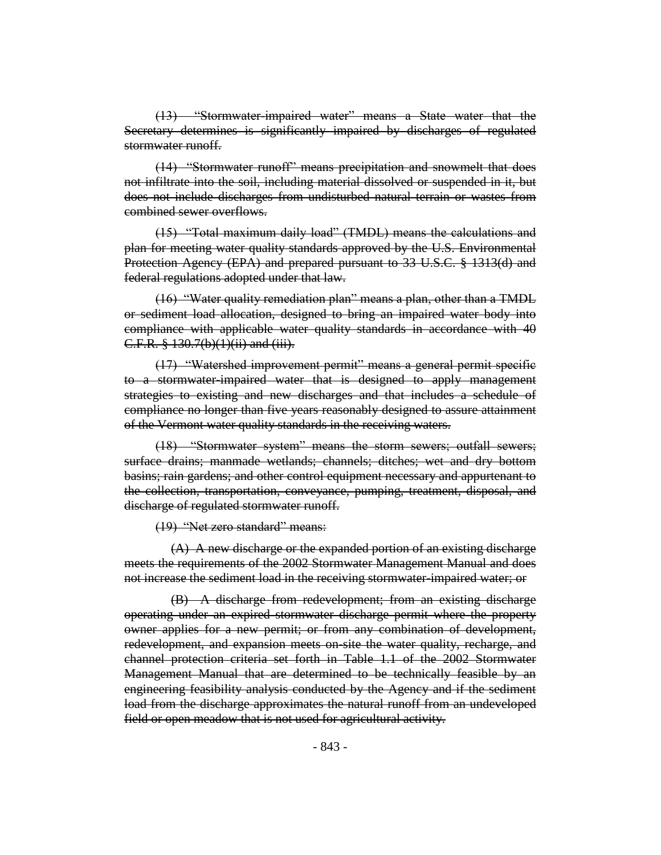(13) "Stormwater-impaired water" means a State water that the Secretary determines is significantly impaired by discharges of regulated stormwater runoff.

(14) "Stormwater runoff" means precipitation and snowmelt that does not infiltrate into the soil, including material dissolved or suspended in it, but does not include discharges from undisturbed natural terrain or wastes from combined sewer overflows.

(15) "Total maximum daily load" (TMDL) means the calculations and plan for meeting water quality standards approved by the U.S. Environmental Protection Agency (EPA) and prepared pursuant to 33 U.S.C. § 1313(d) and federal regulations adopted under that law.

(16) "Water quality remediation plan" means a plan, other than a TMDL or sediment load allocation, designed to bring an impaired water body into compliance with applicable water quality standards in accordance with 40 C.F.R. § 130.7(b)(1)(ii) and (iii).

(17) "Watershed improvement permit" means a general permit specific to a stormwater-impaired water that is designed to apply management strategies to existing and new discharges and that includes a schedule of compliance no longer than five years reasonably designed to assure attainment of the Vermont water quality standards in the receiving waters.

(18) "Stormwater system" means the storm sewers; outfall sewers; surface drains; manmade wetlands; channels; ditches; wet and dry bottom basins; rain gardens; and other control equipment necessary and appurtenant to the collection, transportation, conveyance, pumping, treatment, disposal, and discharge of regulated stormwater runoff.

(19) "Net zero standard" means:

(A) A new discharge or the expanded portion of an existing discharge meets the requirements of the 2002 Stormwater Management Manual and does not increase the sediment load in the receiving stormwater-impaired water; or

(B) A discharge from redevelopment; from an existing discharge operating under an expired stormwater discharge permit where the property owner applies for a new permit; or from any combination of development, redevelopment, and expansion meets on-site the water quality, recharge, and channel protection criteria set forth in Table 1.1 of the 2002 Stormwater Management Manual that are determined to be technically feasible by an engineering feasibility analysis conducted by the Agency and if the sediment load from the discharge approximates the natural runoff from an undeveloped field or open meadow that is not used for agricultural activity.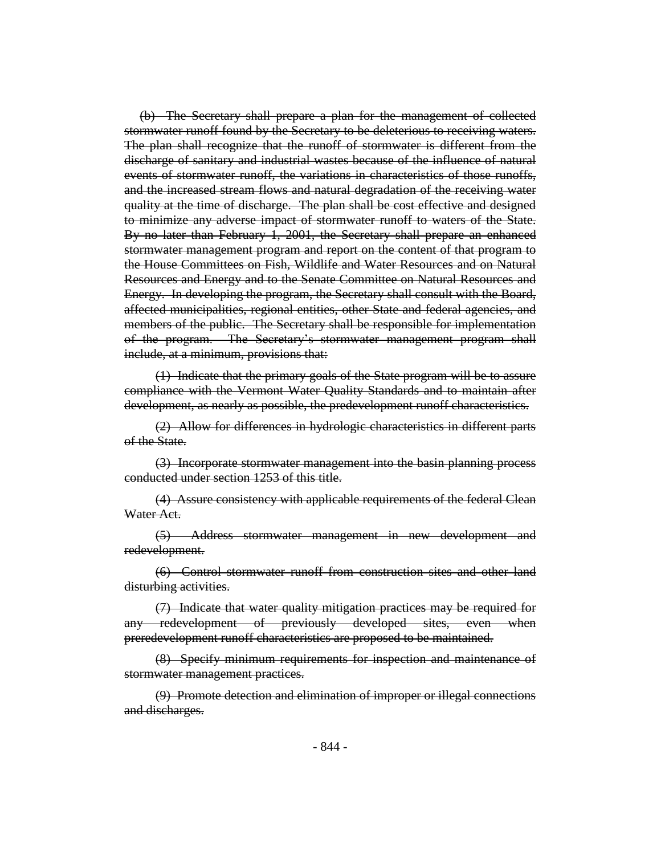(b) The Secretary shall prepare a plan for the management of collected stormwater runoff found by the Secretary to be deleterious to receiving waters. The plan shall recognize that the runoff of stormwater is different from the discharge of sanitary and industrial wastes because of the influence of natural events of stormwater runoff, the variations in characteristics of those runoffs, and the increased stream flows and natural degradation of the receiving water quality at the time of discharge. The plan shall be cost effective and designed to minimize any adverse impact of stormwater runoff to waters of the State. By no later than February 1, 2001, the Secretary shall prepare an enhanced stormwater management program and report on the content of that program to the House Committees on Fish, Wildlife and Water Resources and on Natural Resources and Energy and to the Senate Committee on Natural Resources and Energy. In developing the program, the Secretary shall consult with the Board, affected municipalities, regional entities, other State and federal agencies, and members of the public. The Secretary shall be responsible for implementation of the program. The Secretary's stormwater management program shall include, at a minimum, provisions that:

(1) Indicate that the primary goals of the State program will be to assure compliance with the Vermont Water Quality Standards and to maintain after development, as nearly as possible, the predevelopment runoff characteristics.

(2) Allow for differences in hydrologic characteristics in different parts of the State.

(3) Incorporate stormwater management into the basin planning process conducted under section 1253 of this title.

(4) Assure consistency with applicable requirements of the federal Clean Water Act.

(5) Address stormwater management in new development and redevelopment.

(6) Control stormwater runoff from construction sites and other land disturbing activities.

(7) Indicate that water quality mitigation practices may be required for redevelopment of previously developed sites, even when preredevelopment runoff characteristics are proposed to be maintained.

(8) Specify minimum requirements for inspection and maintenance of stormwater management practices.

(9) Promote detection and elimination of improper or illegal connections and discharges.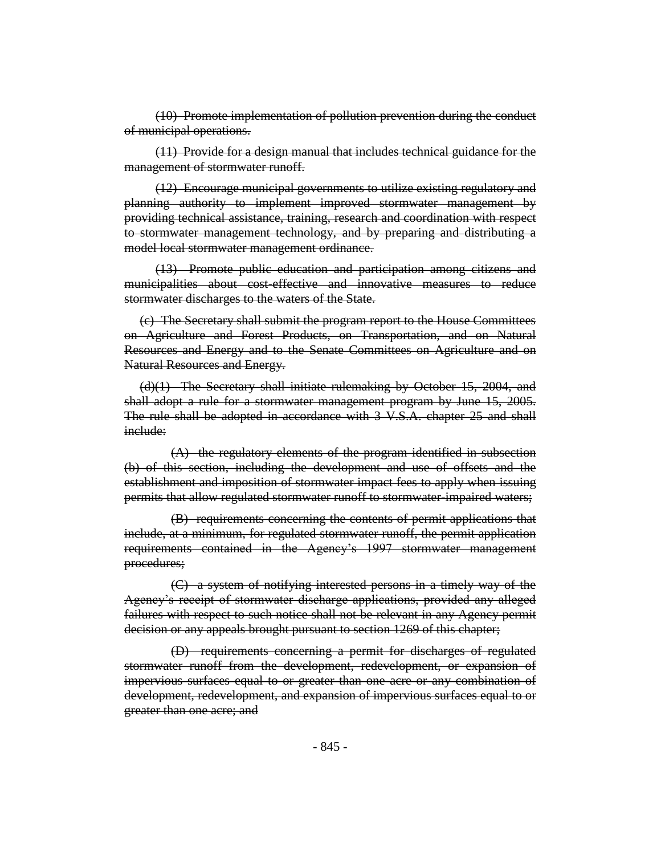(10) Promote implementation of pollution prevention during the conduct of municipal operations.

(11) Provide for a design manual that includes technical guidance for the management of stormwater runoff.

(12) Encourage municipal governments to utilize existing regulatory and planning authority to implement improved stormwater management by providing technical assistance, training, research and coordination with respect to stormwater management technology, and by preparing and distributing a model local stormwater management ordinance.

(13) Promote public education and participation among citizens and municipalities about cost-effective and innovative measures to reduce stormwater discharges to the waters of the State.

(c) The Secretary shall submit the program report to the House Committees on Agriculture and Forest Products, on Transportation, and on Natural Resources and Energy and to the Senate Committees on Agriculture and on Natural Resources and Energy.

(d)(1) The Secretary shall initiate rulemaking by October 15, 2004, and shall adopt a rule for a stormwater management program by June 15, 2005. The rule shall be adopted in accordance with 3 V.S.A. chapter 25 and shall include:

(A) the regulatory elements of the program identified in subsection (b) of this section, including the development and use of offsets and the establishment and imposition of stormwater impact fees to apply when issuing permits that allow regulated stormwater runoff to stormwater-impaired waters;

(B) requirements concerning the contents of permit applications that include, at a minimum, for regulated stormwater runoff, the permit application requirements contained in the Agency's 1997 stormwater management procedures;

(C) a system of notifying interested persons in a timely way of the Agency's receipt of stormwater discharge applications, provided any alleged failures with respect to such notice shall not be relevant in any Agency permit decision or any appeals brought pursuant to section 1269 of this chapter;

(D) requirements concerning a permit for discharges of regulated stormwater runoff from the development, redevelopment, or expansion of impervious surfaces equal to or greater than one acre or any combination of development, redevelopment, and expansion of impervious surfaces equal to or greater than one acre; and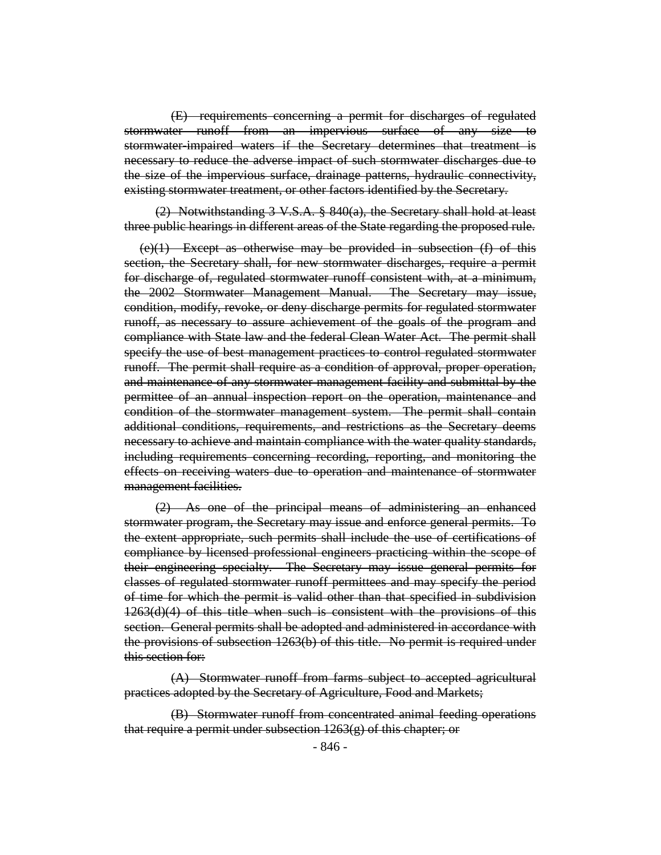(E) requirements concerning a permit for discharges of regulated stormwater runoff from an impervious surface of any size to stormwater-impaired waters if the Secretary determines that treatment is necessary to reduce the adverse impact of such stormwater discharges due to the size of the impervious surface, drainage patterns, hydraulic connectivity, existing stormwater treatment, or other factors identified by the Secretary.

(2) Notwithstanding  $3 \text{ V.S.A. }$   $8 \text{ 840(a), the Secretary shall hold at least}$ three public hearings in different areas of the State regarding the proposed rule.

 $(e)(1)$  Except as otherwise may be provided in subsection  $(f)$  of this section, the Secretary shall, for new stormwater discharges, require a permit for discharge of, regulated stormwater runoff consistent with, at a minimum, the 2002 Stormwater Management Manual. The Secretary may issue, condition, modify, revoke, or deny discharge permits for regulated stormwater runoff, as necessary to assure achievement of the goals of the program and compliance with State law and the federal Clean Water Act. The permit shall specify the use of best management practices to control regulated stormwater runoff. The permit shall require as a condition of approval, proper operation, and maintenance of any stormwater management facility and submittal by the permittee of an annual inspection report on the operation, maintenance and condition of the stormwater management system. The permit shall contain additional conditions, requirements, and restrictions as the Secretary deems necessary to achieve and maintain compliance with the water quality standards, including requirements concerning recording, reporting, and monitoring the effects on receiving waters due to operation and maintenance of stormwater management facilities.

(2) As one of the principal means of administering an enhanced stormwater program, the Secretary may issue and enforce general permits. To the extent appropriate, such permits shall include the use of certifications of compliance by licensed professional engineers practicing within the scope of their engineering specialty. The Secretary may issue general permits for classes of regulated stormwater runoff permittees and may specify the period of time for which the permit is valid other than that specified in subdivision 1263(d)(4) of this title when such is consistent with the provisions of this section. General permits shall be adopted and administered in accordance with the provisions of subsection 1263(b) of this title. No permit is required under this section for:

(A) Stormwater runoff from farms subject to accepted agricultural practices adopted by the Secretary of Agriculture, Food and Markets;

(B) Stormwater runoff from concentrated animal feeding operations that require a permit under subsection 1263(g) of this chapter; or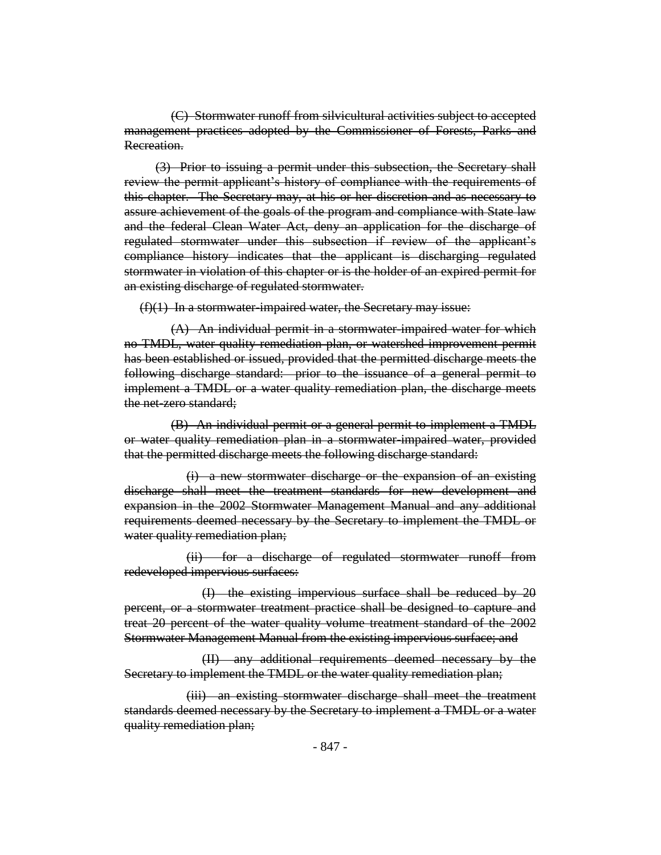(C) Stormwater runoff from silvicultural activities subject to accepted management practices adopted by the Commissioner of Forests, Parks and Recreation.

(3) Prior to issuing a permit under this subsection, the Secretary shall review the permit applicant's history of compliance with the requirements of this chapter. The Secretary may, at his or her discretion and as necessary to assure achievement of the goals of the program and compliance with State law and the federal Clean Water Act, deny an application for the discharge of regulated stormwater under this subsection if review of the applicant's compliance history indicates that the applicant is discharging regulated stormwater in violation of this chapter or is the holder of an expired permit for an existing discharge of regulated stormwater.

 $(f)(1)$  In a stormwater-impaired water, the Secretary may issue:

(A) An individual permit in a stormwater-impaired water for which no TMDL, water quality remediation plan, or watershed improvement permit has been established or issued, provided that the permitted discharge meets the following discharge standard: prior to the issuance of a general permit to implement a TMDL or a water quality remediation plan, the discharge meets the net-zero standard;

(B) An individual permit or a general permit to implement a TMDL or water quality remediation plan in a stormwater-impaired water, provided that the permitted discharge meets the following discharge standard:

(i) a new stormwater discharge or the expansion of an existing discharge shall meet the treatment standards for new development and expansion in the 2002 Stormwater Management Manual and any additional requirements deemed necessary by the Secretary to implement the TMDL or water quality remediation plan;

(ii) for a discharge of regulated stormwater runoff from redeveloped impervious surfaces:

(I) the existing impervious surface shall be reduced by 20 percent, or a stormwater treatment practice shall be designed to capture and treat 20 percent of the water quality volume treatment standard of the 2002 Stormwater Management Manual from the existing impervious surface; and

(II) any additional requirements deemed necessary by the Secretary to implement the TMDL or the water quality remediation plan;

(iii) an existing stormwater discharge shall meet the treatment standards deemed necessary by the Secretary to implement a TMDL or a water quality remediation plan;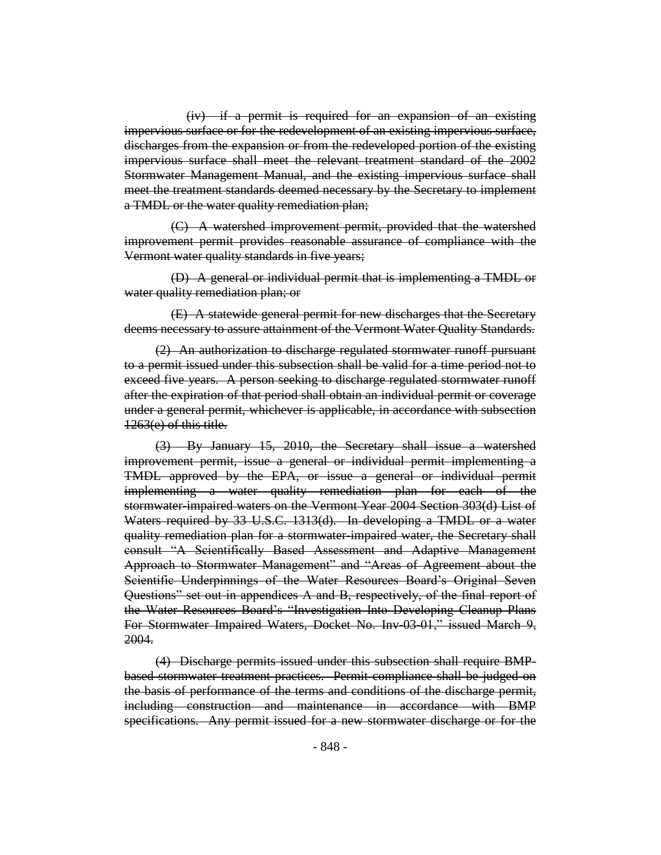(iv) if a permit is required for an expansion of an existing impervious surface or for the redevelopment of an existing impervious surface, discharges from the expansion or from the redeveloped portion of the existing impervious surface shall meet the relevant treatment standard of the 2002 Stormwater Management Manual, and the existing impervious surface shall meet the treatment standards deemed necessary by the Secretary to implement a TMDL or the water quality remediation plan;

(C) A watershed improvement permit, provided that the watershed improvement permit provides reasonable assurance of compliance with the Vermont water quality standards in five years;

(D) A general or individual permit that is implementing a TMDL or water quality remediation plan; or

(E) A statewide general permit for new discharges that the Secretary deems necessary to assure attainment of the Vermont Water Quality Standards.

(2) An authorization to discharge regulated stormwater runoff pursuant to a permit issued under this subsection shall be valid for a time period not to exceed five years. A person seeking to discharge regulated stormwater runoff after the expiration of that period shall obtain an individual permit or coverage under a general permit, whichever is applicable, in accordance with subsection 1263(e) of this title.

(3) By January 15, 2010, the Secretary shall issue a watershed improvement permit, issue a general or individual permit implementing a TMDL approved by the EPA, or issue a general or individual permit implementing a water quality remediation plan for each of the stormwater-impaired waters on the Vermont Year 2004 Section 303(d) List of Waters required by 33 U.S.C. 1313(d). In developing a TMDL or a water quality remediation plan for a stormwater-impaired water, the Secretary shall consult "A Scientifically Based Assessment and Adaptive Management Approach to Stormwater Management" and "Areas of Agreement about the Scientific Underpinnings of the Water Resources Board's Original Seven Questions" set out in appendices A and B, respectively, of the final report of the Water Resources Board's "Investigation Into Developing Cleanup Plans For Stormwater Impaired Waters, Docket No. Inv-03-01," issued March 9, 2004.

(4) Discharge permits issued under this subsection shall require BMPbased stormwater treatment practices. Permit compliance shall be judged on the basis of performance of the terms and conditions of the discharge permit, including construction and maintenance in accordance with BMP specifications. Any permit issued for a new stormwater discharge or for the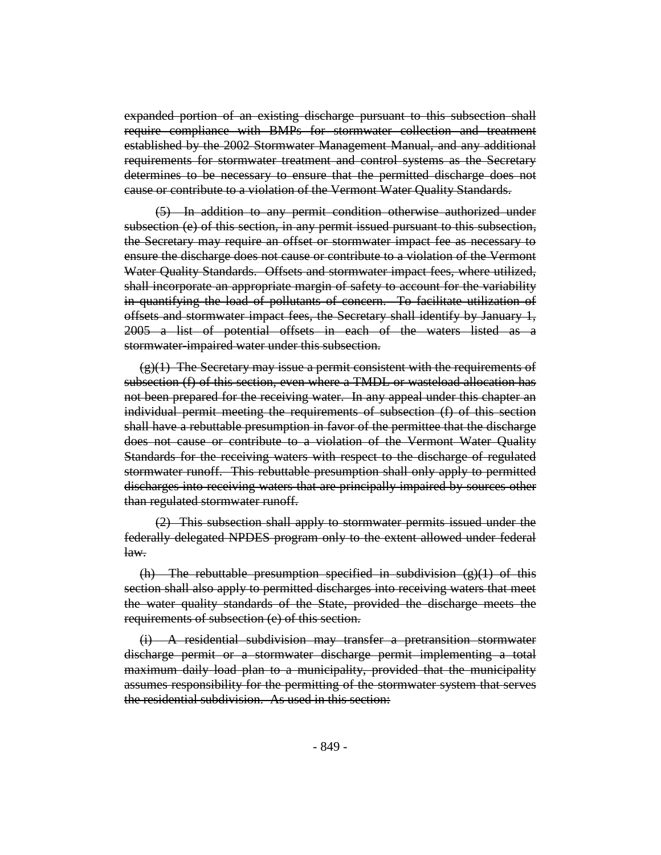expanded portion of an existing discharge pursuant to this subsection shall require compliance with BMPs for stormwater collection and treatment established by the 2002 Stormwater Management Manual, and any additional requirements for stormwater treatment and control systems as the Secretary determines to be necessary to ensure that the permitted discharge does not cause or contribute to a violation of the Vermont Water Quality Standards.

(5) In addition to any permit condition otherwise authorized under subsection (e) of this section, in any permit issued pursuant to this subsection, the Secretary may require an offset or stormwater impact fee as necessary to ensure the discharge does not cause or contribute to a violation of the Vermont Water Quality Standards. Offsets and stormwater impact fees, where utilized, shall incorporate an appropriate margin of safety to account for the variability in quantifying the load of pollutants of concern. To facilitate utilization of offsets and stormwater impact fees, the Secretary shall identify by January 1, 2005 a list of potential offsets in each of the waters listed as a stormwater-impaired water under this subsection.

 $(g)(1)$  The Secretary may issue a permit consistent with the requirements of subsection (f) of this section, even where a TMDL or wasteload allocation has not been prepared for the receiving water. In any appeal under this chapter an individual permit meeting the requirements of subsection (f) of this section shall have a rebuttable presumption in favor of the permittee that the discharge does not cause or contribute to a violation of the Vermont Water Quality Standards for the receiving waters with respect to the discharge of regulated stormwater runoff. This rebuttable presumption shall only apply to permitted discharges into receiving waters that are principally impaired by sources other than regulated stormwater runoff.

(2) This subsection shall apply to stormwater permits issued under the federally delegated NPDES program only to the extent allowed under federal law.

(h) The rebuttable presumption specified in subdivision  $(g)(1)$  of this section shall also apply to permitted discharges into receiving waters that meet the water quality standards of the State, provided the discharge meets the requirements of subsection (e) of this section.

(i) A residential subdivision may transfer a pretransition stormwater discharge permit or a stormwater discharge permit implementing a total maximum daily load plan to a municipality, provided that the municipality assumes responsibility for the permitting of the stormwater system that serves the residential subdivision. As used in this section: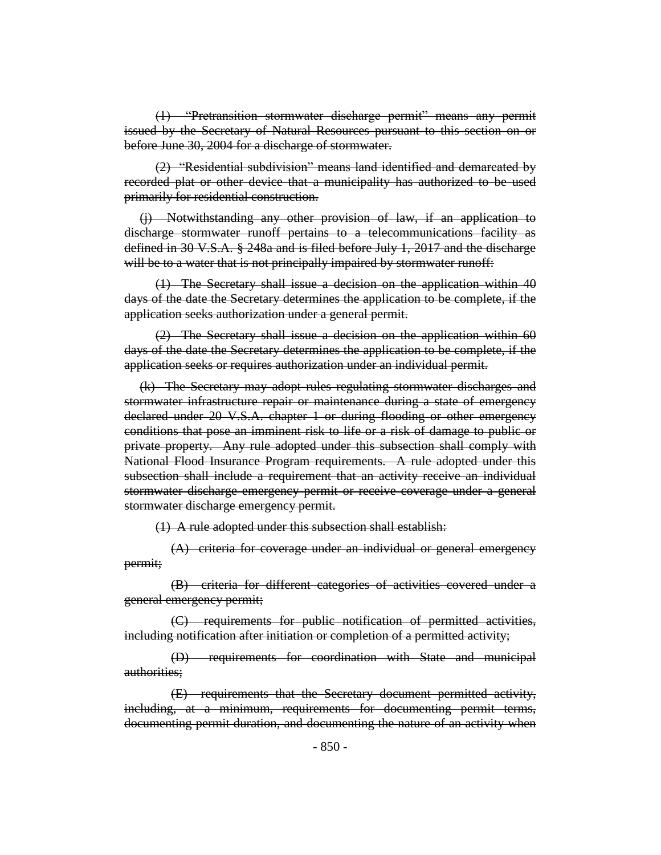(1) "Pretransition stormwater discharge permit" means any permit issued by the Secretary of Natural Resources pursuant to this section on or before June 30, 2004 for a discharge of stormwater.

(2) "Residential subdivision" means land identified and demarcated by recorded plat or other device that a municipality has authorized to be used primarily for residential construction.

(j) Notwithstanding any other provision of law, if an application to discharge stormwater runoff pertains to a telecommunications facility as defined in 30 V.S.A. § 248a and is filed before July 1, 2017 and the discharge will be to a water that is not principally impaired by stormwater runoff:

(1) The Secretary shall issue a decision on the application within 40 days of the date the Secretary determines the application to be complete, if the application seeks authorization under a general permit.

(2) The Secretary shall issue a decision on the application within 60 days of the date the Secretary determines the application to be complete, if the application seeks or requires authorization under an individual permit.

(k) The Secretary may adopt rules regulating stormwater discharges and stormwater infrastructure repair or maintenance during a state of emergency declared under 20 V.S.A. chapter 1 or during flooding or other emergency conditions that pose an imminent risk to life or a risk of damage to public or private property. Any rule adopted under this subsection shall comply with National Flood Insurance Program requirements. A rule adopted under this subsection shall include a requirement that an activity receive an individual stormwater discharge emergency permit or receive coverage under a general stormwater discharge emergency permit.

(1) A rule adopted under this subsection shall establish:

(A) criteria for coverage under an individual or general emergency permit;

(B) criteria for different categories of activities covered under a general emergency permit;

(C) requirements for public notification of permitted activities, including notification after initiation or completion of a permitted activity;

(D) requirements for coordination with State and municipal authorities;

(E) requirements that the Secretary document permitted activity, including, at a minimum, requirements for documenting permit terms, documenting permit duration, and documenting the nature of an activity when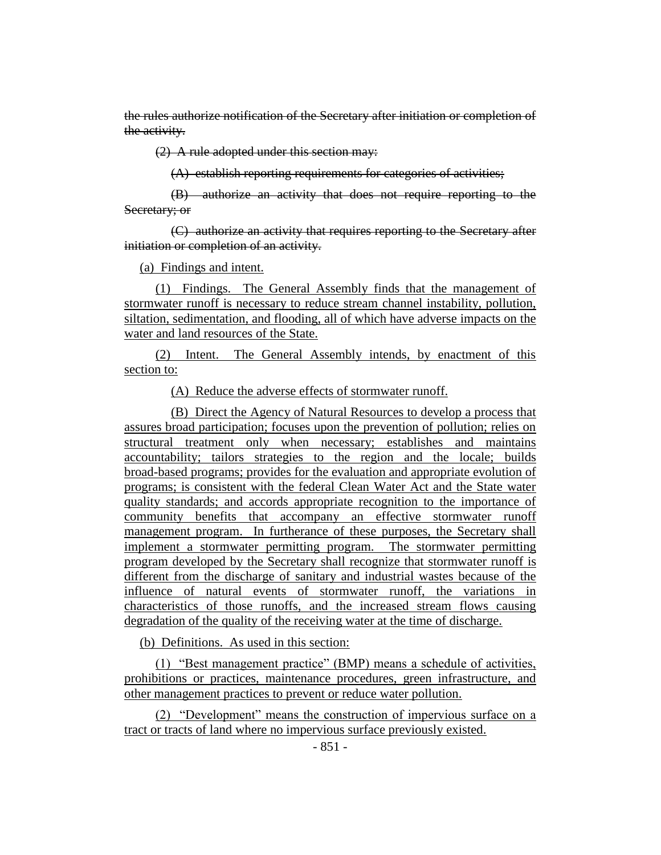the rules authorize notification of the Secretary after initiation or completion of the activity.

(2) A rule adopted under this section may:

(A) establish reporting requirements for categories of activities;

(B) authorize an activity that does not require reporting to the Secretary; or

(C) authorize an activity that requires reporting to the Secretary after initiation or completion of an activity.

(a) Findings and intent.

(1) Findings. The General Assembly finds that the management of stormwater runoff is necessary to reduce stream channel instability, pollution, siltation, sedimentation, and flooding, all of which have adverse impacts on the water and land resources of the State.

(2) Intent. The General Assembly intends, by enactment of this section to:

(A) Reduce the adverse effects of stormwater runoff.

(B) Direct the Agency of Natural Resources to develop a process that assures broad participation; focuses upon the prevention of pollution; relies on structural treatment only when necessary; establishes and maintains accountability; tailors strategies to the region and the locale; builds broad-based programs; provides for the evaluation and appropriate evolution of programs; is consistent with the federal Clean Water Act and the State water quality standards; and accords appropriate recognition to the importance of community benefits that accompany an effective stormwater runoff management program. In furtherance of these purposes, the Secretary shall implement a stormwater permitting program. The stormwater permitting program developed by the Secretary shall recognize that stormwater runoff is different from the discharge of sanitary and industrial wastes because of the influence of natural events of stormwater runoff, the variations in characteristics of those runoffs, and the increased stream flows causing degradation of the quality of the receiving water at the time of discharge.

(b) Definitions. As used in this section:

(1) "Best management practice" (BMP) means a schedule of activities, prohibitions or practices, maintenance procedures, green infrastructure, and other management practices to prevent or reduce water pollution.

(2) "Development" means the construction of impervious surface on a tract or tracts of land where no impervious surface previously existed.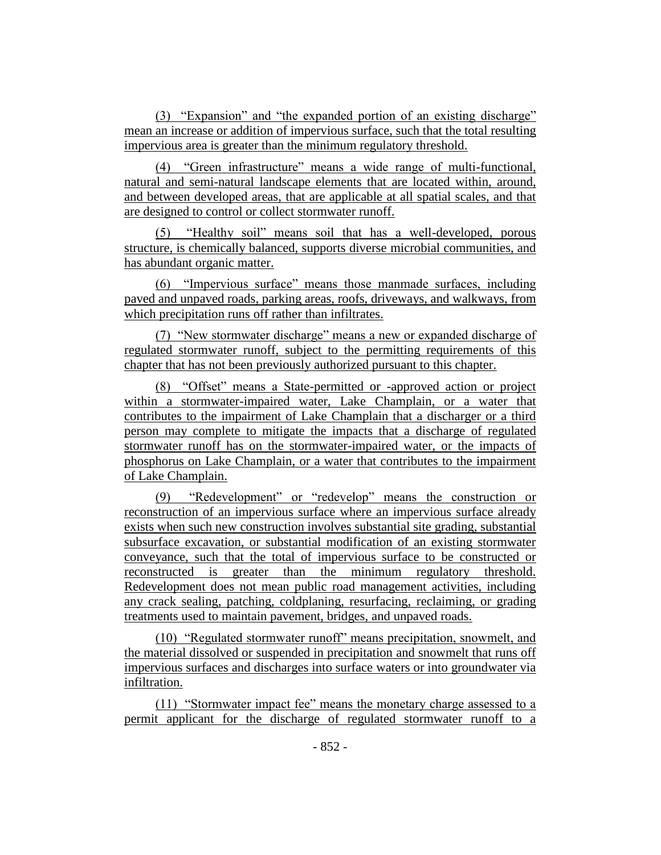(3) "Expansion" and "the expanded portion of an existing discharge" mean an increase or addition of impervious surface, such that the total resulting impervious area is greater than the minimum regulatory threshold.

(4) "Green infrastructure" means a wide range of multi-functional, natural and semi-natural landscape elements that are located within, around, and between developed areas, that are applicable at all spatial scales, and that are designed to control or collect stormwater runoff.

(5) "Healthy soil" means soil that has a well-developed, porous structure, is chemically balanced, supports diverse microbial communities, and has abundant organic matter.

(6) "Impervious surface" means those manmade surfaces, including paved and unpaved roads, parking areas, roofs, driveways, and walkways, from which precipitation runs off rather than infiltrates.

(7) "New stormwater discharge" means a new or expanded discharge of regulated stormwater runoff, subject to the permitting requirements of this chapter that has not been previously authorized pursuant to this chapter.

(8) "Offset" means a State-permitted or -approved action or project within a stormwater-impaired water, Lake Champlain, or a water that contributes to the impairment of Lake Champlain that a discharger or a third person may complete to mitigate the impacts that a discharge of regulated stormwater runoff has on the stormwater-impaired water, or the impacts of phosphorus on Lake Champlain, or a water that contributes to the impairment of Lake Champlain.

(9) "Redevelopment" or "redevelop" means the construction or reconstruction of an impervious surface where an impervious surface already exists when such new construction involves substantial site grading, substantial subsurface excavation, or substantial modification of an existing stormwater conveyance, such that the total of impervious surface to be constructed or reconstructed is greater than the minimum regulatory threshold. Redevelopment does not mean public road management activities, including any crack sealing, patching, coldplaning, resurfacing, reclaiming, or grading treatments used to maintain pavement, bridges, and unpaved roads.

(10) "Regulated stormwater runoff" means precipitation, snowmelt, and the material dissolved or suspended in precipitation and snowmelt that runs off impervious surfaces and discharges into surface waters or into groundwater via infiltration.

(11) "Stormwater impact fee" means the monetary charge assessed to a permit applicant for the discharge of regulated stormwater runoff to a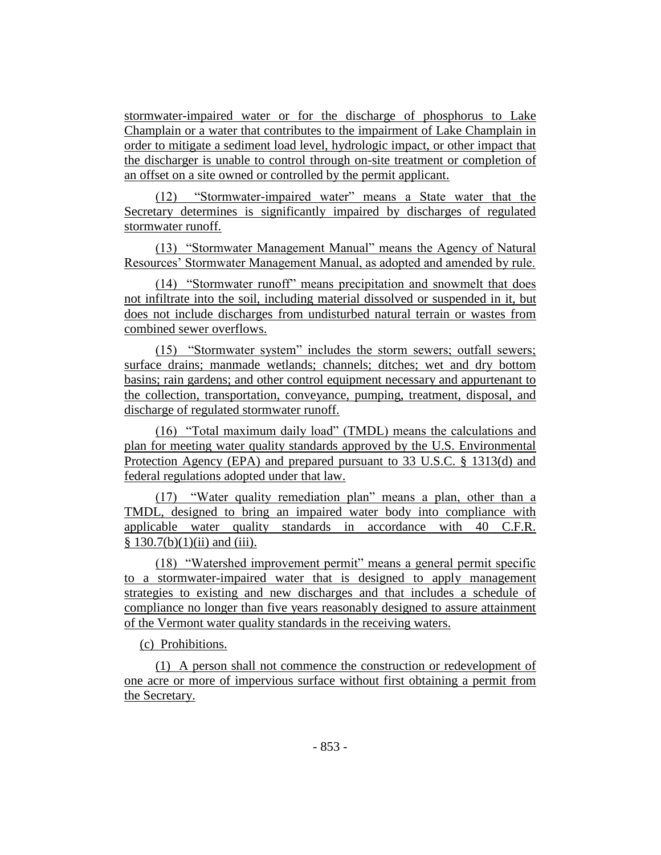stormwater-impaired water or for the discharge of phosphorus to Lake Champlain or a water that contributes to the impairment of Lake Champlain in order to mitigate a sediment load level, hydrologic impact, or other impact that the discharger is unable to control through on-site treatment or completion of an offset on a site owned or controlled by the permit applicant.

(12) "Stormwater-impaired water" means a State water that the Secretary determines is significantly impaired by discharges of regulated stormwater runoff.

(13) "Stormwater Management Manual" means the Agency of Natural Resources' Stormwater Management Manual, as adopted and amended by rule.

(14) "Stormwater runoff" means precipitation and snowmelt that does not infiltrate into the soil, including material dissolved or suspended in it, but does not include discharges from undisturbed natural terrain or wastes from combined sewer overflows.

(15) "Stormwater system" includes the storm sewers; outfall sewers; surface drains; manmade wetlands; channels; ditches; wet and dry bottom basins; rain gardens; and other control equipment necessary and appurtenant to the collection, transportation, conveyance, pumping, treatment, disposal, and discharge of regulated stormwater runoff.

(16) "Total maximum daily load" (TMDL) means the calculations and plan for meeting water quality standards approved by the U.S. Environmental Protection Agency (EPA) and prepared pursuant to 33 U.S.C. § 1313(d) and federal regulations adopted under that law.

(17) "Water quality remediation plan" means a plan, other than a TMDL, designed to bring an impaired water body into compliance with applicable water quality standards in accordance with 40 C.F.R.  $§ 130.7(b)(1)(ii)$  and (iii).

(18) "Watershed improvement permit" means a general permit specific to a stormwater-impaired water that is designed to apply management strategies to existing and new discharges and that includes a schedule of compliance no longer than five years reasonably designed to assure attainment of the Vermont water quality standards in the receiving waters.

(c) Prohibitions.

(1) A person shall not commence the construction or redevelopment of one acre or more of impervious surface without first obtaining a permit from the Secretary.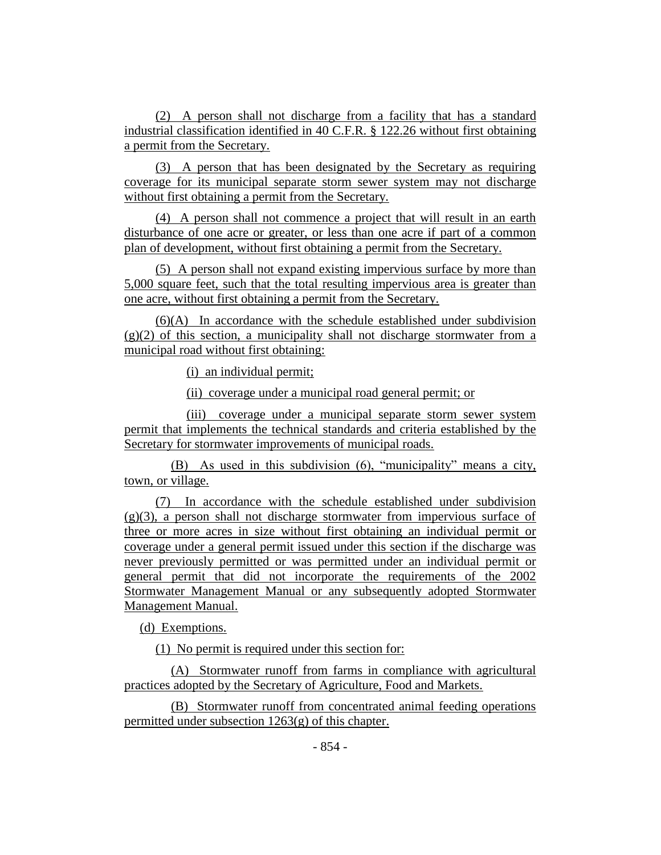(2) A person shall not discharge from a facility that has a standard industrial classification identified in 40 C.F.R. § 122.26 without first obtaining a permit from the Secretary.

(3) A person that has been designated by the Secretary as requiring coverage for its municipal separate storm sewer system may not discharge without first obtaining a permit from the Secretary.

(4) A person shall not commence a project that will result in an earth disturbance of one acre or greater, or less than one acre if part of a common plan of development, without first obtaining a permit from the Secretary.

(5) A person shall not expand existing impervious surface by more than 5,000 square feet, such that the total resulting impervious area is greater than one acre, without first obtaining a permit from the Secretary.

(6)(A) In accordance with the schedule established under subdivision  $(g)(2)$  of this section, a municipality shall not discharge stormwater from a municipal road without first obtaining:

(i) an individual permit;

(ii) coverage under a municipal road general permit; or

(iii) coverage under a municipal separate storm sewer system permit that implements the technical standards and criteria established by the Secretary for stormwater improvements of municipal roads.

(B) As used in this subdivision (6), "municipality" means a city, town, or village.

(7) In accordance with the schedule established under subdivision  $(g)(3)$ , a person shall not discharge stormwater from impervious surface of three or more acres in size without first obtaining an individual permit or coverage under a general permit issued under this section if the discharge was never previously permitted or was permitted under an individual permit or general permit that did not incorporate the requirements of the 2002 Stormwater Management Manual or any subsequently adopted Stormwater Management Manual.

(d) Exemptions.

(1) No permit is required under this section for:

(A) Stormwater runoff from farms in compliance with agricultural practices adopted by the Secretary of Agriculture, Food and Markets.

(B) Stormwater runoff from concentrated animal feeding operations permitted under subsection 1263(g) of this chapter.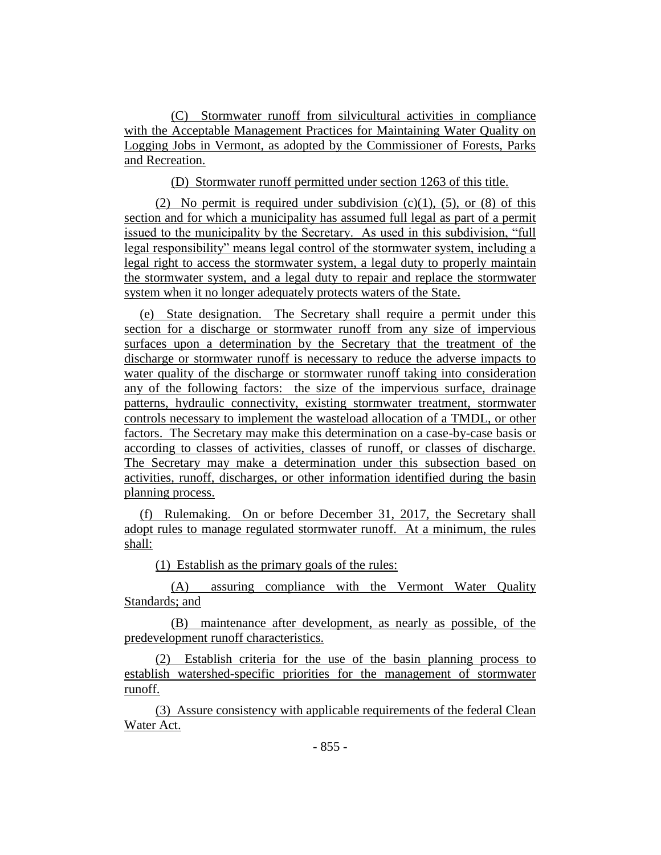(C) Stormwater runoff from silvicultural activities in compliance with the Acceptable Management Practices for Maintaining Water Quality on Logging Jobs in Vermont, as adopted by the Commissioner of Forests, Parks and Recreation.

(D) Stormwater runoff permitted under section 1263 of this title.

(2) No permit is required under subdivision  $(c)(1)$ ,  $(5)$ , or  $(8)$  of this section and for which a municipality has assumed full legal as part of a permit issued to the municipality by the Secretary. As used in this subdivision, "full legal responsibility" means legal control of the stormwater system, including a legal right to access the stormwater system, a legal duty to properly maintain the stormwater system, and a legal duty to repair and replace the stormwater system when it no longer adequately protects waters of the State.

(e) State designation. The Secretary shall require a permit under this section for a discharge or stormwater runoff from any size of impervious surfaces upon a determination by the Secretary that the treatment of the discharge or stormwater runoff is necessary to reduce the adverse impacts to water quality of the discharge or stormwater runoff taking into consideration any of the following factors: the size of the impervious surface, drainage patterns, hydraulic connectivity, existing stormwater treatment, stormwater controls necessary to implement the wasteload allocation of a TMDL, or other factors. The Secretary may make this determination on a case-by-case basis or according to classes of activities, classes of runoff, or classes of discharge. The Secretary may make a determination under this subsection based on activities, runoff, discharges, or other information identified during the basin planning process.

(f) Rulemaking. On or before December 31, 2017, the Secretary shall adopt rules to manage regulated stormwater runoff. At a minimum, the rules shall:

(1) Establish as the primary goals of the rules:

(A) assuring compliance with the Vermont Water Quality Standards; and

(B) maintenance after development, as nearly as possible, of the predevelopment runoff characteristics.

(2) Establish criteria for the use of the basin planning process to establish watershed-specific priorities for the management of stormwater runoff.

(3) Assure consistency with applicable requirements of the federal Clean Water Act.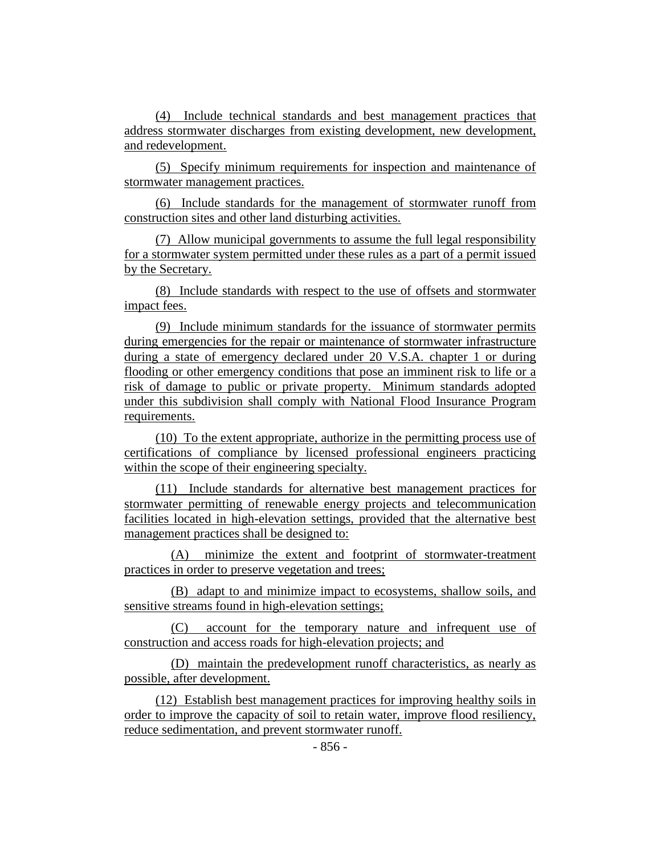(4) Include technical standards and best management practices that address stormwater discharges from existing development, new development, and redevelopment.

(5) Specify minimum requirements for inspection and maintenance of stormwater management practices.

(6) Include standards for the management of stormwater runoff from construction sites and other land disturbing activities.

(7) Allow municipal governments to assume the full legal responsibility for a stormwater system permitted under these rules as a part of a permit issued by the Secretary.

(8) Include standards with respect to the use of offsets and stormwater impact fees.

(9) Include minimum standards for the issuance of stormwater permits during emergencies for the repair or maintenance of stormwater infrastructure during a state of emergency declared under 20 V.S.A. chapter 1 or during flooding or other emergency conditions that pose an imminent risk to life or a risk of damage to public or private property. Minimum standards adopted under this subdivision shall comply with National Flood Insurance Program requirements.

(10) To the extent appropriate, authorize in the permitting process use of certifications of compliance by licensed professional engineers practicing within the scope of their engineering specialty.

(11) Include standards for alternative best management practices for stormwater permitting of renewable energy projects and telecommunication facilities located in high-elevation settings, provided that the alternative best management practices shall be designed to:

(A) minimize the extent and footprint of stormwater-treatment practices in order to preserve vegetation and trees;

(B) adapt to and minimize impact to ecosystems, shallow soils, and sensitive streams found in high-elevation settings;

(C) account for the temporary nature and infrequent use of construction and access roads for high-elevation projects; and

(D) maintain the predevelopment runoff characteristics, as nearly as possible, after development.

(12) Establish best management practices for improving healthy soils in order to improve the capacity of soil to retain water, improve flood resiliency, reduce sedimentation, and prevent stormwater runoff.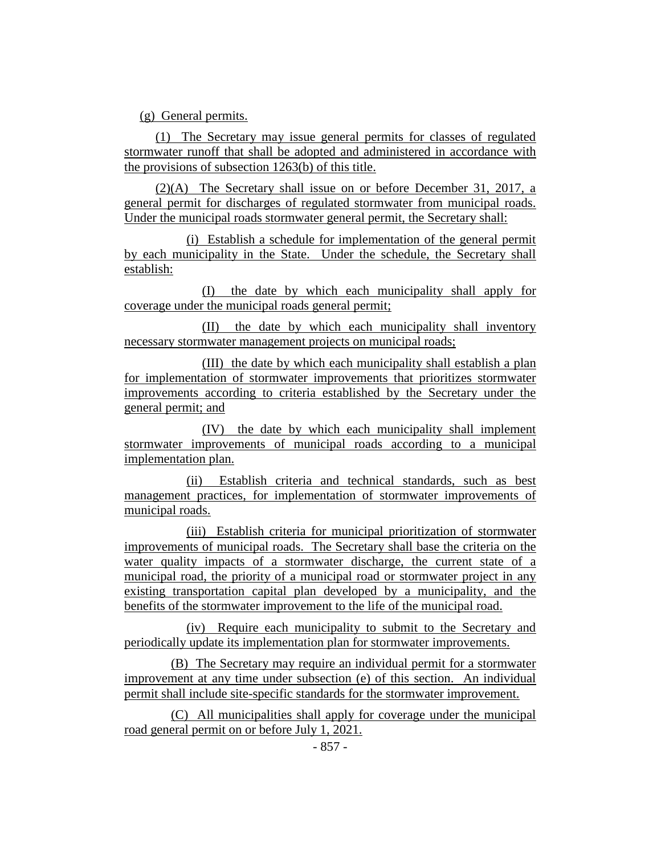(g) General permits.

(1) The Secretary may issue general permits for classes of regulated stormwater runoff that shall be adopted and administered in accordance with the provisions of subsection 1263(b) of this title.

(2)(A) The Secretary shall issue on or before December 31, 2017, a general permit for discharges of regulated stormwater from municipal roads. Under the municipal roads stormwater general permit, the Secretary shall:

(i) Establish a schedule for implementation of the general permit by each municipality in the State. Under the schedule, the Secretary shall establish:

(I) the date by which each municipality shall apply for coverage under the municipal roads general permit;

(II) the date by which each municipality shall inventory necessary stormwater management projects on municipal roads;

(III) the date by which each municipality shall establish a plan for implementation of stormwater improvements that prioritizes stormwater improvements according to criteria established by the Secretary under the general permit; and

(IV) the date by which each municipality shall implement stormwater improvements of municipal roads according to a municipal implementation plan.

(ii) Establish criteria and technical standards, such as best management practices, for implementation of stormwater improvements of municipal roads.

(iii) Establish criteria for municipal prioritization of stormwater improvements of municipal roads. The Secretary shall base the criteria on the water quality impacts of a stormwater discharge, the current state of a municipal road, the priority of a municipal road or stormwater project in any existing transportation capital plan developed by a municipality, and the benefits of the stormwater improvement to the life of the municipal road.

(iv) Require each municipality to submit to the Secretary and periodically update its implementation plan for stormwater improvements.

(B) The Secretary may require an individual permit for a stormwater improvement at any time under subsection (e) of this section. An individual permit shall include site-specific standards for the stormwater improvement.

(C) All municipalities shall apply for coverage under the municipal road general permit on or before July 1, 2021.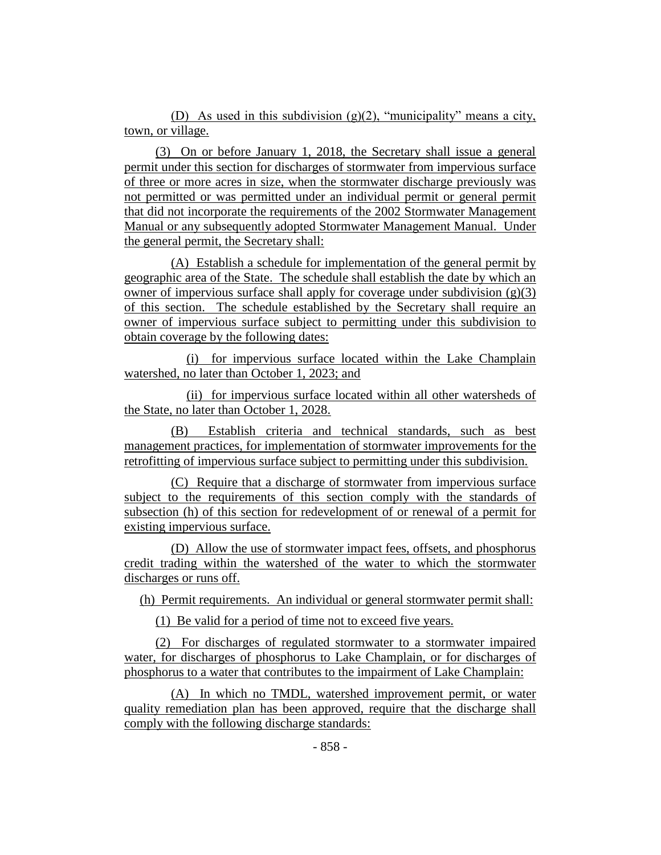(D) As used in this subdivision (g)(2), "municipality" means a city, town, or village.

(3) On or before January 1, 2018, the Secretary shall issue a general permit under this section for discharges of stormwater from impervious surface of three or more acres in size, when the stormwater discharge previously was not permitted or was permitted under an individual permit or general permit that did not incorporate the requirements of the 2002 Stormwater Management Manual or any subsequently adopted Stormwater Management Manual. Under the general permit, the Secretary shall:

(A) Establish a schedule for implementation of the general permit by geographic area of the State. The schedule shall establish the date by which an owner of impervious surface shall apply for coverage under subdivision  $(g)(3)$ of this section. The schedule established by the Secretary shall require an owner of impervious surface subject to permitting under this subdivision to obtain coverage by the following dates:

(i) for impervious surface located within the Lake Champlain watershed, no later than October 1, 2023; and

(ii) for impervious surface located within all other watersheds of the State, no later than October 1, 2028.

(B) Establish criteria and technical standards, such as best management practices, for implementation of stormwater improvements for the retrofitting of impervious surface subject to permitting under this subdivision.

(C) Require that a discharge of stormwater from impervious surface subject to the requirements of this section comply with the standards of subsection (h) of this section for redevelopment of or renewal of a permit for existing impervious surface.

(D) Allow the use of stormwater impact fees, offsets, and phosphorus credit trading within the watershed of the water to which the stormwater discharges or runs off.

(h) Permit requirements. An individual or general stormwater permit shall:

(1) Be valid for a period of time not to exceed five years.

(2) For discharges of regulated stormwater to a stormwater impaired water, for discharges of phosphorus to Lake Champlain, or for discharges of phosphorus to a water that contributes to the impairment of Lake Champlain:

(A) In which no TMDL, watershed improvement permit, or water quality remediation plan has been approved, require that the discharge shall comply with the following discharge standards: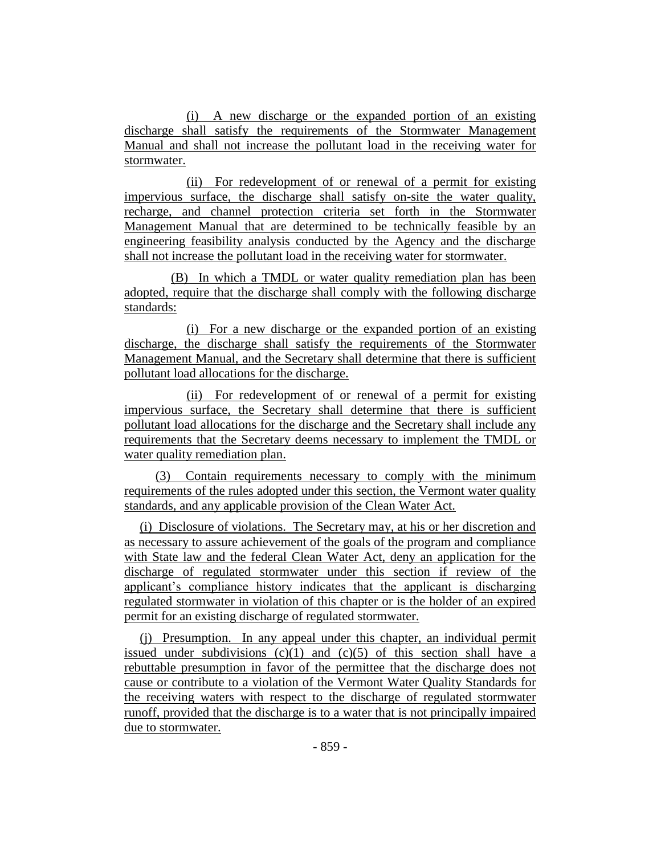(i) A new discharge or the expanded portion of an existing discharge shall satisfy the requirements of the Stormwater Management Manual and shall not increase the pollutant load in the receiving water for stormwater.

(ii) For redevelopment of or renewal of a permit for existing impervious surface, the discharge shall satisfy on-site the water quality, recharge, and channel protection criteria set forth in the Stormwater Management Manual that are determined to be technically feasible by an engineering feasibility analysis conducted by the Agency and the discharge shall not increase the pollutant load in the receiving water for stormwater.

(B) In which a TMDL or water quality remediation plan has been adopted, require that the discharge shall comply with the following discharge standards:

(i) For a new discharge or the expanded portion of an existing discharge, the discharge shall satisfy the requirements of the Stormwater Management Manual, and the Secretary shall determine that there is sufficient pollutant load allocations for the discharge.

(ii) For redevelopment of or renewal of a permit for existing impervious surface, the Secretary shall determine that there is sufficient pollutant load allocations for the discharge and the Secretary shall include any requirements that the Secretary deems necessary to implement the TMDL or water quality remediation plan.

(3) Contain requirements necessary to comply with the minimum requirements of the rules adopted under this section, the Vermont water quality standards, and any applicable provision of the Clean Water Act.

(i) Disclosure of violations. The Secretary may, at his or her discretion and as necessary to assure achievement of the goals of the program and compliance with State law and the federal Clean Water Act, deny an application for the discharge of regulated stormwater under this section if review of the applicant's compliance history indicates that the applicant is discharging regulated stormwater in violation of this chapter or is the holder of an expired permit for an existing discharge of regulated stormwater.

(j) Presumption. In any appeal under this chapter, an individual permit issued under subdivisions  $(c)(1)$  and  $(c)(5)$  of this section shall have a rebuttable presumption in favor of the permittee that the discharge does not cause or contribute to a violation of the Vermont Water Quality Standards for the receiving waters with respect to the discharge of regulated stormwater runoff, provided that the discharge is to a water that is not principally impaired due to stormwater.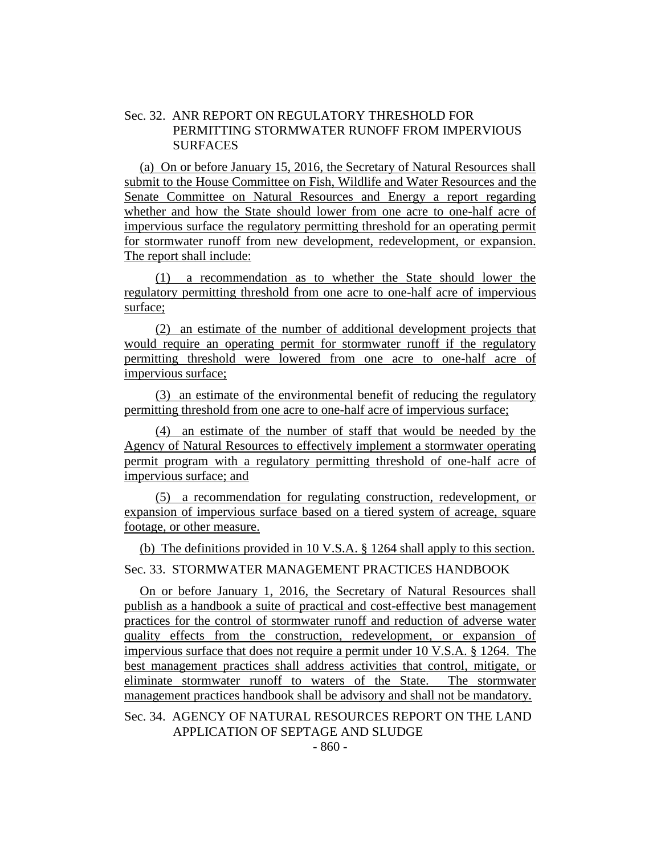## Sec. 32. ANR REPORT ON REGULATORY THRESHOLD FOR PERMITTING STORMWATER RUNOFF FROM IMPERVIOUS **SURFACES**

(a) On or before January 15, 2016, the Secretary of Natural Resources shall submit to the House Committee on Fish, Wildlife and Water Resources and the Senate Committee on Natural Resources and Energy a report regarding whether and how the State should lower from one acre to one-half acre of impervious surface the regulatory permitting threshold for an operating permit for stormwater runoff from new development, redevelopment, or expansion. The report shall include:

(1) a recommendation as to whether the State should lower the regulatory permitting threshold from one acre to one-half acre of impervious surface;

(2) an estimate of the number of additional development projects that would require an operating permit for stormwater runoff if the regulatory permitting threshold were lowered from one acre to one-half acre of impervious surface;

(3) an estimate of the environmental benefit of reducing the regulatory permitting threshold from one acre to one-half acre of impervious surface;

(4) an estimate of the number of staff that would be needed by the Agency of Natural Resources to effectively implement a stormwater operating permit program with a regulatory permitting threshold of one-half acre of impervious surface; and

(5) a recommendation for regulating construction, redevelopment, or expansion of impervious surface based on a tiered system of acreage, square footage, or other measure.

(b) The definitions provided in 10 V.S.A. § 1264 shall apply to this section.

Sec. 33. STORMWATER MANAGEMENT PRACTICES HANDBOOK

On or before January 1, 2016, the Secretary of Natural Resources shall publish as a handbook a suite of practical and cost-effective best management practices for the control of stormwater runoff and reduction of adverse water quality effects from the construction, redevelopment, or expansion of impervious surface that does not require a permit under 10 V.S.A. § 1264. The best management practices shall address activities that control, mitigate, or eliminate stormwater runoff to waters of the State. The stormwater management practices handbook shall be advisory and shall not be mandatory.

## Sec. 34. AGENCY OF NATURAL RESOURCES REPORT ON THE LAND APPLICATION OF SEPTAGE AND SLUDGE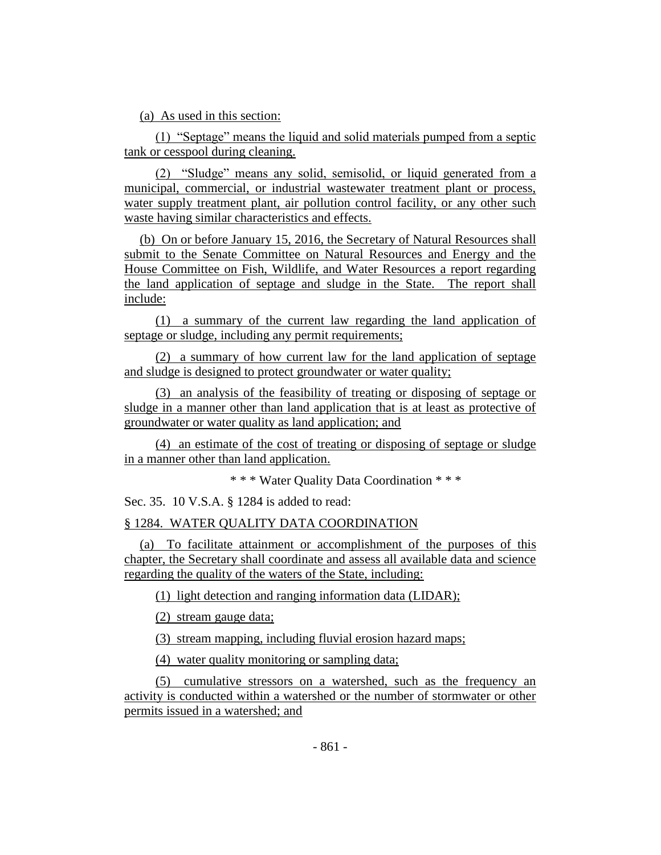(a) As used in this section:

(1) "Septage" means the liquid and solid materials pumped from a septic tank or cesspool during cleaning.

(2) "Sludge" means any solid, semisolid, or liquid generated from a municipal, commercial, or industrial wastewater treatment plant or process, water supply treatment plant, air pollution control facility, or any other such waste having similar characteristics and effects.

(b) On or before January 15, 2016, the Secretary of Natural Resources shall submit to the Senate Committee on Natural Resources and Energy and the House Committee on Fish, Wildlife, and Water Resources a report regarding the land application of septage and sludge in the State. The report shall include:

(1) a summary of the current law regarding the land application of septage or sludge, including any permit requirements;

(2) a summary of how current law for the land application of septage and sludge is designed to protect groundwater or water quality;

(3) an analysis of the feasibility of treating or disposing of septage or sludge in a manner other than land application that is at least as protective of groundwater or water quality as land application; and

(4) an estimate of the cost of treating or disposing of septage or sludge in a manner other than land application.

```
* * * Water Quality Data Coordination * * *
```
Sec. 35. 10 V.S.A. § 1284 is added to read:

# § 1284. WATER QUALITY DATA COORDINATION

(a) To facilitate attainment or accomplishment of the purposes of this chapter, the Secretary shall coordinate and assess all available data and science regarding the quality of the waters of the State, including:

(1) light detection and ranging information data (LIDAR);

(2) stream gauge data;

(3) stream mapping, including fluvial erosion hazard maps;

(4) water quality monitoring or sampling data;

(5) cumulative stressors on a watershed, such as the frequency an activity is conducted within a watershed or the number of stormwater or other permits issued in a watershed; and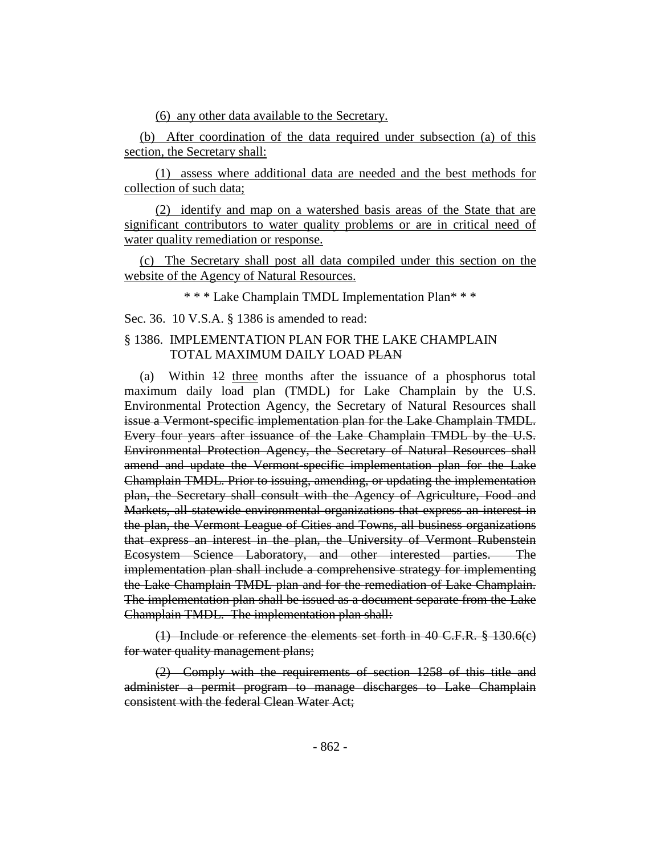(6) any other data available to the Secretary.

(b) After coordination of the data required under subsection (a) of this section, the Secretary shall:

(1) assess where additional data are needed and the best methods for collection of such data;

(2) identify and map on a watershed basis areas of the State that are significant contributors to water quality problems or are in critical need of water quality remediation or response.

(c) The Secretary shall post all data compiled under this section on the website of the Agency of Natural Resources.

\* \* \* Lake Champlain TMDL Implementation Plan\* \* \*

Sec. 36. 10 V.S.A. § 1386 is amended to read:

### § 1386. IMPLEMENTATION PLAN FOR THE LAKE CHAMPLAIN TOTAL MAXIMUM DAILY LOAD PLAN

(a) Within 12 three months after the issuance of a phosphorus total maximum daily load plan (TMDL) for Lake Champlain by the U.S. Environmental Protection Agency, the Secretary of Natural Resources shall issue a Vermont-specific implementation plan for the Lake Champlain TMDL. Every four years after issuance of the Lake Champlain TMDL by the U.S. Environmental Protection Agency, the Secretary of Natural Resources shall amend and update the Vermont-specific implementation plan for the Lake Champlain TMDL. Prior to issuing, amending, or updating the implementation plan, the Secretary shall consult with the Agency of Agriculture, Food and Markets, all statewide environmental organizations that express an interest in the plan, the Vermont League of Cities and Towns, all business organizations that express an interest in the plan, the University of Vermont Rubenstein Ecosystem Science Laboratory, and other interested parties. The implementation plan shall include a comprehensive strategy for implementing the Lake Champlain TMDL plan and for the remediation of Lake Champlain. The implementation plan shall be issued as a document separate from the Lake Champlain TMDL. The implementation plan shall:

(1) Include or reference the elements set forth in 40 C.F.R. § 130.6(c) for water quality management plans;

(2) Comply with the requirements of section 1258 of this title and administer a permit program to manage discharges to Lake Champlain consistent with the federal Clean Water Act;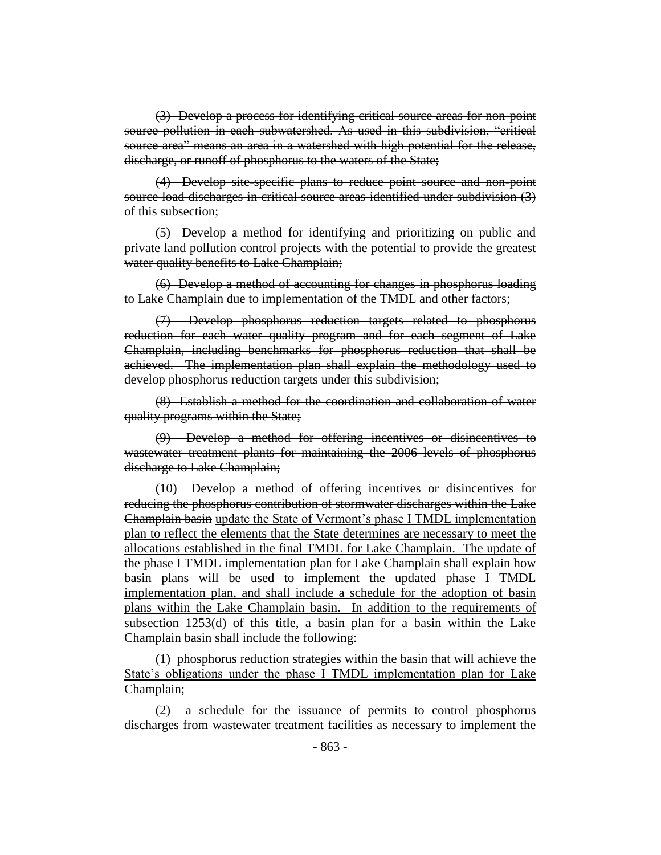(3) Develop a process for identifying critical source areas for non-point source pollution in each subwatershed. As used in this subdivision, "critical source area" means an area in a watershed with high potential for the release, discharge, or runoff of phosphorus to the waters of the State;

(4) Develop site-specific plans to reduce point source and non-point source load discharges in critical source areas identified under subdivision (3) of this subsection;

(5) Develop a method for identifying and prioritizing on public and private land pollution control projects with the potential to provide the greatest water quality benefits to Lake Champlain;

(6) Develop a method of accounting for changes in phosphorus loading to Lake Champlain due to implementation of the TMDL and other factors;

(7) Develop phosphorus reduction targets related to phosphorus reduction for each water quality program and for each segment of Lake Champlain, including benchmarks for phosphorus reduction that shall be achieved. The implementation plan shall explain the methodology used to develop phosphorus reduction targets under this subdivision;

(8) Establish a method for the coordination and collaboration of water quality programs within the State;

(9) Develop a method for offering incentives or disincentives to wastewater treatment plants for maintaining the 2006 levels of phosphorus discharge to Lake Champlain;

(10) Develop a method of offering incentives or disincentives for reducing the phosphorus contribution of stormwater discharges within the Lake Champlain basin update the State of Vermont's phase I TMDL implementation plan to reflect the elements that the State determines are necessary to meet the allocations established in the final TMDL for Lake Champlain. The update of the phase I TMDL implementation plan for Lake Champlain shall explain how basin plans will be used to implement the updated phase I TMDL implementation plan, and shall include a schedule for the adoption of basin plans within the Lake Champlain basin. In addition to the requirements of subsection 1253(d) of this title, a basin plan for a basin within the Lake Champlain basin shall include the following:

(1) phosphorus reduction strategies within the basin that will achieve the State's obligations under the phase I TMDL implementation plan for Lake Champlain;

(2) a schedule for the issuance of permits to control phosphorus discharges from wastewater treatment facilities as necessary to implement the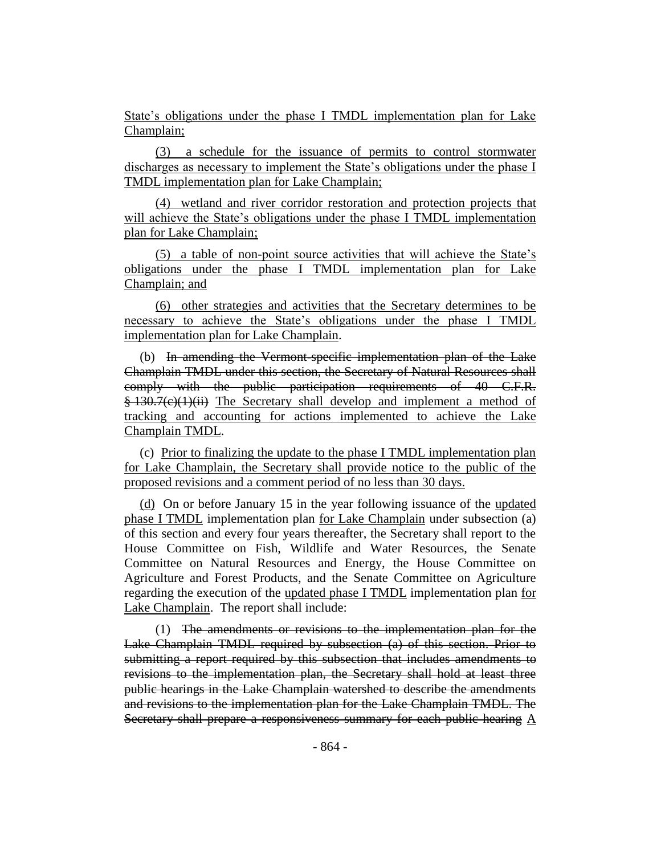State's obligations under the phase I TMDL implementation plan for Lake Champlain;

(3) a schedule for the issuance of permits to control stormwater discharges as necessary to implement the State's obligations under the phase I TMDL implementation plan for Lake Champlain;

(4) wetland and river corridor restoration and protection projects that will achieve the State's obligations under the phase I TMDL implementation plan for Lake Champlain;

(5) a table of non-point source activities that will achieve the State's obligations under the phase I TMDL implementation plan for Lake Champlain; and

(6) other strategies and activities that the Secretary determines to be necessary to achieve the State's obligations under the phase I TMDL implementation plan for Lake Champlain.

(b) In amending the Vermont-specific implementation plan of the Lake Champlain TMDL under this section, the Secretary of Natural Resources shall comply with the public participation requirements of 40 C.F.R. § 130.7(c)(1)(ii) The Secretary shall develop and implement a method of tracking and accounting for actions implemented to achieve the Lake Champlain TMDL.

(c) Prior to finalizing the update to the phase I TMDL implementation plan for Lake Champlain, the Secretary shall provide notice to the public of the proposed revisions and a comment period of no less than 30 days.

(d) On or before January 15 in the year following issuance of the updated phase I TMDL implementation plan for Lake Champlain under subsection (a) of this section and every four years thereafter, the Secretary shall report to the House Committee on Fish, Wildlife and Water Resources, the Senate Committee on Natural Resources and Energy, the House Committee on Agriculture and Forest Products, and the Senate Committee on Agriculture regarding the execution of the updated phase I TMDL implementation plan for Lake Champlain. The report shall include:

(1) The amendments or revisions to the implementation plan for the Lake Champlain TMDL required by subsection (a) of this section. Prior to submitting a report required by this subsection that includes amendments to revisions to the implementation plan, the Secretary shall hold at least three public hearings in the Lake Champlain watershed to describe the amendments and revisions to the implementation plan for the Lake Champlain TMDL. The Secretary shall prepare a responsiveness summary for each public hearing A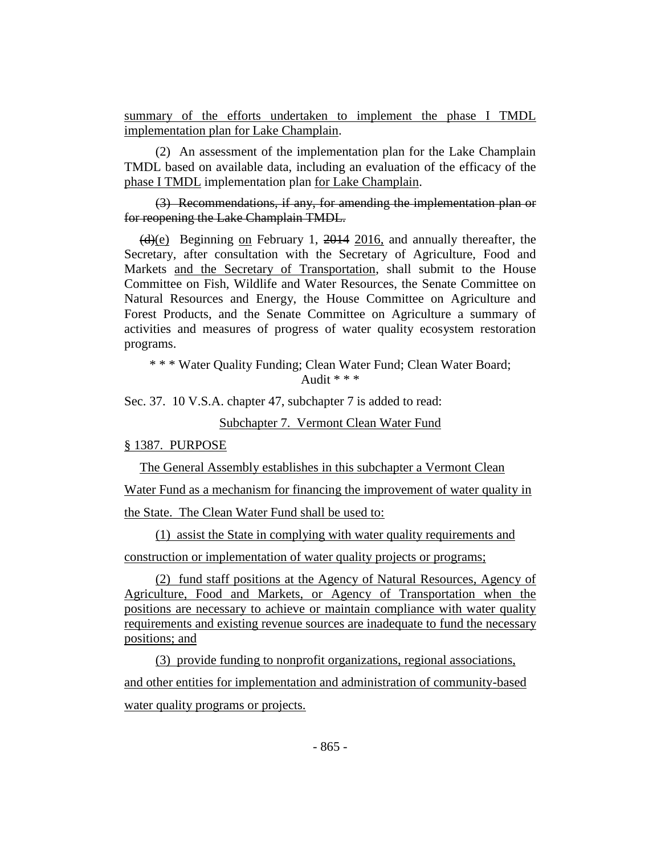summary of the efforts undertaken to implement the phase I TMDL implementation plan for Lake Champlain.

(2) An assessment of the implementation plan for the Lake Champlain TMDL based on available data, including an evaluation of the efficacy of the phase I TMDL implementation plan for Lake Champlain.

(3) Recommendations, if any, for amending the implementation plan or for reopening the Lake Champlain TMDL.

 $\frac{\text{d}}{\text{d}}$  Beginning on February 1, 2014 2016, and annually thereafter, the Secretary, after consultation with the Secretary of Agriculture, Food and Markets and the Secretary of Transportation, shall submit to the House Committee on Fish, Wildlife and Water Resources, the Senate Committee on Natural Resources and Energy, the House Committee on Agriculture and Forest Products, and the Senate Committee on Agriculture a summary of activities and measures of progress of water quality ecosystem restoration programs.

\* \* \* Water Quality Funding; Clean Water Fund; Clean Water Board; Audit  $**$ 

Sec. 37. 10 V.S.A. chapter 47, subchapter 7 is added to read:

Subchapter 7. Vermont Clean Water Fund

§ 1387. PURPOSE

The General Assembly establishes in this subchapter a Vermont Clean

Water Fund as a mechanism for financing the improvement of water quality in

the State. The Clean Water Fund shall be used to:

(1) assist the State in complying with water quality requirements and construction or implementation of water quality projects or programs;

(2) fund staff positions at the Agency of Natural Resources, Agency of Agriculture, Food and Markets, or Agency of Transportation when the positions are necessary to achieve or maintain compliance with water quality requirements and existing revenue sources are inadequate to fund the necessary positions; and

(3) provide funding to nonprofit organizations, regional associations, and other entities for implementation and administration of community-based water quality programs or projects.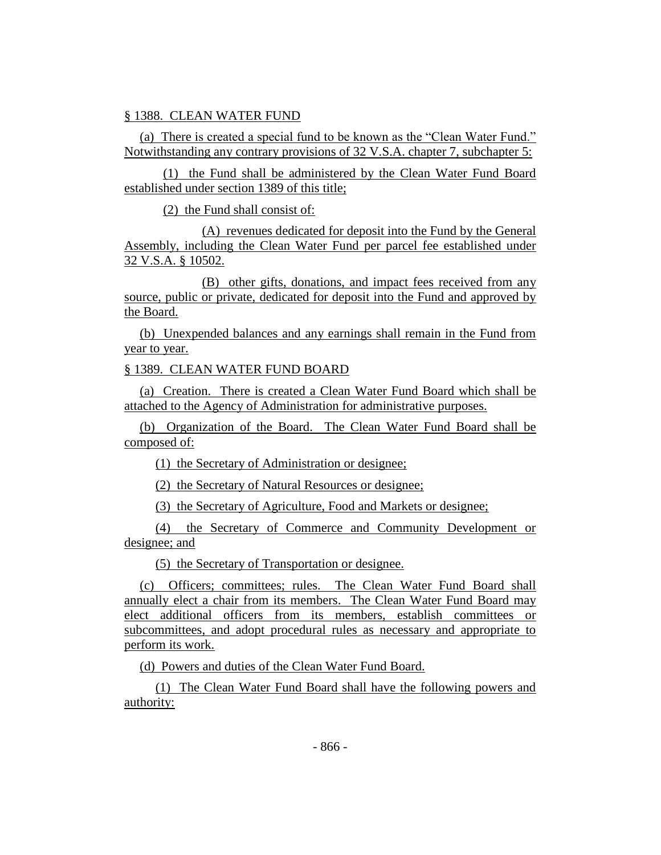### § 1388. CLEAN WATER FUND

(a) There is created a special fund to be known as the "Clean Water Fund." Notwithstanding any contrary provisions of 32 V.S.A. chapter 7, subchapter 5:

(1) the Fund shall be administered by the Clean Water Fund Board established under section 1389 of this title;

(2) the Fund shall consist of:

(A) revenues dedicated for deposit into the Fund by the General Assembly, including the Clean Water Fund per parcel fee established under 32 V.S.A. § 10502.

(B) other gifts, donations, and impact fees received from any source, public or private, dedicated for deposit into the Fund and approved by the Board.

(b) Unexpended balances and any earnings shall remain in the Fund from year to year.

### § 1389. CLEAN WATER FUND BOARD

(a) Creation. There is created a Clean Water Fund Board which shall be attached to the Agency of Administration for administrative purposes.

(b) Organization of the Board. The Clean Water Fund Board shall be composed of:

(1) the Secretary of Administration or designee;

(2) the Secretary of Natural Resources or designee;

(3) the Secretary of Agriculture, Food and Markets or designee;

(4) the Secretary of Commerce and Community Development or designee; and

(5) the Secretary of Transportation or designee.

(c) Officers; committees; rules. The Clean Water Fund Board shall annually elect a chair from its members. The Clean Water Fund Board may elect additional officers from its members, establish committees or subcommittees, and adopt procedural rules as necessary and appropriate to perform its work.

(d) Powers and duties of the Clean Water Fund Board.

(1) The Clean Water Fund Board shall have the following powers and authority: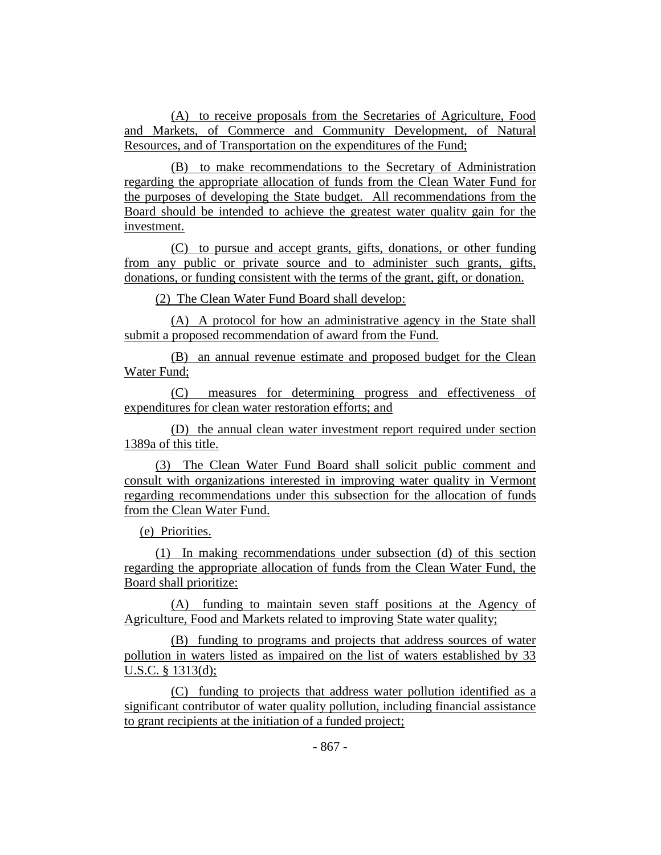(A) to receive proposals from the Secretaries of Agriculture, Food and Markets, of Commerce and Community Development, of Natural Resources, and of Transportation on the expenditures of the Fund;

(B) to make recommendations to the Secretary of Administration regarding the appropriate allocation of funds from the Clean Water Fund for the purposes of developing the State budget. All recommendations from the Board should be intended to achieve the greatest water quality gain for the investment.

(C) to pursue and accept grants, gifts, donations, or other funding from any public or private source and to administer such grants, gifts, donations, or funding consistent with the terms of the grant, gift, or donation.

(2) The Clean Water Fund Board shall develop:

(A) A protocol for how an administrative agency in the State shall submit a proposed recommendation of award from the Fund.

(B) an annual revenue estimate and proposed budget for the Clean Water Fund;

(C) measures for determining progress and effectiveness of expenditures for clean water restoration efforts; and

(D) the annual clean water investment report required under section 1389a of this title.

(3) The Clean Water Fund Board shall solicit public comment and consult with organizations interested in improving water quality in Vermont regarding recommendations under this subsection for the allocation of funds from the Clean Water Fund.

(e) Priorities.

(1) In making recommendations under subsection (d) of this section regarding the appropriate allocation of funds from the Clean Water Fund, the Board shall prioritize:

(A) funding to maintain seven staff positions at the Agency of Agriculture, Food and Markets related to improving State water quality;

(B) funding to programs and projects that address sources of water pollution in waters listed as impaired on the list of waters established by 33 U.S.C. § 1313(d);

(C) funding to projects that address water pollution identified as a significant contributor of water quality pollution, including financial assistance to grant recipients at the initiation of a funded project;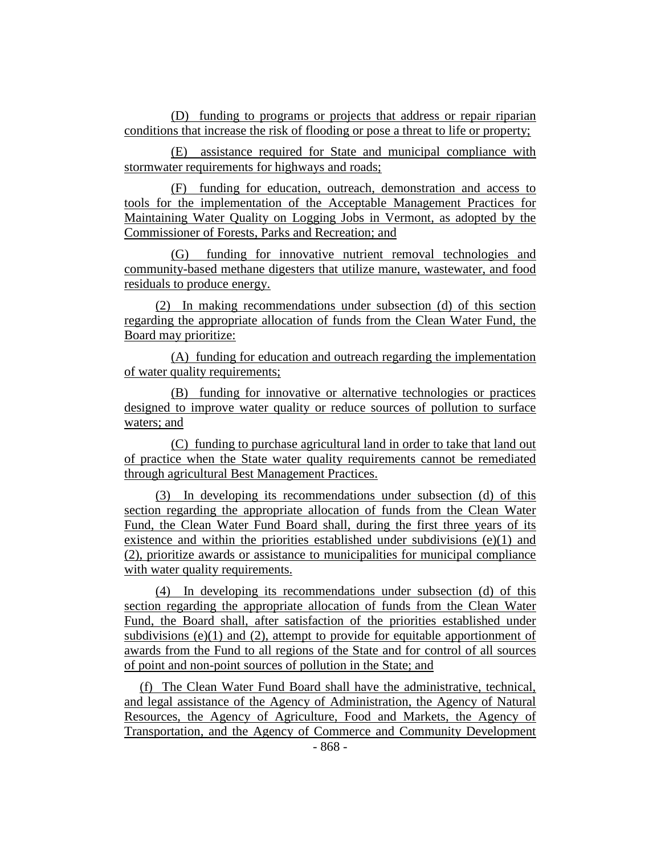(D) funding to programs or projects that address or repair riparian conditions that increase the risk of flooding or pose a threat to life or property;

(E) assistance required for State and municipal compliance with stormwater requirements for highways and roads;

(F) funding for education, outreach, demonstration and access to tools for the implementation of the Acceptable Management Practices for Maintaining Water Quality on Logging Jobs in Vermont, as adopted by the Commissioner of Forests, Parks and Recreation; and

(G) funding for innovative nutrient removal technologies and community-based methane digesters that utilize manure, wastewater, and food residuals to produce energy.

(2) In making recommendations under subsection (d) of this section regarding the appropriate allocation of funds from the Clean Water Fund, the Board may prioritize:

(A) funding for education and outreach regarding the implementation of water quality requirements;

(B) funding for innovative or alternative technologies or practices designed to improve water quality or reduce sources of pollution to surface waters; and

(C) funding to purchase agricultural land in order to take that land out of practice when the State water quality requirements cannot be remediated through agricultural Best Management Practices.

(3) In developing its recommendations under subsection (d) of this section regarding the appropriate allocation of funds from the Clean Water Fund, the Clean Water Fund Board shall, during the first three years of its existence and within the priorities established under subdivisions (e)(1) and (2), prioritize awards or assistance to municipalities for municipal compliance with water quality requirements.

(4) In developing its recommendations under subsection (d) of this section regarding the appropriate allocation of funds from the Clean Water Fund, the Board shall, after satisfaction of the priorities established under subdivisions  $(e)(1)$  and  $(2)$ , attempt to provide for equitable apportionment of awards from the Fund to all regions of the State and for control of all sources of point and non-point sources of pollution in the State; and

(f) The Clean Water Fund Board shall have the administrative, technical, and legal assistance of the Agency of Administration, the Agency of Natural Resources, the Agency of Agriculture, Food and Markets, the Agency of Transportation, and the Agency of Commerce and Community Development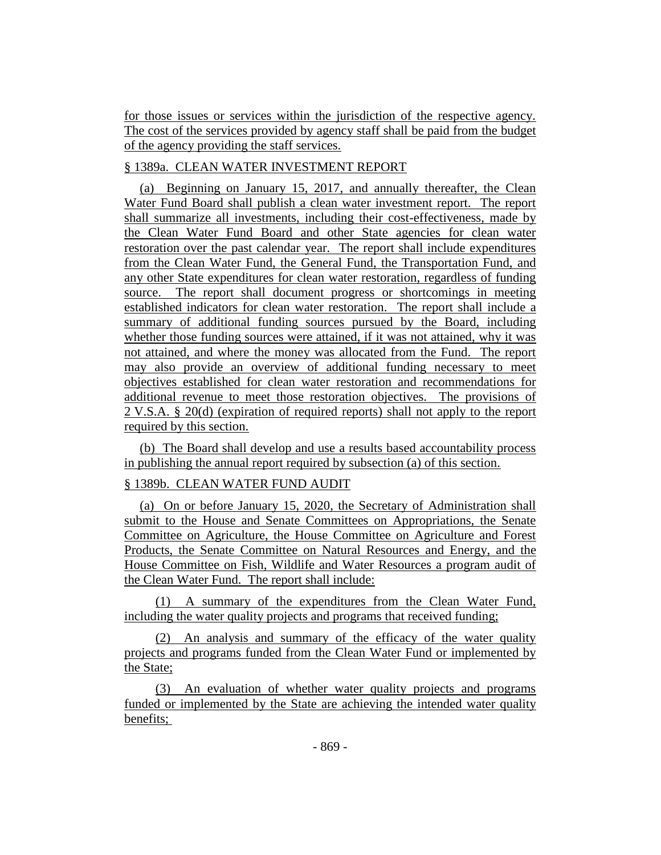for those issues or services within the jurisdiction of the respective agency. The cost of the services provided by agency staff shall be paid from the budget of the agency providing the staff services.

# § 1389a. CLEAN WATER INVESTMENT REPORT

(a) Beginning on January 15, 2017, and annually thereafter, the Clean Water Fund Board shall publish a clean water investment report. The report shall summarize all investments, including their cost-effectiveness, made by the Clean Water Fund Board and other State agencies for clean water restoration over the past calendar year. The report shall include expenditures from the Clean Water Fund, the General Fund, the Transportation Fund, and any other State expenditures for clean water restoration, regardless of funding source. The report shall document progress or shortcomings in meeting established indicators for clean water restoration. The report shall include a summary of additional funding sources pursued by the Board, including whether those funding sources were attained, if it was not attained, why it was not attained, and where the money was allocated from the Fund. The report may also provide an overview of additional funding necessary to meet objectives established for clean water restoration and recommendations for additional revenue to meet those restoration objectives. The provisions of 2 V.S.A. § 20(d) (expiration of required reports) shall not apply to the report required by this section.

(b) The Board shall develop and use a results based accountability process in publishing the annual report required by subsection (a) of this section.

# § 1389b. CLEAN WATER FUND AUDIT

(a) On or before January 15, 2020, the Secretary of Administration shall submit to the House and Senate Committees on Appropriations, the Senate Committee on Agriculture, the House Committee on Agriculture and Forest Products, the Senate Committee on Natural Resources and Energy, and the House Committee on Fish, Wildlife and Water Resources a program audit of the Clean Water Fund. The report shall include:

(1) A summary of the expenditures from the Clean Water Fund, including the water quality projects and programs that received funding;

(2) An analysis and summary of the efficacy of the water quality projects and programs funded from the Clean Water Fund or implemented by the State;

(3) An evaluation of whether water quality projects and programs funded or implemented by the State are achieving the intended water quality benefits;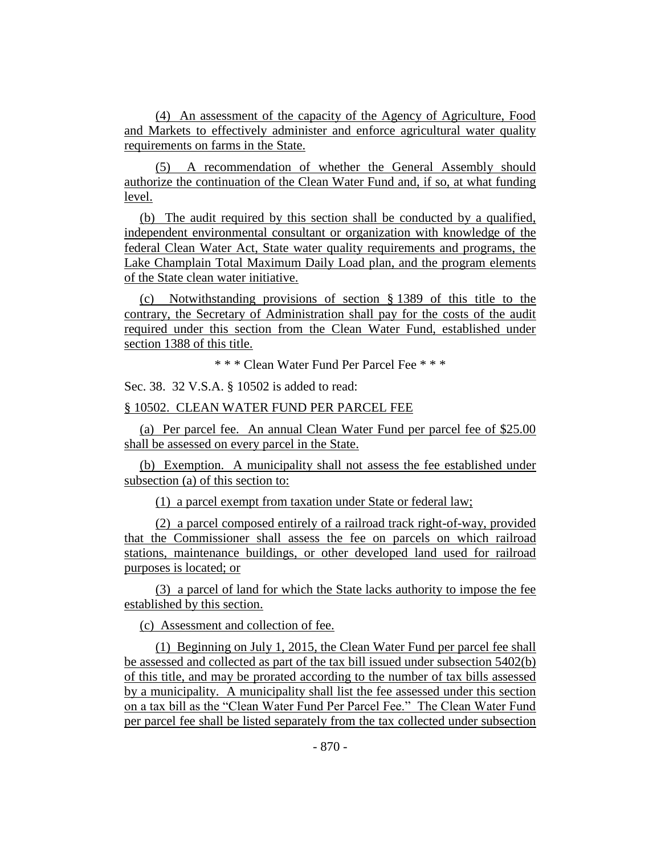(4) An assessment of the capacity of the Agency of Agriculture, Food and Markets to effectively administer and enforce agricultural water quality requirements on farms in the State.

(5) A recommendation of whether the General Assembly should authorize the continuation of the Clean Water Fund and, if so, at what funding level.

(b) The audit required by this section shall be conducted by a qualified, independent environmental consultant or organization with knowledge of the federal Clean Water Act, State water quality requirements and programs, the Lake Champlain Total Maximum Daily Load plan, and the program elements of the State clean water initiative.

(c) Notwithstanding provisions of section § 1389 of this title to the contrary, the Secretary of Administration shall pay for the costs of the audit required under this section from the Clean Water Fund, established under section 1388 of this title.

\* \* \* Clean Water Fund Per Parcel Fee \* \* \*

Sec. 38. 32 V.S.A. § 10502 is added to read:

#### § 10502. CLEAN WATER FUND PER PARCEL FEE

(a) Per parcel fee. An annual Clean Water Fund per parcel fee of \$25.00 shall be assessed on every parcel in the State.

(b) Exemption. A municipality shall not assess the fee established under subsection (a) of this section to:

(1) a parcel exempt from taxation under State or federal law;

(2) a parcel composed entirely of a railroad track right-of-way, provided that the Commissioner shall assess the fee on parcels on which railroad stations, maintenance buildings, or other developed land used for railroad purposes is located; or

(3) a parcel of land for which the State lacks authority to impose the fee established by this section.

(c) Assessment and collection of fee.

(1) Beginning on July 1, 2015, the Clean Water Fund per parcel fee shall be assessed and collected as part of the tax bill issued under subsection 5402(b) of this title, and may be prorated according to the number of tax bills assessed by a municipality. A municipality shall list the fee assessed under this section on a tax bill as the "Clean Water Fund Per Parcel Fee." The Clean Water Fund per parcel fee shall be listed separately from the tax collected under subsection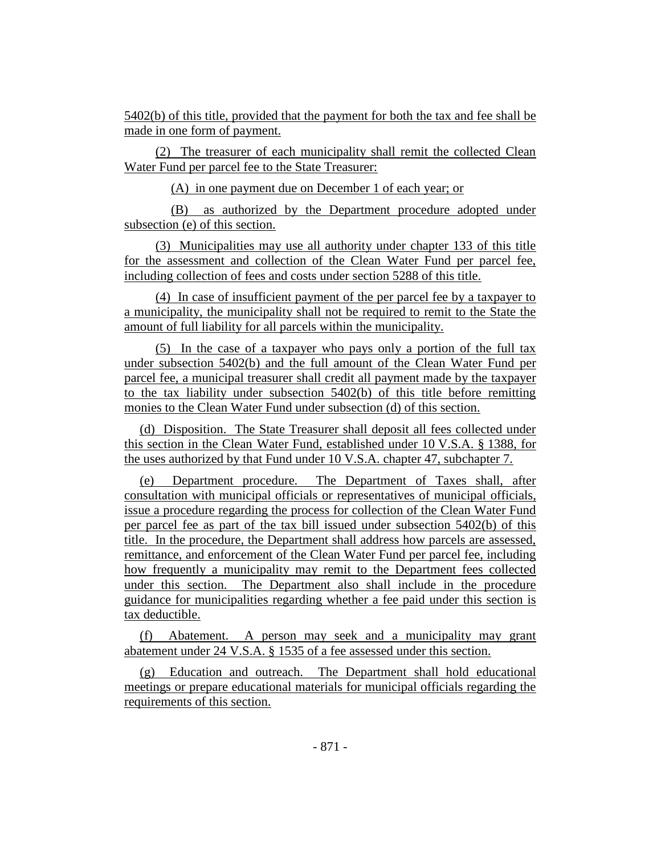5402(b) of this title, provided that the payment for both the tax and fee shall be made in one form of payment.

(2) The treasurer of each municipality shall remit the collected Clean Water Fund per parcel fee to the State Treasurer:

(A) in one payment due on December 1 of each year; or

(B) as authorized by the Department procedure adopted under subsection (e) of this section.

(3) Municipalities may use all authority under chapter 133 of this title for the assessment and collection of the Clean Water Fund per parcel fee, including collection of fees and costs under section 5288 of this title.

(4) In case of insufficient payment of the per parcel fee by a taxpayer to a municipality, the municipality shall not be required to remit to the State the amount of full liability for all parcels within the municipality.

(5) In the case of a taxpayer who pays only a portion of the full tax under subsection 5402(b) and the full amount of the Clean Water Fund per parcel fee, a municipal treasurer shall credit all payment made by the taxpayer to the tax liability under subsection 5402(b) of this title before remitting monies to the Clean Water Fund under subsection (d) of this section.

(d) Disposition. The State Treasurer shall deposit all fees collected under this section in the Clean Water Fund, established under 10 V.S.A. § 1388, for the uses authorized by that Fund under 10 V.S.A. chapter 47, subchapter 7.

(e) Department procedure. The Department of Taxes shall, after consultation with municipal officials or representatives of municipal officials, issue a procedure regarding the process for collection of the Clean Water Fund per parcel fee as part of the tax bill issued under subsection 5402(b) of this title. In the procedure, the Department shall address how parcels are assessed, remittance, and enforcement of the Clean Water Fund per parcel fee, including how frequently a municipality may remit to the Department fees collected under this section. The Department also shall include in the procedure guidance for municipalities regarding whether a fee paid under this section is tax deductible.

(f) Abatement. A person may seek and a municipality may grant abatement under 24 V.S.A. § 1535 of a fee assessed under this section.

(g) Education and outreach. The Department shall hold educational meetings or prepare educational materials for municipal officials regarding the requirements of this section.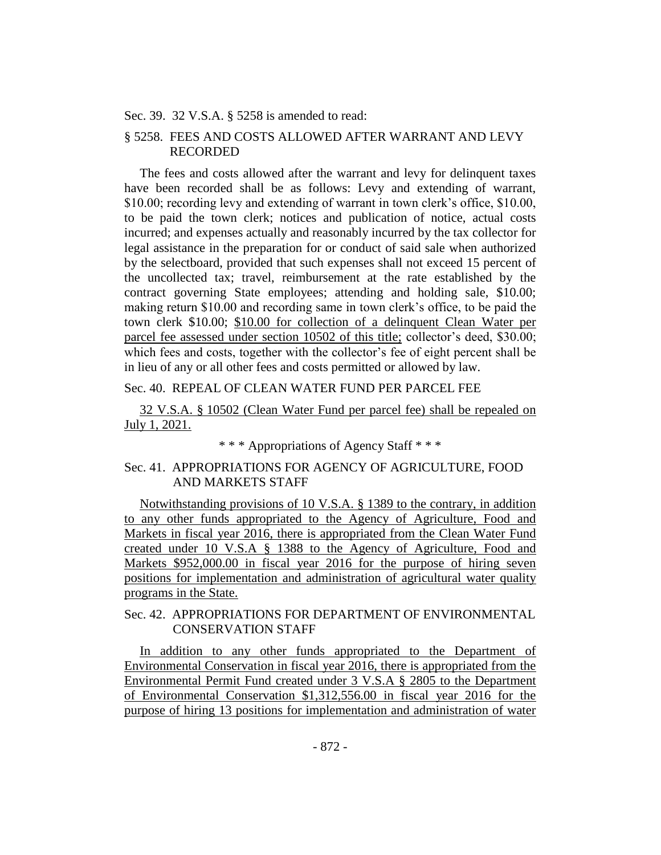#### Sec. 39. 32 V.S.A. § 5258 is amended to read:

## § 5258. FEES AND COSTS ALLOWED AFTER WARRANT AND LEVY RECORDED

The fees and costs allowed after the warrant and levy for delinquent taxes have been recorded shall be as follows: Levy and extending of warrant, \$10.00; recording levy and extending of warrant in town clerk's office, \$10.00, to be paid the town clerk; notices and publication of notice, actual costs incurred; and expenses actually and reasonably incurred by the tax collector for legal assistance in the preparation for or conduct of said sale when authorized by the selectboard, provided that such expenses shall not exceed 15 percent of the uncollected tax; travel, reimbursement at the rate established by the contract governing State employees; attending and holding sale, \$10.00; making return \$10.00 and recording same in town clerk's office, to be paid the town clerk \$10.00; \$10.00 for collection of a delinquent Clean Water per parcel fee assessed under section 10502 of this title; collector's deed, \$30.00; which fees and costs, together with the collector's fee of eight percent shall be in lieu of any or all other fees and costs permitted or allowed by law.

#### Sec. 40. REPEAL OF CLEAN WATER FUND PER PARCEL FEE

32 V.S.A. § 10502 (Clean Water Fund per parcel fee) shall be repealed on July 1, 2021.

\* \* \* Appropriations of Agency Staff \* \* \*

## Sec. 41. APPROPRIATIONS FOR AGENCY OF AGRICULTURE, FOOD AND MARKETS STAFF

Notwithstanding provisions of 10 V.S.A. § 1389 to the contrary, in addition to any other funds appropriated to the Agency of Agriculture, Food and Markets in fiscal year 2016, there is appropriated from the Clean Water Fund created under 10 V.S.A § 1388 to the Agency of Agriculture, Food and Markets \$952,000.00 in fiscal year 2016 for the purpose of hiring seven positions for implementation and administration of agricultural water quality programs in the State.

## Sec. 42. APPROPRIATIONS FOR DEPARTMENT OF ENVIRONMENTAL CONSERVATION STAFF

In addition to any other funds appropriated to the Department of Environmental Conservation in fiscal year 2016, there is appropriated from the Environmental Permit Fund created under 3 V.S.A § 2805 to the Department of Environmental Conservation \$1,312,556.00 in fiscal year 2016 for the purpose of hiring 13 positions for implementation and administration of water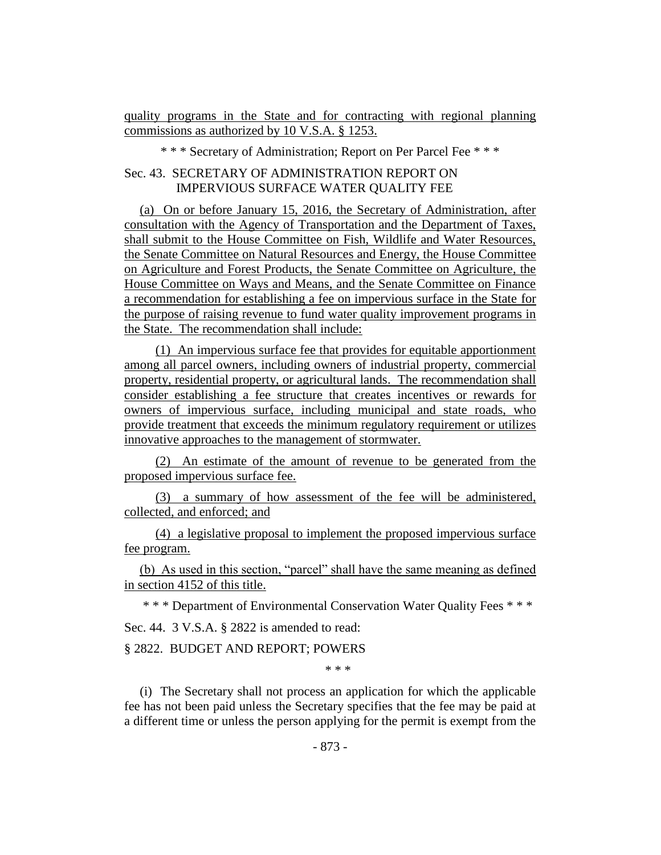quality programs in the State and for contracting with regional planning commissions as authorized by 10 V.S.A. § 1253.

\* \* \* Secretary of Administration; Report on Per Parcel Fee \* \* \*

# Sec. 43. SECRETARY OF ADMINISTRATION REPORT ON IMPERVIOUS SURFACE WATER QUALITY FEE

(a) On or before January 15, 2016, the Secretary of Administration, after consultation with the Agency of Transportation and the Department of Taxes, shall submit to the House Committee on Fish, Wildlife and Water Resources, the Senate Committee on Natural Resources and Energy, the House Committee on Agriculture and Forest Products, the Senate Committee on Agriculture, the House Committee on Ways and Means, and the Senate Committee on Finance a recommendation for establishing a fee on impervious surface in the State for the purpose of raising revenue to fund water quality improvement programs in the State. The recommendation shall include:

(1) An impervious surface fee that provides for equitable apportionment among all parcel owners, including owners of industrial property, commercial property, residential property, or agricultural lands. The recommendation shall consider establishing a fee structure that creates incentives or rewards for owners of impervious surface, including municipal and state roads, who provide treatment that exceeds the minimum regulatory requirement or utilizes innovative approaches to the management of stormwater.

(2) An estimate of the amount of revenue to be generated from the proposed impervious surface fee.

(3) a summary of how assessment of the fee will be administered, collected, and enforced; and

(4) a legislative proposal to implement the proposed impervious surface fee program.

(b) As used in this section, "parcel" shall have the same meaning as defined in section 4152 of this title.

\* \* \* Department of Environmental Conservation Water Quality Fees \* \* \* Sec. 44. 3 V.S.A. § 2822 is amended to read:

#### § 2822. BUDGET AND REPORT; POWERS

\* \* \*

(i) The Secretary shall not process an application for which the applicable fee has not been paid unless the Secretary specifies that the fee may be paid at a different time or unless the person applying for the permit is exempt from the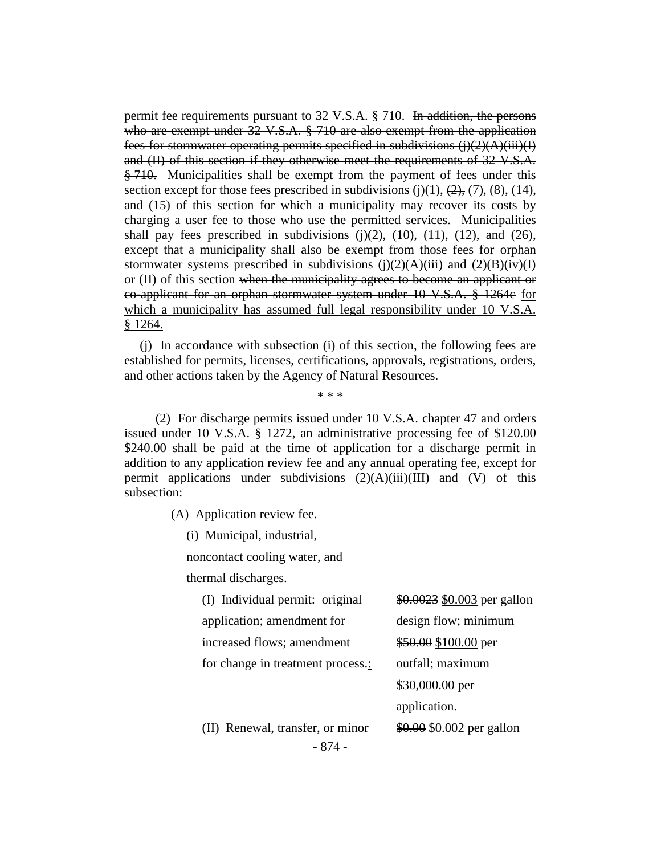permit fee requirements pursuant to 32 V.S.A.  $\S$  710. In addition, the persons who are exempt under 32 V.S.A. § 710 are also exempt from the application fees for stormwater operating permits specified in subdivisions  $(i)(2)(A)(iii)(I)$ and (II) of this section if they otherwise meet the requirements of 32 V.S.A. § 710. Municipalities shall be exempt from the payment of fees under this section except for those fees prescribed in subdivisions  $(j)(1)$ ,  $(2)$ ,  $(7)$ ,  $(8)$ ,  $(14)$ , and (15) of this section for which a municipality may recover its costs by charging a user fee to those who use the permitted services. Municipalities shall pay fees prescribed in subdivisions  $(j)(2)$ ,  $(10)$ ,  $(11)$ ,  $(12)$ , and  $(26)$ , except that a municipality shall also be exempt from those fees for orphane stormwater systems prescribed in subdivisions  $(j)(2)(A)(iii)$  and  $(2)(B)(iv)(I)$ or (II) of this section when the municipality agrees to become an applicant or co-applicant for an orphan stormwater system under 10 V.S.A. § 1264c for which a municipality has assumed full legal responsibility under 10 V.S.A. § 1264.

(j) In accordance with subsection (i) of this section, the following fees are established for permits, licenses, certifications, approvals, registrations, orders, and other actions taken by the Agency of Natural Resources.

\* \* \*

(2) For discharge permits issued under 10 V.S.A. chapter 47 and orders issued under 10 V.S.A. § 1272, an administrative processing fee of \$120.00 \$240.00 shall be paid at the time of application for a discharge permit in addition to any application review fee and any annual operating fee, except for permit applications under subdivisions  $(2)(A)(iii)(III)$  and  $(V)$  of this subsection:

(A) Application review fee.

(i) Municipal, industrial,

noncontact cooling water, and

thermal discharges.

| (I) Individual permit: original   | \$0.0023 \$0.003 per gallon  |
|-----------------------------------|------------------------------|
| application; amendment for        | design flow; minimum         |
| increased flows; amendment        | \$50.00 \$100.00 per         |
| for change in treatment process.: | outfall; maximum             |
|                                   | \$30,000.00 per              |
|                                   | application.                 |
| $(II)$ Donoval transfer or minor  | $$0.00$$ $$0.002$ nor collon |

- 874 - (II) Renewal, transfer, or minor  $\frac{$0.00}{$0.002}$  per gallon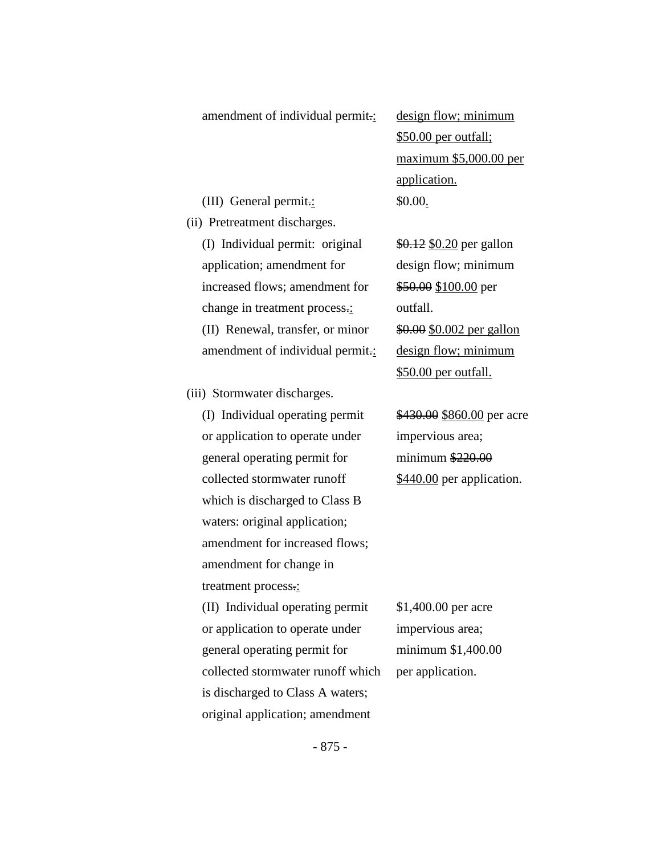#### amendment of individual permit.: design flow; minimum

(III) General permit.: \$0.00.

(ii) Pretreatment discharges.

(I) Individual permit: original  $\frac{$0.12}{$0.12}$  \$0.20 per gallon application; amendment for design flow; minimum increased flows; amendment for \$50.00 \$100.00 per change in treatment process.: outfall. (II) Renewal, transfer, or minor  $\frac{$0.00}{$0.002}$  per gallon amendment of individual permit.: design flow; minimum

(iii) Stormwater discharges.

(I) Individual operating permit  $$430.00 $860.00$  per acre or application to operate under impervious area; general operating permit for minimum \$220.00 collected stormwater runoff \$440.00 per application. which is discharged to Class B waters: original application; amendment for increased flows; amendment for change in treatment process.: (II) Individual operating permit  $$1,400.00$  per acre or application to operate under impervious area; general operating permit for minimum \$1,400.00 collected stormwater runoff which per application. is discharged to Class A waters; original application; amendment

\$50.00 per outfall; maximum \$5,000.00 per application.

\$50.00 per outfall.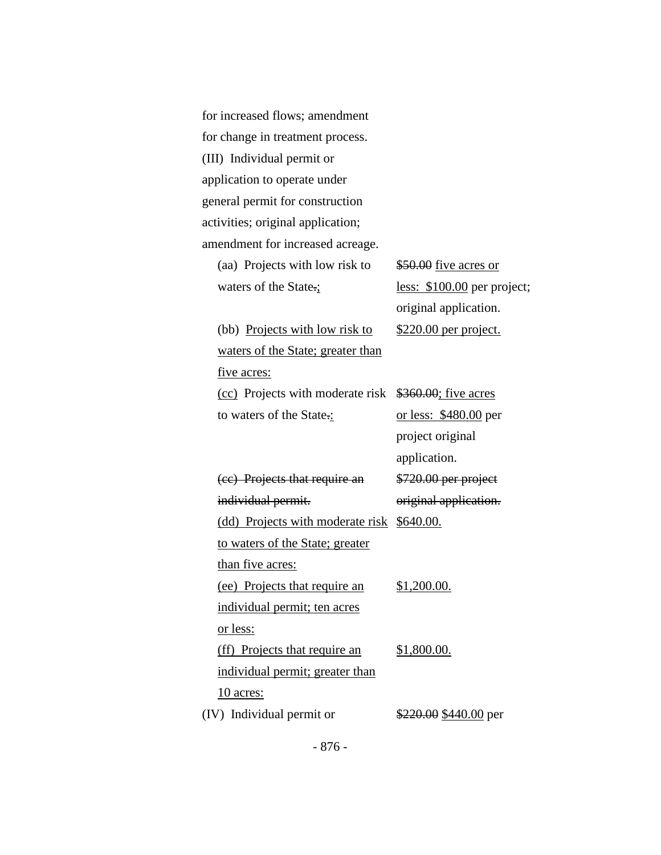| for increased flows; amendment    |                              |
|-----------------------------------|------------------------------|
| for change in treatment process.  |                              |
| (III) Individual permit or        |                              |
| application to operate under      |                              |
| general permit for construction   |                              |
| activities; original application; |                              |
| amendment for increased acreage.  |                              |
| (aa) Projects with low risk to    | $$50.00$ five acres or       |
| waters of the State.;             | less: \$100.00 per project;  |
|                                   | original application.        |
| (bb) Projects with low risk to    | <u>\$220.00 per project.</u> |
| waters of the State; greater than |                              |
| <u>five</u> acres:                |                              |
| (cc) Projects with moderate risk  | \$360.00; five acres         |
| to waters of the State.:          | <u>or less: \$480.00</u> per |
|                                   | project original             |
|                                   | application.                 |
| (ee) Projects that require an     | \$720.00 per project         |
| individual permit.                | original application.        |
| (dd) Projects with moderate risk  | <u>\$640.00.</u>             |
| to waters of the State; greater   |                              |
| than five acres:                  |                              |
| (ee) Projects that require an     | \$1,200.00.                  |
| individual permit; ten acres      |                              |
| <u>or less:</u>                   |                              |
| (ff) Projects that require an     | \$1,800.00.                  |
| individual permit; greater than   |                              |
| <u>10 acres:</u>                  |                              |
| (IV) Individual permit or         | \$220.00 \$440.00 per        |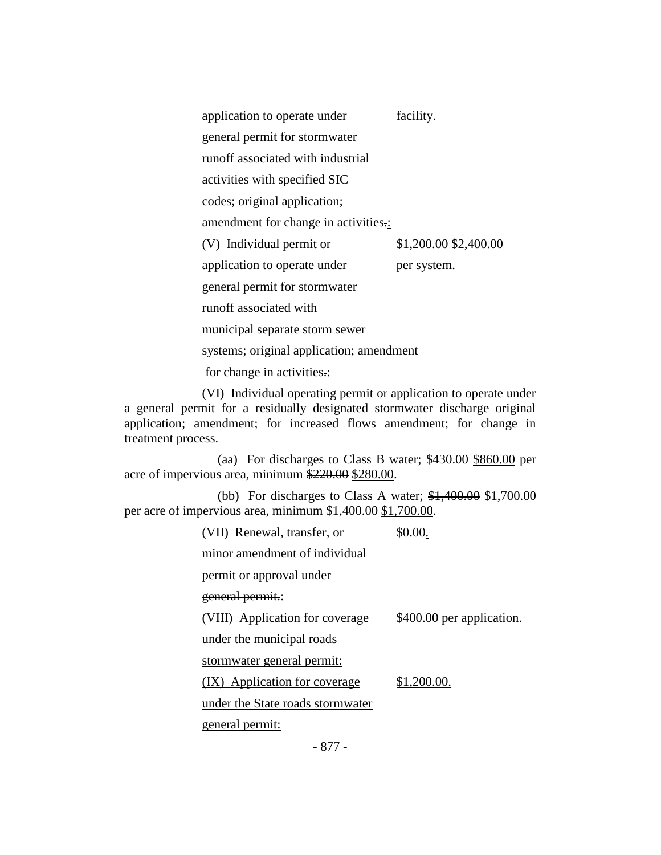| application to operate under             | facility.             |
|------------------------------------------|-----------------------|
| general permit for stormwater            |                       |
| runoff associated with industrial        |                       |
| activities with specified SIC            |                       |
| codes; original application;             |                       |
| amendment for change in activities.:     |                       |
| (V) Individual permit or                 | \$1,200.00 \$2,400.00 |
| application to operate under             | per system.           |
| general permit for stormwater            |                       |
| runoff associated with                   |                       |
| municipal separate storm sewer           |                       |
| systems; original application; amendment |                       |
| for change in activities.:               |                       |

(VI) Individual operating permit or application to operate under a general permit for a residually designated stormwater discharge original application; amendment; for increased flows amendment; for change in treatment process.

(aa) For discharges to Class B water; \$430.00 \$860.00 per acre of impervious area, minimum \$220.00 \$280.00.

(bb) For discharges to Class A water; \$1,400.00 \$1,700.00 per acre of impervious area, minimum \$1,400.00 \$1,700.00.

(VII) Renewal, transfer, or  $$0.00.$ 

minor amendment of individual

permit or approval under

general permit.:

(VIII) Application for coverage \$400.00 per application.

under the municipal roads

stormwater general permit:

 $(IX)$  Application for coverage  $$1,200.00$ .

under the State roads stormwater

general permit:

- 877 -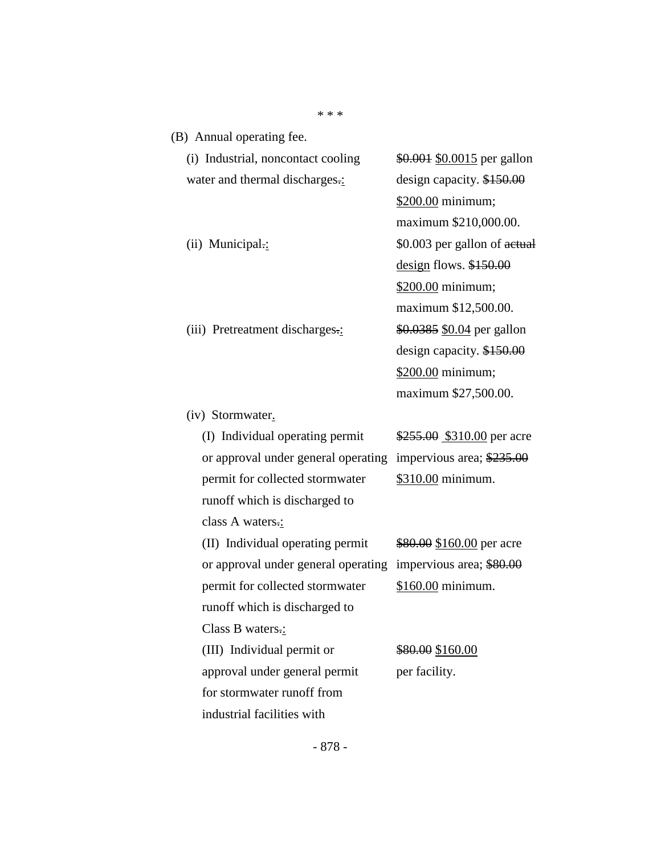| (B) Annual operating fee.           |                              |
|-------------------------------------|------------------------------|
| (i) Industrial, noncontact cooling  | \$0.001 \$0.0015 per gallon  |
| water and thermal discharges.:      | design capacity. \$150.00    |
|                                     | \$200.00 minimum;            |
|                                     | maximum \$210,000.00.        |
| $(ii)$ Municipal.:                  | \$0.003 per gallon of actual |
|                                     | $design$ flows. $$150.00$    |
|                                     | \$200.00 minimum;            |
|                                     | maximum \$12,500.00.         |
| (iii) Pretreatment discharges.:     | \$0.0385 \$0.04 per gallon   |
|                                     | design capacity. $$150.00$   |
|                                     | \$200.00 minimum;            |
|                                     | maximum \$27,500.00.         |
| (iv) Stormwater.                    |                              |
| (I) Individual operating permit     | \$255.00 \$310.00 per acre   |
| or approval under general operating | impervious area; $$235.00$   |
| permit for collected stormwater     | \$310.00 minimum.            |
| runoff which is discharged to       |                              |
| class A waters.:                    |                              |
| (II) Individual operating permit    | \$80.00 \$160.00 per acre    |
| or approval under general operating | impervious area; \$80.00     |
| permit for collected stormwater     | \$160.00 minimum.            |
| runoff which is discharged to       |                              |
| Class B waters.:                    |                              |
| (III) Individual permit or          | \$80.00 \$160.00             |
| approval under general permit       | per facility.                |
| for stormwater runoff from          |                              |

\* \* \*

- 878 -

industrial facilities with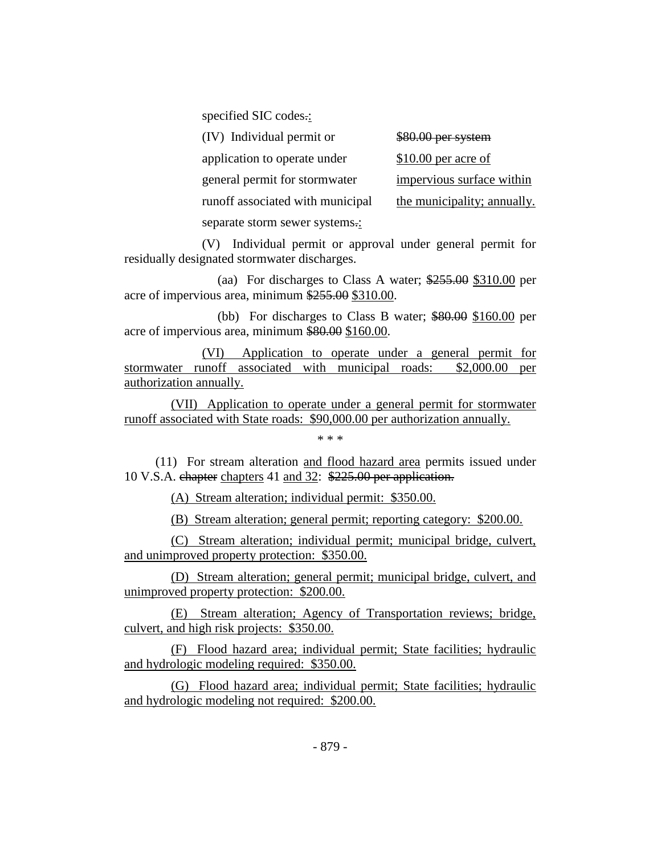specified SIC codes.:

| (IV) Individual permit or        | \$80.00 per system          |
|----------------------------------|-----------------------------|
| application to operate under     | $$10.00$ per acre of        |
| general permit for stormwater    | impervious surface within   |
| runoff associated with municipal | the municipality; annually. |
| separate storm sewer systems.:   |                             |

(V) Individual permit or approval under general permit for residually designated stormwater discharges.

(aa) For discharges to Class A water; \$255.00 \$310.00 per acre of impervious area, minimum \$255.00 \$310.00.

(bb) For discharges to Class B water; \$80.00 \$160.00 per acre of impervious area, minimum \$80.00 \$160.00.

(VI) Application to operate under a general permit for stormwater runoff associated with municipal roads: \$2,000.00 per authorization annually.

(VII) Application to operate under a general permit for stormwater runoff associated with State roads: \$90,000.00 per authorization annually.

\* \* \*

(11) For stream alteration and flood hazard area permits issued under 10 V.S.A. chapter chapters 41 and 32: \$225.00 per application.

(A) Stream alteration; individual permit: \$350.00.

(B) Stream alteration; general permit; reporting category: \$200.00.

(C) Stream alteration; individual permit; municipal bridge, culvert, and unimproved property protection: \$350.00.

(D) Stream alteration; general permit; municipal bridge, culvert, and unimproved property protection: \$200.00.

(E) Stream alteration; Agency of Transportation reviews; bridge, culvert, and high risk projects: \$350.00.

(F) Flood hazard area; individual permit; State facilities; hydraulic and hydrologic modeling required: \$350.00.

(G) Flood hazard area; individual permit; State facilities; hydraulic and hydrologic modeling not required: \$200.00.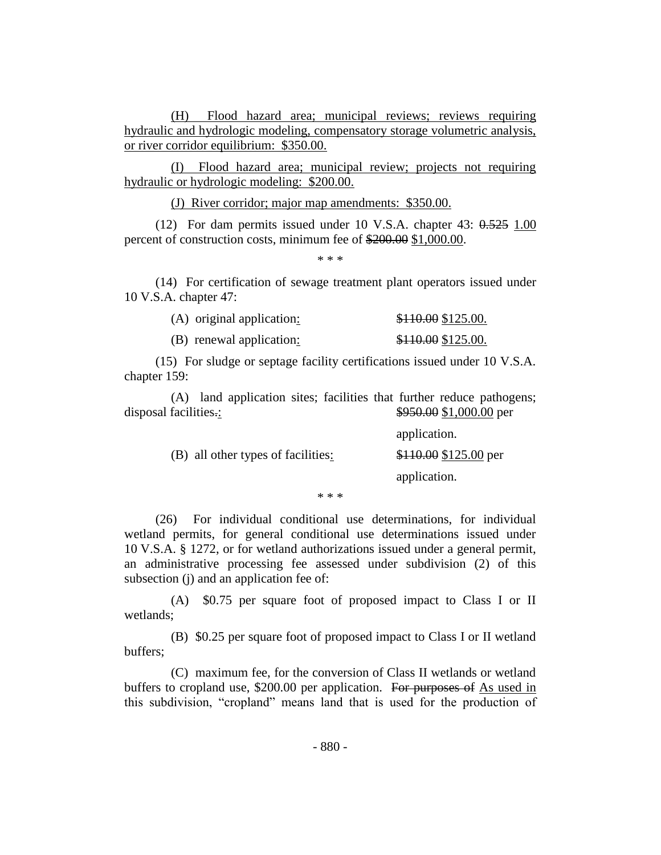(H) Flood hazard area; municipal reviews; reviews requiring hydraulic and hydrologic modeling, compensatory storage volumetric analysis, or river corridor equilibrium: \$350.00.

(I) Flood hazard area; municipal review; projects not requiring hydraulic or hydrologic modeling: \$200.00.

(J) River corridor; major map amendments: \$350.00.

(12) For dam permits issued under 10 V.S.A. chapter 43: 0.525 1.00 percent of construction costs, minimum fee of \$200.00 \$1,000.00.

\* \* \*

(14) For certification of sewage treatment plant operators issued under 10 V.S.A. chapter 47:

| (A) original application: | \$110.00 \$125.00. |
|---------------------------|--------------------|
| (B) renewal application:  | \$110.00 \$125.00. |

(15) For sludge or septage facility certifications issued under 10 V.S.A. chapter 159:

(A) land application sites; facilities that further reduce pathogens; disposal facilities.:  $\frac{$950.00}{$1,000.00}$  per

|                                    | application.                  |
|------------------------------------|-------------------------------|
| (B) all other types of facilities: | $$110.00 \text{ $125.00}$ per |
|                                    | application.                  |

\* \* \*

(26) For individual conditional use determinations, for individual wetland permits, for general conditional use determinations issued under 10 V.S.A. § 1272, or for wetland authorizations issued under a general permit, an administrative processing fee assessed under subdivision (2) of this subsection (j) and an application fee of:

(A) \$0.75 per square foot of proposed impact to Class I or II wetlands;

(B) \$0.25 per square foot of proposed impact to Class I or II wetland buffers;

(C) maximum fee, for the conversion of Class II wetlands or wetland buffers to cropland use, \$200.00 per application. For purposes of As used in this subdivision, "cropland" means land that is used for the production of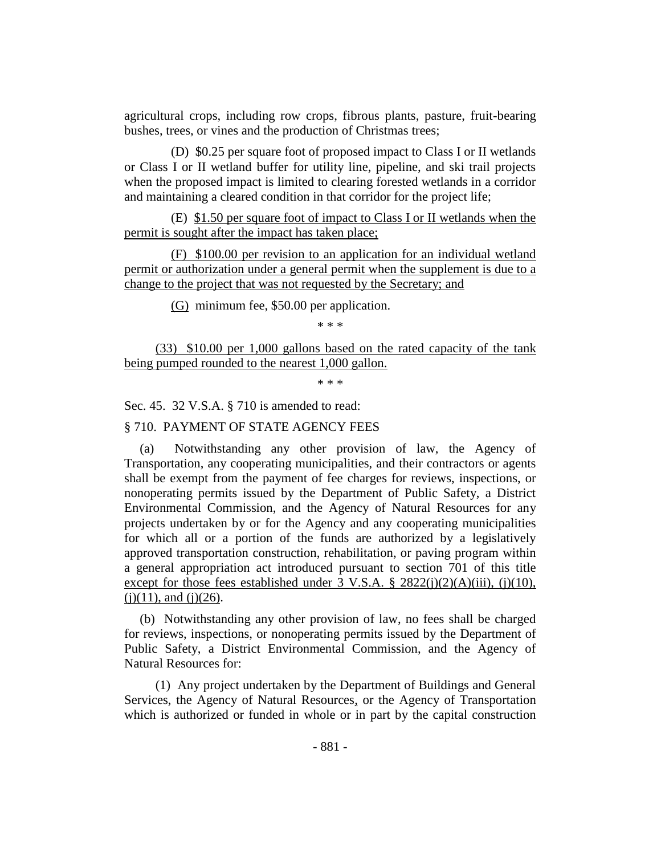agricultural crops, including row crops, fibrous plants, pasture, fruit-bearing bushes, trees, or vines and the production of Christmas trees;

(D) \$0.25 per square foot of proposed impact to Class I or II wetlands or Class I or II wetland buffer for utility line, pipeline, and ski trail projects when the proposed impact is limited to clearing forested wetlands in a corridor and maintaining a cleared condition in that corridor for the project life;

(E) \$1.50 per square foot of impact to Class I or II wetlands when the permit is sought after the impact has taken place;

(F) \$100.00 per revision to an application for an individual wetland permit or authorization under a general permit when the supplement is due to a change to the project that was not requested by the Secretary; and

(G) minimum fee, \$50.00 per application.

\* \* \*

(33) \$10.00 per 1,000 gallons based on the rated capacity of the tank being pumped rounded to the nearest 1,000 gallon.

\* \* \*

Sec. 45. 32 V.S.A. § 710 is amended to read:

# § 710. PAYMENT OF STATE AGENCY FEES

(a) Notwithstanding any other provision of law, the Agency of Transportation, any cooperating municipalities, and their contractors or agents shall be exempt from the payment of fee charges for reviews, inspections, or nonoperating permits issued by the Department of Public Safety, a District Environmental Commission, and the Agency of Natural Resources for any projects undertaken by or for the Agency and any cooperating municipalities for which all or a portion of the funds are authorized by a legislatively approved transportation construction, rehabilitation, or paving program within a general appropriation act introduced pursuant to section 701 of this title except for those fees established under  $3 \text{ V.S.A.} \$   $2822(i)(2)(\text{A})(iii)$ , (j)(10),  $(i)(11)$ , and  $(i)(26)$ .

(b) Notwithstanding any other provision of law, no fees shall be charged for reviews, inspections, or nonoperating permits issued by the Department of Public Safety, a District Environmental Commission, and the Agency of Natural Resources for:

(1) Any project undertaken by the Department of Buildings and General Services, the Agency of Natural Resources, or the Agency of Transportation which is authorized or funded in whole or in part by the capital construction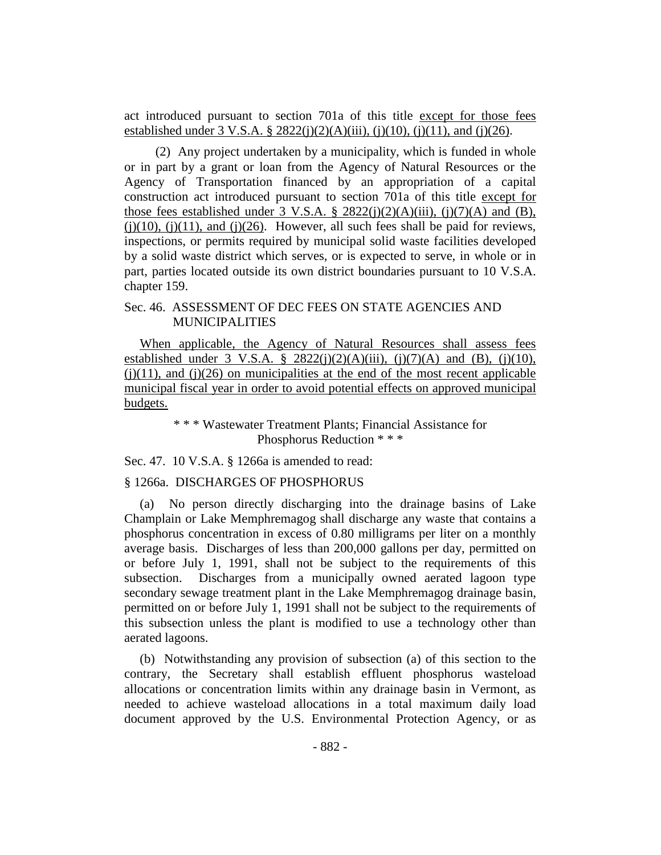act introduced pursuant to section 701a of this title except for those fees established under 3 V.S.A. § 2822(j)(2)(A)(iii), (j)(10), (j)(11), and (j)(26).

(2) Any project undertaken by a municipality, which is funded in whole or in part by a grant or loan from the Agency of Natural Resources or the Agency of Transportation financed by an appropriation of a capital construction act introduced pursuant to section 701a of this title except for those fees established under 3 V.S.A. §  $2822(j)(2)(A)(iii)$ , (j)(7)(A) and (B), (j)(10), (j)(11), and (j)(26). However, all such fees shall be paid for reviews, inspections, or permits required by municipal solid waste facilities developed by a solid waste district which serves, or is expected to serve, in whole or in part, parties located outside its own district boundaries pursuant to 10 V.S.A. chapter 159.

#### Sec. 46. ASSESSMENT OF DEC FEES ON STATE AGENCIES AND MUNICIPALITIES

When applicable, the Agency of Natural Resources shall assess fees established under 3 V.S.A. § 2822(j)(2)(A)(iii), (j)(7)(A) and (B), (j)(10),  $(i)(11)$ , and  $(i)(26)$  on municipalities at the end of the most recent applicable municipal fiscal year in order to avoid potential effects on approved municipal budgets.

> \* \* \* Wastewater Treatment Plants; Financial Assistance for Phosphorus Reduction \* \* \*

Sec. 47. 10 V.S.A. § 1266a is amended to read:

#### § 1266a. DISCHARGES OF PHOSPHORUS

(a) No person directly discharging into the drainage basins of Lake Champlain or Lake Memphremagog shall discharge any waste that contains a phosphorus concentration in excess of 0.80 milligrams per liter on a monthly average basis. Discharges of less than 200,000 gallons per day, permitted on or before July 1, 1991, shall not be subject to the requirements of this subsection. Discharges from a municipally owned aerated lagoon type secondary sewage treatment plant in the Lake Memphremagog drainage basin, permitted on or before July 1, 1991 shall not be subject to the requirements of this subsection unless the plant is modified to use a technology other than aerated lagoons.

(b) Notwithstanding any provision of subsection (a) of this section to the contrary, the Secretary shall establish effluent phosphorus wasteload allocations or concentration limits within any drainage basin in Vermont, as needed to achieve wasteload allocations in a total maximum daily load document approved by the U.S. Environmental Protection Agency, or as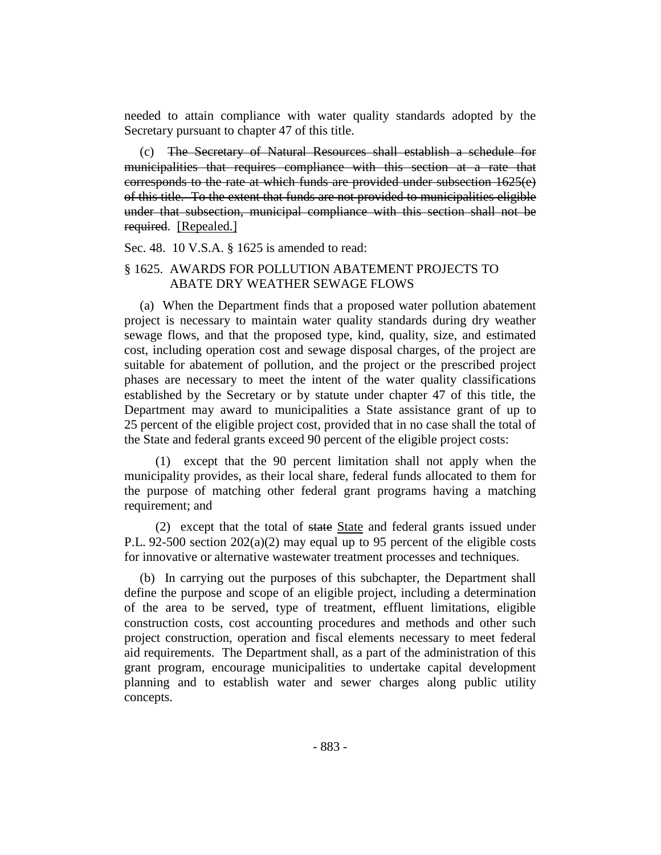needed to attain compliance with water quality standards adopted by the Secretary pursuant to chapter 47 of this title.

The Secretary of Natural Resources shall establish a schedule for municipalities that requires compliance with this section at a rate that corresponds to the rate at which funds are provided under subsection 1625(e) of this title. To the extent that funds are not provided to municipalities eligible under that subsection, municipal compliance with this section shall not be required. [Repealed.]

Sec. 48. 10 V.S.A. § 1625 is amended to read:

#### § 1625. AWARDS FOR POLLUTION ABATEMENT PROJECTS TO ABATE DRY WEATHER SEWAGE FLOWS

(a) When the Department finds that a proposed water pollution abatement project is necessary to maintain water quality standards during dry weather sewage flows, and that the proposed type, kind, quality, size, and estimated cost, including operation cost and sewage disposal charges, of the project are suitable for abatement of pollution, and the project or the prescribed project phases are necessary to meet the intent of the water quality classifications established by the Secretary or by statute under chapter 47 of this title, the Department may award to municipalities a State assistance grant of up to 25 percent of the eligible project cost, provided that in no case shall the total of the State and federal grants exceed 90 percent of the eligible project costs:

(1) except that the 90 percent limitation shall not apply when the municipality provides, as their local share, federal funds allocated to them for the purpose of matching other federal grant programs having a matching requirement; and

(2) except that the total of state State and federal grants issued under P.L. 92-500 section  $202(a)(2)$  may equal up to 95 percent of the eligible costs for innovative or alternative wastewater treatment processes and techniques.

(b) In carrying out the purposes of this subchapter, the Department shall define the purpose and scope of an eligible project, including a determination of the area to be served, type of treatment, effluent limitations, eligible construction costs, cost accounting procedures and methods and other such project construction, operation and fiscal elements necessary to meet federal aid requirements. The Department shall, as a part of the administration of this grant program, encourage municipalities to undertake capital development planning and to establish water and sewer charges along public utility concepts.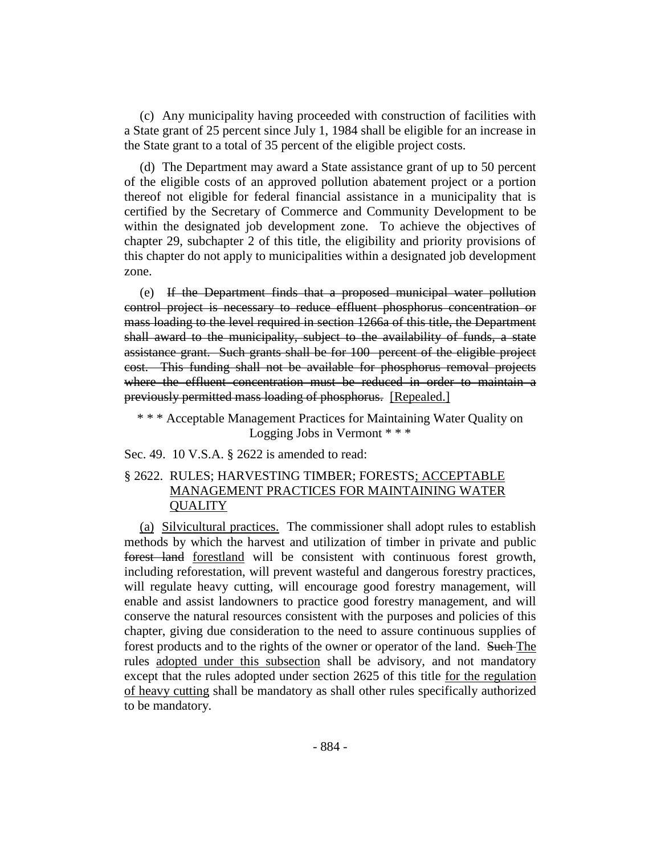(c) Any municipality having proceeded with construction of facilities with a State grant of 25 percent since July 1, 1984 shall be eligible for an increase in the State grant to a total of 35 percent of the eligible project costs.

(d) The Department may award a State assistance grant of up to 50 percent of the eligible costs of an approved pollution abatement project or a portion thereof not eligible for federal financial assistance in a municipality that is certified by the Secretary of Commerce and Community Development to be within the designated job development zone. To achieve the objectives of chapter 29, subchapter 2 of this title, the eligibility and priority provisions of this chapter do not apply to municipalities within a designated job development zone.

(e) If the Department finds that a proposed municipal water pollution control project is necessary to reduce effluent phosphorus concentration or mass loading to the level required in section 1266a of this title, the Department shall award to the municipality, subject to the availability of funds, a state assistance grant. Such grants shall be for 100 percent of the eligible project cost. This funding shall not be available for phosphorus removal projects where the effluent concentration must be reduced in order to maintain a previously permitted mass loading of phosphorus. [Repealed.]

\* \* \* Acceptable Management Practices for Maintaining Water Quality on Logging Jobs in Vermont \* \* \*

Sec. 49. 10 V.S.A. § 2622 is amended to read:

## § 2622. RULES; HARVESTING TIMBER; FORESTS; ACCEPTABLE MANAGEMENT PRACTICES FOR MAINTAINING WATER **QUALITY**

(a) Silvicultural practices. The commissioner shall adopt rules to establish methods by which the harvest and utilization of timber in private and public forest land forestland will be consistent with continuous forest growth, including reforestation, will prevent wasteful and dangerous forestry practices, will regulate heavy cutting, will encourage good forestry management, will enable and assist landowners to practice good forestry management, and will conserve the natural resources consistent with the purposes and policies of this chapter, giving due consideration to the need to assure continuous supplies of forest products and to the rights of the owner or operator of the land. Such The rules adopted under this subsection shall be advisory, and not mandatory except that the rules adopted under section 2625 of this title for the regulation of heavy cutting shall be mandatory as shall other rules specifically authorized to be mandatory.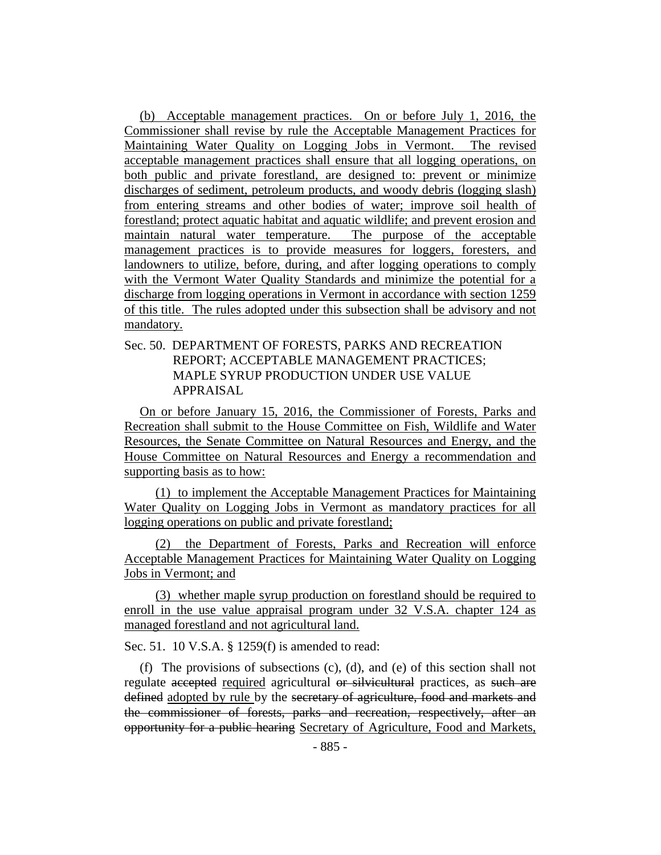(b) Acceptable management practices. On or before July 1, 2016, the Commissioner shall revise by rule the Acceptable Management Practices for Maintaining Water Quality on Logging Jobs in Vermont. The revised acceptable management practices shall ensure that all logging operations, on both public and private forestland, are designed to: prevent or minimize discharges of sediment, petroleum products, and woody debris (logging slash) from entering streams and other bodies of water; improve soil health of forestland; protect aquatic habitat and aquatic wildlife; and prevent erosion and maintain natural water temperature. The purpose of the acceptable management practices is to provide measures for loggers, foresters, and landowners to utilize, before, during, and after logging operations to comply with the Vermont Water Quality Standards and minimize the potential for a discharge from logging operations in Vermont in accordance with section 1259 of this title. The rules adopted under this subsection shall be advisory and not mandatory.

Sec. 50. DEPARTMENT OF FORESTS, PARKS AND RECREATION REPORT; ACCEPTABLE MANAGEMENT PRACTICES; MAPLE SYRUP PRODUCTION UNDER USE VALUE APPRAISAL

On or before January 15, 2016, the Commissioner of Forests, Parks and Recreation shall submit to the House Committee on Fish, Wildlife and Water Resources, the Senate Committee on Natural Resources and Energy, and the House Committee on Natural Resources and Energy a recommendation and supporting basis as to how:

(1) to implement the Acceptable Management Practices for Maintaining Water Quality on Logging Jobs in Vermont as mandatory practices for all logging operations on public and private forestland;

(2) the Department of Forests, Parks and Recreation will enforce Acceptable Management Practices for Maintaining Water Quality on Logging Jobs in Vermont; and

(3) whether maple syrup production on forestland should be required to enroll in the use value appraisal program under 32 V.S.A. chapter 124 as managed forestland and not agricultural land.

Sec. 51. 10 V.S.A. § 1259(f) is amended to read:

(f) The provisions of subsections (c), (d), and (e) of this section shall not regulate accepted required agricultural or silvicultural practices, as such are defined adopted by rule by the secretary of agriculture, food and markets and the commissioner of forests, parks and recreation, respectively, after an opportunity for a public hearing Secretary of Agriculture, Food and Markets,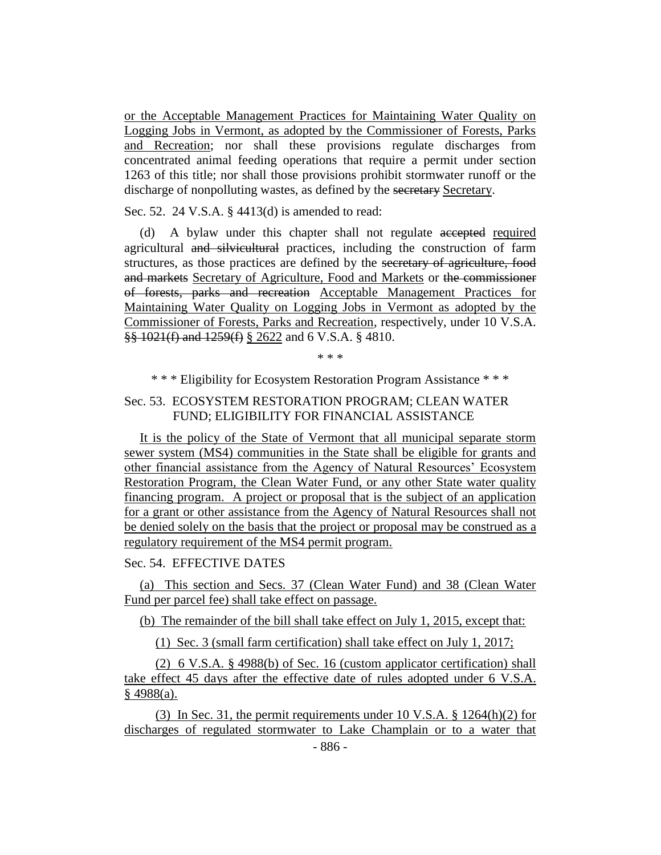or the Acceptable Management Practices for Maintaining Water Quality on Logging Jobs in Vermont, as adopted by the Commissioner of Forests, Parks and Recreation; nor shall these provisions regulate discharges from concentrated animal feeding operations that require a permit under section 1263 of this title; nor shall those provisions prohibit stormwater runoff or the discharge of nonpolluting wastes, as defined by the secretary Secretary.

Sec. 52. 24 V.S.A. § 4413(d) is amended to read:

(d) A bylaw under this chapter shall not regulate accepted required agricultural and silvicultural practices, including the construction of farm structures, as those practices are defined by the secretary of agriculture, food and markets Secretary of Agriculture, Food and Markets or the commissioner of forests, parks and recreation Acceptable Management Practices for Maintaining Water Quality on Logging Jobs in Vermont as adopted by the Commissioner of Forests, Parks and Recreation, respectively, under 10 V.S.A. §§ 1021(f) and 1259(f) § 2622 and 6 V.S.A. § 4810.

\* \* \*

\* \* \* Eligibility for Ecosystem Restoration Program Assistance \* \* \*

## Sec. 53. ECOSYSTEM RESTORATION PROGRAM; CLEAN WATER FUND; ELIGIBILITY FOR FINANCIAL ASSISTANCE

It is the policy of the State of Vermont that all municipal separate storm sewer system (MS4) communities in the State shall be eligible for grants and other financial assistance from the Agency of Natural Resources' Ecosystem Restoration Program, the Clean Water Fund, or any other State water quality financing program. A project or proposal that is the subject of an application for a grant or other assistance from the Agency of Natural Resources shall not be denied solely on the basis that the project or proposal may be construed as a regulatory requirement of the MS4 permit program.

## Sec. 54. EFFECTIVE DATES

(a) This section and Secs. 37 (Clean Water Fund) and 38 (Clean Water Fund per parcel fee) shall take effect on passage.

(b) The remainder of the bill shall take effect on July 1, 2015, except that:

(1) Sec. 3 (small farm certification) shall take effect on July 1, 2017;

(2) 6 V.S.A. § 4988(b) of Sec. 16 (custom applicator certification) shall take effect 45 days after the effective date of rules adopted under 6 V.S.A.  $§$  4988(a).

(3) In Sec. 31, the permit requirements under 10 V.S.A. § 1264(h)(2) for discharges of regulated stormwater to Lake Champlain or to a water that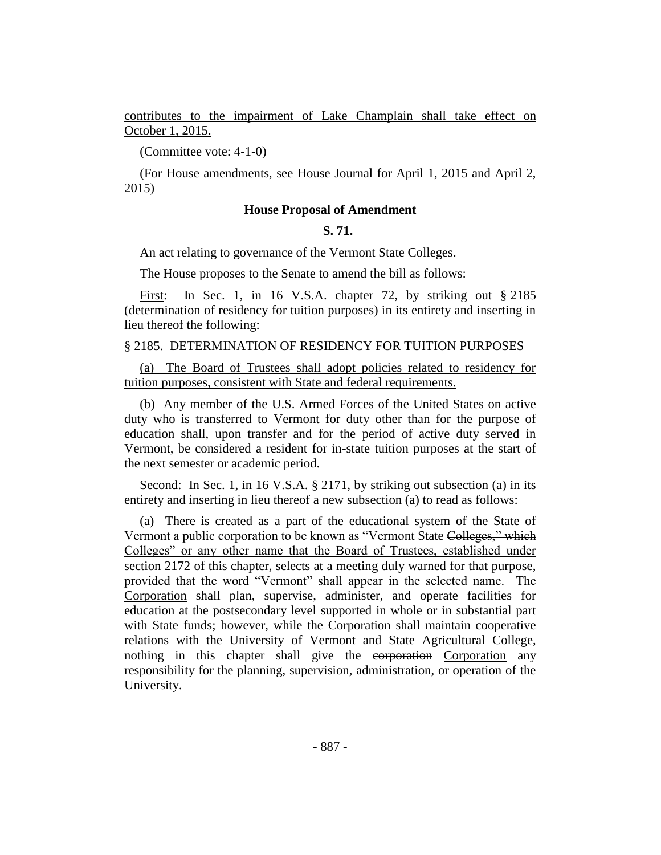contributes to the impairment of Lake Champlain shall take effect on October 1, 2015.

(Committee vote: 4-1-0)

(For House amendments, see House Journal for April 1, 2015 and April 2, 2015)

#### **House Proposal of Amendment**

### **S. 71.**

An act relating to governance of the Vermont State Colleges.

The House proposes to the Senate to amend the bill as follows:

First: In Sec. 1, in 16 V.S.A. chapter 72, by striking out § 2185 (determination of residency for tuition purposes) in its entirety and inserting in lieu thereof the following:

### § 2185. DETERMINATION OF RESIDENCY FOR TUITION PURPOSES

(a) The Board of Trustees shall adopt policies related to residency for tuition purposes, consistent with State and federal requirements.

(b) Any member of the U.S. Armed Forces of the United States on active duty who is transferred to Vermont for duty other than for the purpose of education shall, upon transfer and for the period of active duty served in Vermont, be considered a resident for in-state tuition purposes at the start of the next semester or academic period.

Second: In Sec. 1, in 16 V.S.A. § 2171, by striking out subsection (a) in its entirety and inserting in lieu thereof a new subsection (a) to read as follows:

(a) There is created as a part of the educational system of the State of Vermont a public corporation to be known as "Vermont State Colleges," which Colleges" or any other name that the Board of Trustees, established under section 2172 of this chapter, selects at a meeting duly warned for that purpose, provided that the word "Vermont" shall appear in the selected name. The Corporation shall plan, supervise, administer, and operate facilities for education at the postsecondary level supported in whole or in substantial part with State funds; however, while the Corporation shall maintain cooperative relations with the University of Vermont and State Agricultural College, nothing in this chapter shall give the corporation Corporation any responsibility for the planning, supervision, administration, or operation of the University.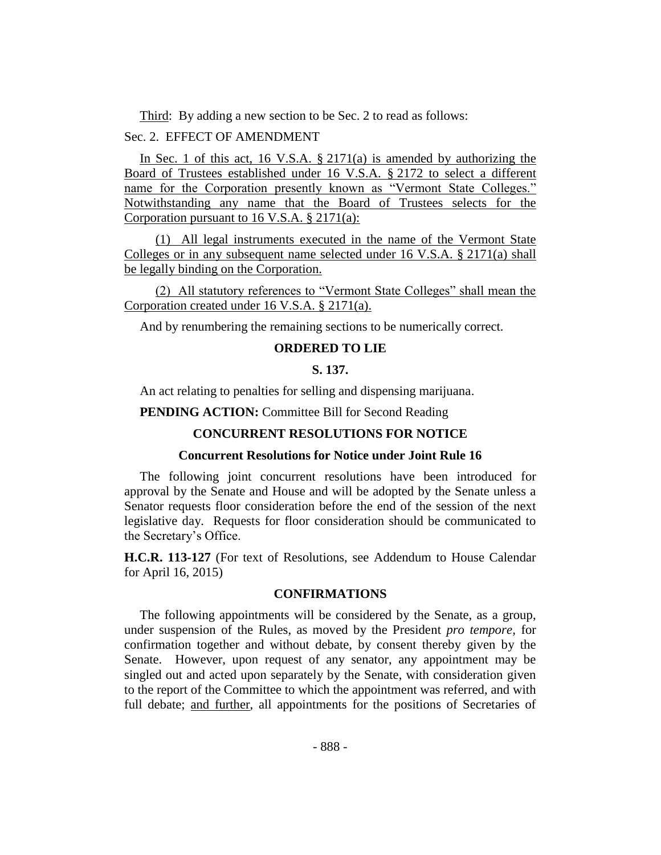Third: By adding a new section to be Sec. 2 to read as follows:

## Sec. 2. EFFECT OF AMENDMENT

In Sec. 1 of this act, 16 V.S.A.  $\S 2171(a)$  is amended by authorizing the Board of Trustees established under 16 V.S.A. § 2172 to select a different name for the Corporation presently known as "Vermont State Colleges." Notwithstanding any name that the Board of Trustees selects for the Corporation pursuant to 16 V.S.A. § 2171(a):

(1) All legal instruments executed in the name of the Vermont State Colleges or in any subsequent name selected under 16 V.S.A. § 2171(a) shall be legally binding on the Corporation.

(2) All statutory references to "Vermont State Colleges" shall mean the Corporation created under 16 V.S.A. § 2171(a).

And by renumbering the remaining sections to be numerically correct.

#### **ORDERED TO LIE**

## **S. 137.**

An act relating to penalties for selling and dispensing marijuana.

**PENDING ACTION:** Committee Bill for Second Reading

## **CONCURRENT RESOLUTIONS FOR NOTICE**

#### **Concurrent Resolutions for Notice under Joint Rule 16**

The following joint concurrent resolutions have been introduced for approval by the Senate and House and will be adopted by the Senate unless a Senator requests floor consideration before the end of the session of the next legislative day. Requests for floor consideration should be communicated to the Secretary's Office.

**H.C.R. 113-127** (For text of Resolutions, see Addendum to House Calendar for April 16, 2015)

## **CONFIRMATIONS**

The following appointments will be considered by the Senate, as a group, under suspension of the Rules, as moved by the President *pro tempore,* for confirmation together and without debate, by consent thereby given by the Senate. However, upon request of any senator, any appointment may be singled out and acted upon separately by the Senate, with consideration given to the report of the Committee to which the appointment was referred, and with full debate; and further, all appointments for the positions of Secretaries of